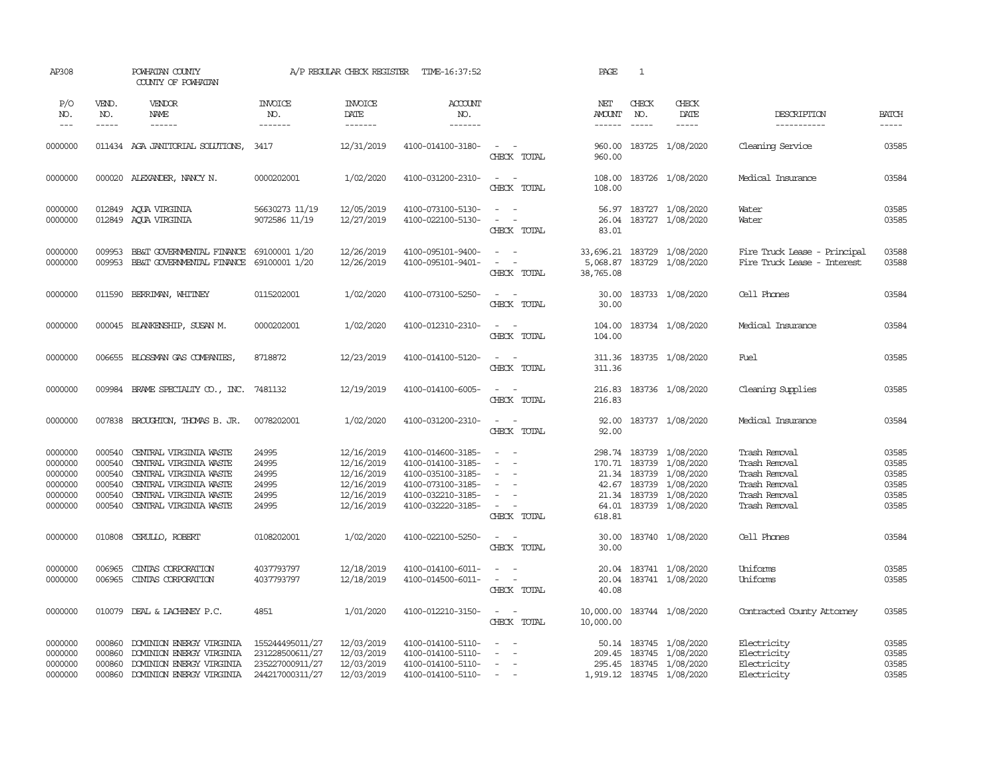| AP308                                                          |                                                          | POWHATAN COUNTY<br>COUNTY OF POWHATAN                                                                                                                                                                                                                                                                                                                                                                                                                                            |                                                                          | A/P REGULAR CHECK REGISTER                                                       | TIME-16:37:52                                                                                                              |                                                                                                                                            | PAGE                                  | $\mathbf{1}$                  |                                                                                                                                                            |                                                                                                    |                                                    |
|----------------------------------------------------------------|----------------------------------------------------------|----------------------------------------------------------------------------------------------------------------------------------------------------------------------------------------------------------------------------------------------------------------------------------------------------------------------------------------------------------------------------------------------------------------------------------------------------------------------------------|--------------------------------------------------------------------------|----------------------------------------------------------------------------------|----------------------------------------------------------------------------------------------------------------------------|--------------------------------------------------------------------------------------------------------------------------------------------|---------------------------------------|-------------------------------|------------------------------------------------------------------------------------------------------------------------------------------------------------|----------------------------------------------------------------------------------------------------|----------------------------------------------------|
| P/O<br>NO.<br>$---$                                            | VEND.<br>NO.<br>$- - - - -$                              | <b>VENDOR</b><br>NAME<br>$\begin{tabular}{ccccc} \multicolumn{2}{c }{\multicolumn{2}{c }{\multicolumn{2}{c }{\multicolumn{2}{c}}{\hspace{-2.2cm}}}} \multicolumn{2}{c }{\multicolumn{2}{c }{\hspace{-2.2cm}}\hline} \multicolumn{2}{c }{\hspace{-2.2cm}}\hline \multicolumn{2}{c }{\hspace{-2.2cm}}\hline \multicolumn{2}{c }{\hspace{-2.2cm}}\hline \multicolumn{2}{c }{\hspace{-2.2cm}}\hline \multicolumn{2}{c }{\hspace{-2.2cm}}\hline \multicolumn{2}{c }{\hspace{-2.2cm}}$ | <b>INVOICE</b><br>NO.<br>-------                                         | <b>INVOICE</b><br>DATE<br>--------                                               | <b>ACCOUNT</b><br>NO.<br>--------                                                                                          |                                                                                                                                            | NET<br><b>AMOUNT</b><br>$- - - - - -$ | CHECK<br>NO.<br>$\frac{1}{2}$ | CHECK<br>DATE<br>$\cdots \cdots \cdots$                                                                                                                    | DESCRIPTION<br>-----------                                                                         | <b>BATCH</b><br>$\cdots$                           |
| 0000000                                                        |                                                          | 011434 AGA JANITORIAL SOLUTIONS,                                                                                                                                                                                                                                                                                                                                                                                                                                                 | 3417                                                                     | 12/31/2019                                                                       | 4100-014100-3180-                                                                                                          | $\sim$ $ -$<br>CHECK TOTAL                                                                                                                 | 960.00<br>960.00                      |                               | 183725 1/08/2020                                                                                                                                           | Cleaning Service                                                                                   | 03585                                              |
| 0000000                                                        |                                                          | 000020 ALEXANDER, NANCY N.                                                                                                                                                                                                                                                                                                                                                                                                                                                       | 0000202001                                                               | 1/02/2020                                                                        | 4100-031200-2310-                                                                                                          | $\omega_{\rm{max}}$ and $\omega_{\rm{max}}$<br>CHECK TOTAL                                                                                 | 108.00                                |                               | 108.00 183726 1/08/2020                                                                                                                                    | Medical Insurance                                                                                  | 03584                                              |
| 0000000<br>0000000                                             |                                                          | 012849 ACUA VIRGINIA<br>012849 ACUA VIRGINIA                                                                                                                                                                                                                                                                                                                                                                                                                                     | 56630273 11/19<br>9072586 11/19                                          | 12/05/2019<br>12/27/2019                                                         | 4100-073100-5130-<br>4100-022100-5130-                                                                                     | $\omega_{\rm{max}}$<br>$\sim$ $ -$<br>CHECK TOTAL                                                                                          | 26.04<br>83.01                        |                               | 56.97 183727 1/08/2020<br>183727 1/08/2020                                                                                                                 | Water<br>Water                                                                                     | 03585<br>03585                                     |
| 0000000<br>0000000                                             | 009953<br>009953                                         | BB&T GOVERNMENTAL FINANCE<br>BB&T GOVERNMENTAL FINANCE                                                                                                                                                                                                                                                                                                                                                                                                                           | 69100001 1/20<br>69100001 1/20                                           | 12/26/2019<br>12/26/2019                                                         | 4100-095101-9400-<br>4100-095101-9401-                                                                                     | $\sim$<br>$\sim$<br>$\sim$<br>$\overline{\phantom{a}}$<br>CHECK TOTAL                                                                      | 5,068.87<br>38,765.08                 |                               | 33,696.21 183729 1/08/2020<br>183729 1/08/2020                                                                                                             | Fire Truck Lease - Principal<br>Fire Truck Lease - Interest                                        | 03588<br>03588                                     |
| 0000000                                                        |                                                          | 011590 BERRIMAN, WHITNEY                                                                                                                                                                                                                                                                                                                                                                                                                                                         | 0115202001                                                               | 1/02/2020                                                                        | 4100-073100-5250-                                                                                                          | $\sim$ $ -$<br>CHECK TOTAL                                                                                                                 | 30.00<br>30.00                        |                               | 183733 1/08/2020                                                                                                                                           | Cell Phones                                                                                        | 03584                                              |
| 0000000                                                        |                                                          | 000045 BLANKENSHIP, SUSAN M.                                                                                                                                                                                                                                                                                                                                                                                                                                                     | 0000202001                                                               | 1/02/2020                                                                        | 4100-012310-2310-                                                                                                          | $\sim$<br>$\sim$<br>CHECK TOTAL                                                                                                            | 104.00<br>104.00                      |                               | 183734 1/08/2020                                                                                                                                           | Medical Insurance                                                                                  | 03584                                              |
| 0000000                                                        |                                                          | 006655 BLOSSMAN GAS COMPANIES                                                                                                                                                                                                                                                                                                                                                                                                                                                    | 8718872                                                                  | 12/23/2019                                                                       | 4100-014100-5120-                                                                                                          | $\sim$ $ \sim$<br>CHECK TOTAL                                                                                                              | 311.36                                |                               | 311.36 183735 1/08/2020                                                                                                                                    | Fuel                                                                                               | 03585                                              |
| 0000000                                                        |                                                          | 009984 BRAME SPECIALITY CO., INC. 7481132                                                                                                                                                                                                                                                                                                                                                                                                                                        |                                                                          | 12/19/2019                                                                       | 4100-014100-6005-                                                                                                          | $\sim$ $ -$<br>CHECK TOTAL                                                                                                                 | 216.83                                |                               | 216.83 183736 1/08/2020                                                                                                                                    | Cleaning Supplies                                                                                  | 03585                                              |
| 0000000                                                        |                                                          | 007838 BROUGHTON, THOMAS B. JR.                                                                                                                                                                                                                                                                                                                                                                                                                                                  | 0078202001                                                               | 1/02/2020                                                                        | 4100-031200-2310-                                                                                                          | $\sim$ $ -$<br>CHECK TOTAL                                                                                                                 | 92.00<br>92.00                        |                               | 183737 1/08/2020                                                                                                                                           | Medical Insurance                                                                                  | 03584                                              |
| 0000000<br>0000000<br>0000000<br>0000000<br>0000000<br>0000000 | 000540<br>000540<br>000540<br>000540<br>000540<br>000540 | CENTRAL VIRGINIA WASTE<br>CENTRAL VIRGINIA WASTE<br>CENTRAL VIRGINIA WASTE<br>CENTRAL VIRGINIA WASTE<br>CENTRAL VIRGINIA WASTE<br>CENTRAL VIRGINIA WASTE                                                                                                                                                                                                                                                                                                                         | 24995<br>24995<br>24995<br>24995<br>24995<br>24995                       | 12/16/2019<br>12/16/2019<br>12/16/2019<br>12/16/2019<br>12/16/2019<br>12/16/2019 | 4100-014600-3185-<br>4100-014100-3185-<br>4100-035100-3185-<br>4100-073100-3185-<br>4100-032210-3185-<br>4100-032220-3185- | $\sim$ $\sim$<br>$\overline{\phantom{a}}$<br>$\overline{\phantom{a}}$<br>$\sim$<br>$\sim$<br>$\sim$<br>$\sim$ $-$<br>$\sim$<br>CHECK TOTAL | 618.81                                |                               | 298.74 183739 1/08/2020<br>170.71 183739 1/08/2020<br>21.34 183739 1/08/2020<br>42.67 183739 1/08/2020<br>21.34 183739 1/08/2020<br>64.01 183739 1/08/2020 | Trash Removal<br>Trash Removal<br>Trash Removal<br>Trash Removal<br>Trash Removal<br>Trash Removal | 03585<br>03585<br>03585<br>03585<br>03585<br>03585 |
| 0000000                                                        | 010808                                                   | CERULLO, ROBERT                                                                                                                                                                                                                                                                                                                                                                                                                                                                  | 0108202001                                                               | 1/02/2020                                                                        | 4100-022100-5250-                                                                                                          | $\sim$<br>$\sim$ $-$<br>CHECK TOTAL                                                                                                        | 30.00<br>30.00                        |                               | 183740 1/08/2020                                                                                                                                           | Cell Phones                                                                                        | 03584                                              |
| 0000000<br>0000000                                             | 006965<br>006965                                         | CINIAS CORPORATION<br>CINIAS CORPORATION                                                                                                                                                                                                                                                                                                                                                                                                                                         | 4037793797<br>4037793797                                                 | 12/18/2019<br>12/18/2019                                                         | 4100-014100-6011-<br>4100-014500-6011-                                                                                     | $\sim$ $ \sim$<br>$\sim$ $ -$<br>CHECK TOTAL                                                                                               | 20.04<br>40.08                        |                               | 20.04 183741 1/08/2020<br>183741 1/08/2020                                                                                                                 | Uniforms<br>Uniforms                                                                               | 03585<br>03585                                     |
| 0000000                                                        |                                                          | 010079 DEAL & LACHENEY P.C.                                                                                                                                                                                                                                                                                                                                                                                                                                                      | 4851                                                                     | 1/01/2020                                                                        | 4100-012210-3150-                                                                                                          | $\sim$<br>$\sim$ $-$<br>CHECK TOTAL                                                                                                        | 10,000.00<br>10,000.00                |                               | 183744 1/08/2020                                                                                                                                           | Contracted County Attorney                                                                         | 03585                                              |
| 0000000<br>0000000<br>0000000<br>0000000                       | 000860<br>000860<br>000860<br>000860                     | DOMINION ENERGY VIRGINIA<br>DOMINION ENERGY VIRGINIA<br>DOMINION ENERGY VIRGINIA<br>DOMINION ENERGY VIRGINIA                                                                                                                                                                                                                                                                                                                                                                     | 155244495011/27<br>231228500611/27<br>235227000911/27<br>244217000311/27 | 12/03/2019<br>12/03/2019<br>12/03/2019<br>12/03/2019                             | 4100-014100-5110-<br>4100-014100-5110-<br>4100-014100-5110-<br>4100-014100-5110-                                           | $\sim$<br>$\sim$<br>$\sim$<br>$\sim$<br>$\sim$<br>$\sim$ $-$                                                                               |                                       |                               | 50.14 183745 1/08/2020<br>209.45 183745 1/08/2020<br>295.45 183745 1/08/2020<br>1,919.12 183745 1/08/2020                                                  | Electricity<br>Electricity<br>Electricity<br>Electricity                                           | 03585<br>03585<br>03585<br>03585                   |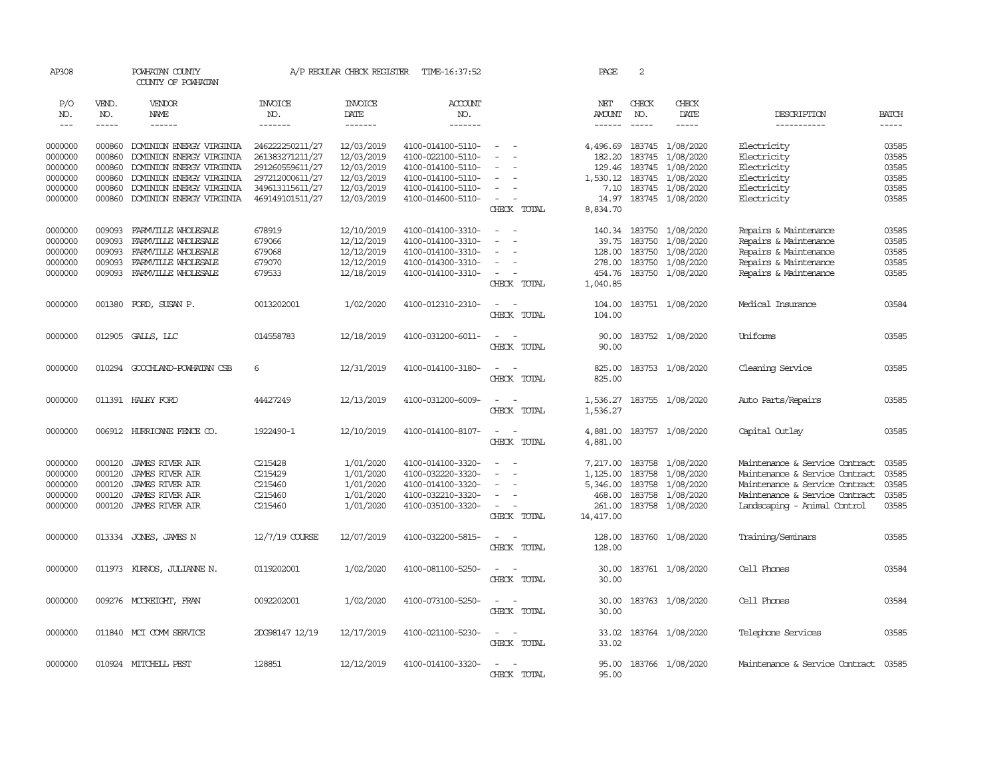| AP308         |        | POWHATAN COUNTY<br>COUNTY OF POWHATAN |                  | A/P REGULAR CHECK REGISTER | TIME-16:37:52     |                                    | PAGE      | 2             |                           |                                      |                |
|---------------|--------|---------------------------------------|------------------|----------------------------|-------------------|------------------------------------|-----------|---------------|---------------------------|--------------------------------------|----------------|
| P/O           | VEND.  | VENDOR                                | <b>INVOICE</b>   | <b>INVOICE</b>             | <b>ACCOUNT</b>    |                                    | NET       | CHECK         | CHECK                     |                                      |                |
| NO.           | NO.    | <b>NAME</b>                           | NO.              | <b>DATE</b>                | NO.               |                                    | AMOUNT    | NO.           | <b>DATE</b>               | DESCRIPTION                          | <b>BATCH</b>   |
| $\frac{1}{2}$ | -----  | ------                                | -------          | -------                    | -------           |                                    | ------    | $- - - - -$   | $- - - - -$               | -----------                          | $- - - - -$    |
| 0000000       | 000860 | DOMINION ENERGY VIRGINIA              | 246222250211/27  | 12/03/2019                 | 4100-014100-5110- | $\sim$                             |           |               | 4,496.69 183745 1/08/2020 | Electricity                          | 03585          |
| 0000000       | 000860 | DOMINION ENERGY VIRGINIA              | 261383271211/27  | 12/03/2019                 | 4100-022100-5110- |                                    | 182.20    | 183745        | 1/08/2020                 | Electricity                          | 03585          |
| 0000000       | 000860 | DOMINION ENERGY VIRGINIA              | 291260559611/27  | 12/03/2019                 | 4100-014100-5110- |                                    | 129.46    | 183745        | 1/08/2020                 | Electricity                          | 03585          |
| 0000000       | 000860 | DOMINION ENERGY VIRGINIA              | 297212000611/27  | 12/03/2019                 | 4100-014100-5110- |                                    | 1,530.12  | 183745        | 1/08/2020                 | Electricity                          | 03585          |
| 0000000       | 000860 | DOMINION ENERGY VIRGINIA              | 349613115611/27  | 12/03/2019                 | 4100-014100-5110- |                                    | 7.10      | 183745        | 1/08/2020                 | Electricity                          | 03585          |
| 0000000       | 000860 | DOMINION ENERGY VIRGINIA              | 469149101511/27  | 12/03/2019                 | 4100-014600-5110- | $\equiv$                           | 14.97     |               | 183745 1/08/2020          | Electricity                          | 03585          |
|               |        |                                       |                  |                            |                   | CHECK TOTAL                        | 8,834.70  |               |                           |                                      |                |
|               |        |                                       |                  |                            |                   |                                    |           |               |                           |                                      |                |
| 0000000       | 009093 | FARMVILLE WHOLESALE                   | 678919           | 12/10/2019                 | 4100-014100-3310- | $\sim$<br>$\overline{\phantom{a}}$ |           | 140.34 183750 | 1/08/2020                 | Repairs & Maintenance                | 03585          |
| 0000000       | 009093 | FARMVILLE WHOLESALE                   | 679066           | 12/12/2019                 | 4100-014100-3310- |                                    | 39.75     | 183750        | 1/08/2020                 | Repairs & Maintenance                | 03585          |
| 0000000       | 009093 | FARMVILLE WHOLESALE                   | 679068           | 12/12/2019                 | 4100-014100-3310- |                                    | 128,00    | 183750        | 1/08/2020                 | Repairs & Maintenance                | 03585          |
| 0000000       | 009093 | FARMVILLE WHOLESALE                   | 679070           | 12/12/2019                 | 4100-014300-3310- |                                    | 278.00    | 183750        | 1/08/2020                 | Repairs & Maintenance                | 03585          |
| 0000000       | 009093 | FARMVILLE WHOLESALE                   | 679533           | 12/18/2019                 | 4100-014100-3310- | $\sim$                             | 454.76    |               | 183750 1/08/2020          | Repairs & Maintenance                | 03585          |
|               |        |                                       |                  |                            |                   | CHECK TOTAL                        | 1,040.85  |               |                           |                                      |                |
|               |        |                                       |                  |                            |                   |                                    |           |               |                           |                                      |                |
| 0000000       | 001380 | FORD, SUSAN P.                        | 0013202001       | 1/02/2020                  | 4100-012310-2310- | $\sim$<br>$\overline{\phantom{a}}$ | 104.00    |               | 183751 1/08/2020          | Medical Insurance                    | 03584          |
|               |        |                                       |                  |                            |                   | CHECK TOTAL                        | 104.00    |               |                           |                                      |                |
| 0000000       |        |                                       | 014558783        | 12/18/2019                 | 4100-031200-6011- | $\equiv$                           | 90.00     |               | 183752 1/08/2020          | Uniforms                             | 03585          |
|               |        | 012905 GALLS, LLC                     |                  |                            |                   | CHECK TOTAL                        | 90.00     |               |                           |                                      |                |
|               |        |                                       |                  |                            |                   |                                    |           |               |                           |                                      |                |
| 0000000       |        | 010294 GOOCHLAND-POWHATAN CSB         | 6                | 12/31/2019                 | 4100-014100-3180- | $\sim$<br>$\sim$                   | 825.00    |               | 183753 1/08/2020          | Cleaning Service                     | 03585          |
|               |        |                                       |                  |                            |                   | CHECK TOTAL                        | 825.00    |               |                           |                                      |                |
|               |        |                                       |                  |                            |                   |                                    |           |               |                           |                                      |                |
| 0000000       |        | 011391 HALEY FORD                     | 44427249         | 12/13/2019                 | 4100-031200-6009- | $\sim$<br>$\sim$                   | 1,536.27  |               | 183755 1/08/2020          | Auto Parts/Repairs                   | 03585          |
|               |        |                                       |                  |                            |                   | CHECK TOTAL                        | 1,536.27  |               |                           |                                      |                |
|               |        |                                       |                  |                            |                   |                                    |           |               |                           |                                      |                |
| 0000000       |        | 006912 HURRICANE FENCE CO.            | 1922490-1        | 12/10/2019                 | 4100-014100-8107- | $\sim$<br>$\sim$                   | 4,881.00  |               | 183757 1/08/2020          | Capital Outlay                       | 03585          |
|               |        |                                       |                  |                            |                   | CHECK TOTAL                        | 4,881.00  |               |                           |                                      |                |
|               |        |                                       |                  |                            |                   |                                    |           |               |                           |                                      |                |
| 0000000       | 000120 | <b>JAMES RIVER AIR</b>                | C215428          | 1/01/2020                  | 4100-014100-3320- |                                    | 7,217.00  |               | 183758 1/08/2020          | Maintenance & Service Contract       | 03585          |
| 0000000       | 000120 | <b>JAMES RIVER AIR</b>                | C215429          | 1/01/2020                  | 4100-032220-3320- |                                    | 1,125.00  | 183758        | 1/08/2020                 | Maintenance & Service Contract       | 03585          |
| 0000000       | 000120 | <b>JAMES RIVER AIR</b>                | C215460          | 1/01/2020                  | 4100-014100-3320- |                                    | 5,346.00  | 183758        | 1/08/2020                 | Maintenance & Service Contract       | 03585          |
| 0000000       | 000120 | <b>JAMES RIVER AIR</b>                | <b>C215460</b>   | 1/01/2020                  | 4100-032210-3320- |                                    | 468.00    | 183758        | 1/08/2020                 | Maintenance & Service Contract       | 03585<br>03585 |
| 0000000       | 000120 | JAMES RIVER AIR                       | C215460          | 1/01/2020                  | 4100-035100-3320- |                                    | 261.00    |               | 183758 1/08/2020          | Landscaping - Animal Control         |                |
|               |        |                                       |                  |                            |                   | CHECK TOTAL                        | 14,417.00 |               |                           |                                      |                |
| 0000000       |        | 013334 JONES, JAMES N                 | $12/7/19$ COURSE | 12/07/2019                 | 4100-032200-5815- | $\sim$<br>$\sim$                   | 128.00    |               | 183760 1/08/2020          | Training/Seminars                    | 03585          |
|               |        |                                       |                  |                            |                   | CHECK TOTAL                        | 128.00    |               |                           |                                      |                |
|               |        |                                       |                  |                            |                   |                                    |           |               |                           |                                      |                |
| 0000000       |        | 011973 KURNOS, JULIANNE N.            | 0119202001       | 1/02/2020                  | 4100-081100-5250- | $\equiv$                           | 30.00     |               | 183761 1/08/2020          | Cell Phones                          | 03584          |
|               |        |                                       |                  |                            |                   | CHECK TOTAL                        | 30.00     |               |                           |                                      |                |
|               |        |                                       |                  |                            |                   |                                    |           |               |                           |                                      |                |
| 0000000       |        | 009276 MCCREIGHT, FRAN                | 0092202001       | 1/02/2020                  | 4100-073100-5250- | $\sim$<br>$\sim$                   | 30.00     |               | 183763 1/08/2020          | Cell Phones                          | 03584          |
|               |        |                                       |                  |                            |                   | CHECK TOTAL                        | 30.00     |               |                           |                                      |                |
|               |        |                                       |                  |                            |                   |                                    |           |               |                           |                                      |                |
| 0000000       |        | 011840 MCI COMM SERVICE               | 2DG98147 12/19   | 12/17/2019                 | 4100-021100-5230- | $\overline{\phantom{a}}$<br>$\sim$ | 33.02     |               | 183764 1/08/2020          | Telephone Services                   | 03585          |
|               |        |                                       |                  |                            |                   | CHECK TOTAL                        | 33.02     |               |                           |                                      |                |
|               |        |                                       |                  |                            |                   |                                    |           |               |                           |                                      |                |
| 0000000       |        | 010924 MITCHELL PEST                  | 128851           | 12/12/2019                 | 4100-014100-3320- | $\overline{\phantom{a}}$           | 95.00     |               | 183766 1/08/2020          | Maintenance & Service Contract 03585 |                |
|               |        |                                       |                  |                            |                   | CHECK TOTAL                        | 95.00     |               |                           |                                      |                |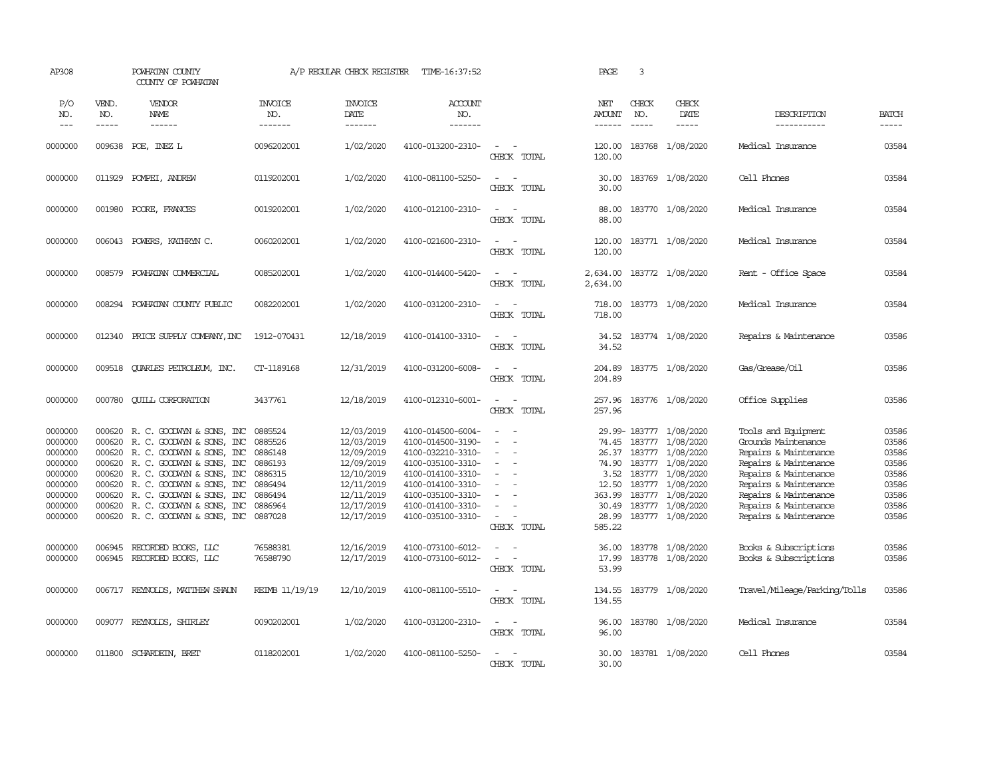| AP308                                                                                           |                                                                              | POWHATAN COUNTY<br>COUNTY OF POWHATAN                                                                                                                                                                                                                                           |                                                                                      | A/P REGULAR CHECK REGISTER                                                                                                 | TIME-16:37:52                                                                                                                                                                             |                                                         | PAGE                                                                  | 3                             |                                                                                                                                                                                |                                                                                                                                                                                                                           |                                                                               |
|-------------------------------------------------------------------------------------------------|------------------------------------------------------------------------------|---------------------------------------------------------------------------------------------------------------------------------------------------------------------------------------------------------------------------------------------------------------------------------|--------------------------------------------------------------------------------------|----------------------------------------------------------------------------------------------------------------------------|-------------------------------------------------------------------------------------------------------------------------------------------------------------------------------------------|---------------------------------------------------------|-----------------------------------------------------------------------|-------------------------------|--------------------------------------------------------------------------------------------------------------------------------------------------------------------------------|---------------------------------------------------------------------------------------------------------------------------------------------------------------------------------------------------------------------------|-------------------------------------------------------------------------------|
| P/O<br>NO.<br>$---$                                                                             | VEND.<br>NO.<br>-----                                                        | VENDOR<br>NAME                                                                                                                                                                                                                                                                  | <b>INVOICE</b><br>NO.<br>-------                                                     | <b>INVOICE</b><br>DATE<br>-------                                                                                          | <b>ACCOUNT</b><br>NO.<br>--------                                                                                                                                                         |                                                         | NET<br><b>AMOUNT</b><br>$- - - - - -$                                 | CHECK<br>NO.<br>$\frac{1}{2}$ | CHECK<br>DATE<br>$\frac{1}{2}$                                                                                                                                                 | DESCRIPTION<br>-----------                                                                                                                                                                                                | <b>BATCH</b><br>$\frac{1}{2}$                                                 |
| 0000000                                                                                         |                                                                              | 009638 POE, INEZ L                                                                                                                                                                                                                                                              | 0096202001                                                                           | 1/02/2020                                                                                                                  | 4100-013200-2310-                                                                                                                                                                         | $\overline{\phantom{a}}$<br>CHECK TOTAL                 | 120.00<br>120.00                                                      |                               | 183768 1/08/2020                                                                                                                                                               | Medical Insurance                                                                                                                                                                                                         | 03584                                                                         |
| 0000000                                                                                         | 011929                                                                       | POMPEI, ANDREW                                                                                                                                                                                                                                                                  | 0119202001                                                                           | 1/02/2020                                                                                                                  | 4100-081100-5250-                                                                                                                                                                         | $\sim$<br>$\sim$<br>CHECK TOTAL                         | 30.00<br>30.00                                                        |                               | 183769 1/08/2020                                                                                                                                                               | Cell Phones                                                                                                                                                                                                               | 03584                                                                         |
| 0000000                                                                                         | 001980                                                                       | POORE, FRANCES                                                                                                                                                                                                                                                                  | 0019202001                                                                           | 1/02/2020                                                                                                                  | 4100-012100-2310-                                                                                                                                                                         | $\overline{\phantom{a}}$<br>$\sim$<br>CHECK TOTAL       | 88.00<br>88.00                                                        |                               | 183770 1/08/2020                                                                                                                                                               | Medical Insurance                                                                                                                                                                                                         | 03584                                                                         |
| 0000000                                                                                         |                                                                              | 006043 POWERS, KATHRYN C.                                                                                                                                                                                                                                                       | 0060202001                                                                           | 1/02/2020                                                                                                                  | 4100-021600-2310-                                                                                                                                                                         | $\sim$<br>$\sim$<br>CHECK TOTAL                         | 120.00<br>120.00                                                      |                               | 183771 1/08/2020                                                                                                                                                               | Medical Insurance                                                                                                                                                                                                         | 03584                                                                         |
| 0000000                                                                                         |                                                                              | 008579 POWHATAN COMMERCIAL                                                                                                                                                                                                                                                      | 0085202001                                                                           | 1/02/2020                                                                                                                  | 4100-014400-5420-                                                                                                                                                                         | $\sim$ $-$<br>$\sim$<br>CHECK TOTAL                     | 2,634.00                                                              |                               | 2,634.00 183772 1/08/2020                                                                                                                                                      | Rent - Office Space                                                                                                                                                                                                       | 03584                                                                         |
| 0000000                                                                                         |                                                                              | 008294 POWHATAN COUNTY PUBLIC                                                                                                                                                                                                                                                   | 0082202001                                                                           | 1/02/2020                                                                                                                  | 4100-031200-2310-                                                                                                                                                                         | $\equiv$<br>$\sim$<br>CHECK TOTAL                       | 718.00<br>718.00                                                      |                               | 183773 1/08/2020                                                                                                                                                               | Medical Insurance                                                                                                                                                                                                         | 03584                                                                         |
| 0000000                                                                                         |                                                                              | 012340 PRICE SUPPLY COMPANY, INC                                                                                                                                                                                                                                                | 1912-070431                                                                          | 12/18/2019                                                                                                                 | 4100-014100-3310-                                                                                                                                                                         | $\overline{a}$<br>$\sim$<br>CHECK TOTAL                 | 34.52<br>34.52                                                        |                               | 183774 1/08/2020                                                                                                                                                               | Repairs & Maintenance                                                                                                                                                                                                     | 03586                                                                         |
| 0000000                                                                                         | 009518                                                                       | <b>QUARLES PETROLEUM, INC.</b>                                                                                                                                                                                                                                                  | CT-1189168                                                                           | 12/31/2019                                                                                                                 | 4100-031200-6008-                                                                                                                                                                         | $\sim$ $\sim$<br>CHECK TOTAL                            | 204.89<br>204.89                                                      |                               | 183775 1/08/2020                                                                                                                                                               | Gas/Grease/Oil                                                                                                                                                                                                            | 03586                                                                         |
| 0000000                                                                                         | 000780                                                                       | <b>CUILL CORPORATION</b>                                                                                                                                                                                                                                                        | 3437761                                                                              | 12/18/2019                                                                                                                 | 4100-012310-6001-                                                                                                                                                                         | $\sim$ $ \sim$<br>CHECK TOTAL                           | 257.96<br>257.96                                                      |                               | 183776 1/08/2020                                                                                                                                                               | Office Supplies                                                                                                                                                                                                           | 03586                                                                         |
| 0000000<br>0000000<br>0000000<br>0000000<br>0000000<br>0000000<br>0000000<br>0000000<br>0000000 | 000620<br>000620<br>000620<br>000620<br>000620<br>000620<br>000620<br>000620 | R. C. GOODWYN & SONS, INC<br>R. C. GOODWYN & SONS, INC<br>R. C. GOODWIN & SONS, INC<br>R. C. GOODWIN & SONS, INC<br>R. C. GOODWIN & SONS, INC<br>R. C. GOODWIN & SONS, INC<br>R. C. GOODWYN & SONS, INC<br>R. C. GOODWIN & SONS, INC<br>000620 R.C. GOODWYN & SONS, INC 0887028 | 0885524<br>0885526<br>0886148<br>0886193<br>0886315<br>0886494<br>0886494<br>0886964 | 12/03/2019<br>12/03/2019<br>12/09/2019<br>12/09/2019<br>12/10/2019<br>12/11/2019<br>12/11/2019<br>12/17/2019<br>12/17/2019 | 4100-014500-6004-<br>4100-014500-3190-<br>4100-032210-3310-<br>4100-035100-3310-<br>4100-014100-3310-<br>4100-014100-3310-<br>4100-035100-3310-<br>4100-014100-3310-<br>4100-035100-3310- | $\equiv$<br>$\equiv$<br>$\sim$<br>$\sim$<br>CHECK TOTAL | 74.45<br>74.90<br>3.52<br>12.50<br>363.99<br>30.49<br>28.99<br>585.22 | 183777<br>183777              | 29.99-183777 1/08/2020<br>183777 1/08/2020<br>26.37 183777 1/08/2020<br>1/08/2020<br>183777 1/08/2020<br>183777 1/08/2020<br>1/08/2020<br>183777 1/08/2020<br>183777 1/08/2020 | Tools and Equipment<br>Grounds Maintenance<br>Repairs & Maintenance<br>Repairs & Maintenance<br>Repairs & Maintenance<br>Repairs & Maintenance<br>Repairs & Maintenance<br>Repairs & Maintenance<br>Repairs & Maintenance | 03586<br>03586<br>03586<br>03586<br>03586<br>03586<br>03586<br>03586<br>03586 |
| 0000000<br>0000000                                                                              | 006945                                                                       | RECORDED BOOKS, LLC<br>006945 RECORDED BOOKS, LLC                                                                                                                                                                                                                               | 76588381<br>76588790                                                                 | 12/16/2019<br>12/17/2019                                                                                                   | 4100-073100-6012-<br>4100-073100-6012-                                                                                                                                                    | $\equiv$<br>$\sim$<br>$\blacksquare$<br>CHECK TOTAL     | 36.00<br>17.99<br>53.99                                               |                               | 183778 1/08/2020<br>183778 1/08/2020                                                                                                                                           | Books & Subscriptions<br>Books & Subscriptions                                                                                                                                                                            | 03586<br>03586                                                                |
| 0000000                                                                                         |                                                                              | 006717 REYNOLDS, MATTHEW SHAUN                                                                                                                                                                                                                                                  | REIMB 11/19/19                                                                       | 12/10/2019                                                                                                                 | 4100-081100-5510-                                                                                                                                                                         | $\sim$<br>$\sim$<br>CHECK TOTAL                         | 134.55<br>134.55                                                      |                               | 183779 1/08/2020                                                                                                                                                               | Travel/Mileage/Parking/Tolls                                                                                                                                                                                              | 03586                                                                         |
| 0000000                                                                                         |                                                                              | 009077 REYNOLDS, SHIRLEY                                                                                                                                                                                                                                                        | 0090202001                                                                           | 1/02/2020                                                                                                                  | 4100-031200-2310-                                                                                                                                                                         | $\sim$ $\sim$<br>CHECK TOTAL                            | 96.00<br>96.00                                                        |                               | 183780 1/08/2020                                                                                                                                                               | Medical Insurance                                                                                                                                                                                                         | 03584                                                                         |
| 0000000                                                                                         |                                                                              | 011800 SCHARDEIN, BRET                                                                                                                                                                                                                                                          | 0118202001                                                                           | 1/02/2020                                                                                                                  | 4100-081100-5250-                                                                                                                                                                         | CHECK TOTAL                                             | 30.00<br>30.00                                                        |                               | 183781 1/08/2020                                                                                                                                                               | Cell Phones                                                                                                                                                                                                               | 03584                                                                         |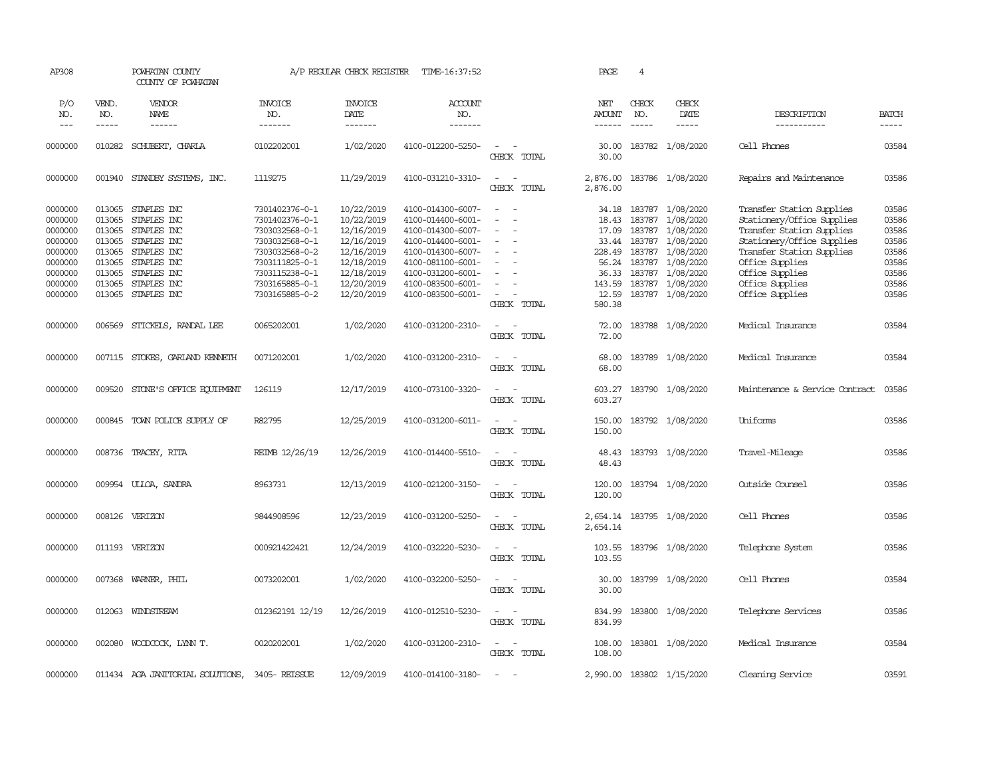| AP308                                                                                |                                                                              | POWHATAN COUNTY<br>COUNTY OF POWHATAN                                                                                |                                                                                                                                              | A/P REGULAR CHECK REGISTER                                                                                   | TIME-16:37:52                                                                                                                                                        |                                                                                         | PAGE                                                          | $\overline{4}$                                           |                                                                                                                          |                                                                                                                                                                                                          |                                                                      |
|--------------------------------------------------------------------------------------|------------------------------------------------------------------------------|----------------------------------------------------------------------------------------------------------------------|----------------------------------------------------------------------------------------------------------------------------------------------|--------------------------------------------------------------------------------------------------------------|----------------------------------------------------------------------------------------------------------------------------------------------------------------------|-----------------------------------------------------------------------------------------|---------------------------------------------------------------|----------------------------------------------------------|--------------------------------------------------------------------------------------------------------------------------|----------------------------------------------------------------------------------------------------------------------------------------------------------------------------------------------------------|----------------------------------------------------------------------|
| P/O<br>NO.<br>$---$                                                                  | VEND.<br>NO.<br>$- - - - -$                                                  | VENDOR<br>NAME<br>$- - - - - -$                                                                                      | <b>INVOICE</b><br>NO.<br>-------                                                                                                             | <b>INVOICE</b><br>DATE<br>-------                                                                            | <b>ACCOUNT</b><br>NO.<br>-------                                                                                                                                     |                                                                                         | NET<br><b>AMOUNT</b><br>------                                | CHECK<br>NO.<br>$\frac{1}{2}$                            | CHECK<br>DATE<br>$- - - - -$                                                                                             | DESCRIPTION<br>-----------                                                                                                                                                                               | <b>BATCH</b><br>-----                                                |
| 0000000                                                                              | 010282                                                                       | SCHUBERT, CHARLA                                                                                                     | 0102202001                                                                                                                                   | 1/02/2020                                                                                                    | 4100-012200-5250-                                                                                                                                                    | $\sim$<br>CHECK TOTAL                                                                   | 30.00<br>30.00                                                |                                                          | 183782 1/08/2020                                                                                                         | Cell Phones                                                                                                                                                                                              | 03584                                                                |
| 0000000                                                                              | 001940                                                                       | STANDBY SYSTEMS, INC.                                                                                                | 1119275                                                                                                                                      | 11/29/2019                                                                                                   | 4100-031210-3310-                                                                                                                                                    | $\sim$<br>$\sim$<br>CHECK TOTAL                                                         | 2,876.00<br>2,876.00                                          |                                                          | 183786 1/08/2020                                                                                                         | Repairs and Maintenance                                                                                                                                                                                  | 03586                                                                |
| 0000000<br>0000000<br>0000000<br>0000000<br>0000000<br>0000000<br>0000000<br>0000000 | 013065<br>013065<br>013065<br>013065<br>013065<br>013065<br>013065<br>013065 | STAPLES INC<br>STAPLES INC<br>STAPLES INC<br>STAPLES INC<br>STAPLES INC<br>STAPLES INC<br>STAPLES INC<br>STAPLES INC | 7301402376-0-1<br>7301402376-0-1<br>7303032568-0-1<br>7303032568-0-1<br>7303032568-0-2<br>7303111825-0-1<br>7303115238-0-1<br>7303165885-0-1 | 10/22/2019<br>10/22/2019<br>12/16/2019<br>12/16/2019<br>12/16/2019<br>12/18/2019<br>12/18/2019<br>12/20/2019 | 4100-014300-6007-<br>4100-014400-6001-<br>4100-014300-6007-<br>4100-014400-6001-<br>4100-014300-6007-<br>4100-081100-6001-<br>4100-031200-6001-<br>4100-083500-6001- | $\sim$ $\sim$<br>$\overline{\phantom{a}}$<br>$\equiv$<br>$\equiv$<br>$\equiv$<br>$\sim$ | 18.43<br>17.09<br>33.44<br>228.49<br>56.24<br>36.33<br>143.59 | 183787<br>183787<br>183787<br>183787<br>183787<br>183787 | 34.18 183787 1/08/2020<br>1/08/2020<br>1/08/2020<br>1/08/2020<br>1/08/2020<br>1/08/2020<br>183787 1/08/2020<br>1/08/2020 | Transfer Station Supplies<br>Stationery/Office Supplies<br>Transfer Station Supplies<br>Stationery/Office Supplies<br>Transfer Station Supplies<br>Office Supplies<br>Office Supplies<br>Office Supplies | 03586<br>03586<br>03586<br>03586<br>03586<br>03586<br>03586<br>03586 |
| 0000000                                                                              | 013065                                                                       | STAPLES INC                                                                                                          | 7303165885-0-2                                                                                                                               | 12/20/2019                                                                                                   | 4100-083500-6001-                                                                                                                                                    | $\sim$<br>CHECK TOTAL                                                                   | 12.59<br>580.38                                               | 183787                                                   | 1/08/2020                                                                                                                | Office Supplies                                                                                                                                                                                          | 03586                                                                |
| 0000000                                                                              | 006569                                                                       | STICKELS, RANDAL LEE                                                                                                 | 0065202001                                                                                                                                   | 1/02/2020                                                                                                    | 4100-031200-2310-                                                                                                                                                    | $\overline{\phantom{a}}$<br>$\sim$<br>CHECK TOTAL                                       | 72.00<br>72.00                                                |                                                          | 183788 1/08/2020                                                                                                         | Medical Insurance                                                                                                                                                                                        | 03584                                                                |
| 0000000                                                                              |                                                                              | 007115 STOKES, GARLAND KENNETH                                                                                       | 0071202001                                                                                                                                   | 1/02/2020                                                                                                    | 4100-031200-2310-                                                                                                                                                    | $\overline{\phantom{a}}$<br>$\sim$<br>CHECK TOTAL                                       | 68.00<br>68.00                                                |                                                          | 183789 1/08/2020                                                                                                         | Medical Insurance                                                                                                                                                                                        | 03584                                                                |
| 0000000                                                                              |                                                                              | 009520 STONE'S OFFICE EQUIPMENT                                                                                      | 126119                                                                                                                                       | 12/17/2019                                                                                                   | 4100-073100-3320-                                                                                                                                                    | $\sim$<br>$\sim$<br>CHECK TOTAL                                                         | 603.27<br>603.27                                              |                                                          | 183790 1/08/2020                                                                                                         | Maintenance & Service Contract                                                                                                                                                                           | 03586                                                                |
| 0000000                                                                              | 000845                                                                       | TOWN POLICE SUPPLY OF                                                                                                | R82795                                                                                                                                       | 12/25/2019                                                                                                   | 4100-031200-6011-                                                                                                                                                    | $\sim$ 100 $\sim$<br>CHECK TOTAL                                                        | 150.00<br>150.00                                              |                                                          | 183792 1/08/2020                                                                                                         | Uniforms                                                                                                                                                                                                 | 03586                                                                |
| 0000000                                                                              |                                                                              | 008736 TRACEY, RITA                                                                                                  | REIMB 12/26/19                                                                                                                               | 12/26/2019                                                                                                   | 4100-014400-5510-                                                                                                                                                    | $\overline{\phantom{a}}$<br>$\sim$<br>CHECK TOTAL                                       | 48.43<br>48.43                                                |                                                          | 183793 1/08/2020                                                                                                         | Travel-Mileage                                                                                                                                                                                           | 03586                                                                |
| 0000000                                                                              | 009954                                                                       | ULLOA, SANDRA                                                                                                        | 8963731                                                                                                                                      | 12/13/2019                                                                                                   | 4100-021200-3150-                                                                                                                                                    | $\sim$<br>$\sim$<br>CHECK TOTAL                                                         | 120.00<br>120.00                                              |                                                          | 183794 1/08/2020                                                                                                         | Outside Counsel                                                                                                                                                                                          | 03586                                                                |
| 0000000                                                                              | 008126                                                                       | VERIZON                                                                                                              | 9844908596                                                                                                                                   | 12/23/2019                                                                                                   | 4100-031200-5250-                                                                                                                                                    | $\sim$<br>CHECK TOTAL                                                                   | 2,654.14<br>2,654.14                                          |                                                          | 183795 1/08/2020                                                                                                         | Cell Phones                                                                                                                                                                                              | 03586                                                                |
| 0000000                                                                              |                                                                              | 011193 VERIZON                                                                                                       | 000921422421                                                                                                                                 | 12/24/2019                                                                                                   | 4100-032220-5230-                                                                                                                                                    | $\sim$<br>$\sim$<br>CHECK TOTAL                                                         | 103.55<br>103.55                                              |                                                          | 183796 1/08/2020                                                                                                         | Telephone System                                                                                                                                                                                         | 03586                                                                |
| 0000000                                                                              | 007368                                                                       | WARNER, PHIL                                                                                                         | 0073202001                                                                                                                                   | 1/02/2020                                                                                                    | 4100-032200-5250-                                                                                                                                                    | $\overline{\phantom{a}}$<br>$\sim$<br>CHECK TOTAL                                       | 30.00<br>30.00                                                |                                                          | 183799 1/08/2020                                                                                                         | Cell Phones                                                                                                                                                                                              | 03584                                                                |
| 0000000                                                                              |                                                                              | 012063 WINDSTREAM                                                                                                    | 012362191 12/19                                                                                                                              | 12/26/2019                                                                                                   | 4100-012510-5230-                                                                                                                                                    | $\sim$<br>$\sim$<br>CHECK TOTAL                                                         | 834.99<br>834.99                                              |                                                          | 183800 1/08/2020                                                                                                         | Telephone Services                                                                                                                                                                                       | 03586                                                                |
| 0000000                                                                              |                                                                              | 002080 WOODCOCK, LYNN T.                                                                                             | 0020202001                                                                                                                                   | 1/02/2020                                                                                                    | 4100-031200-2310-                                                                                                                                                    | $\overline{\phantom{a}}$<br>$\sim$<br>CHECK TOTAL                                       | 108.00<br>108.00                                              |                                                          | 183801 1/08/2020                                                                                                         | Medical Insurance                                                                                                                                                                                        | 03584                                                                |
| 0000000                                                                              |                                                                              | 011434 AGA JANITORIAL SOLUTIONS,                                                                                     | 3405-REISSUE                                                                                                                                 | 12/09/2019                                                                                                   | 4100-014100-3180-                                                                                                                                                    | $\overline{a}$                                                                          |                                                               |                                                          | 2,990.00 183802 1/15/2020                                                                                                | Cleaning Service                                                                                                                                                                                         | 03591                                                                |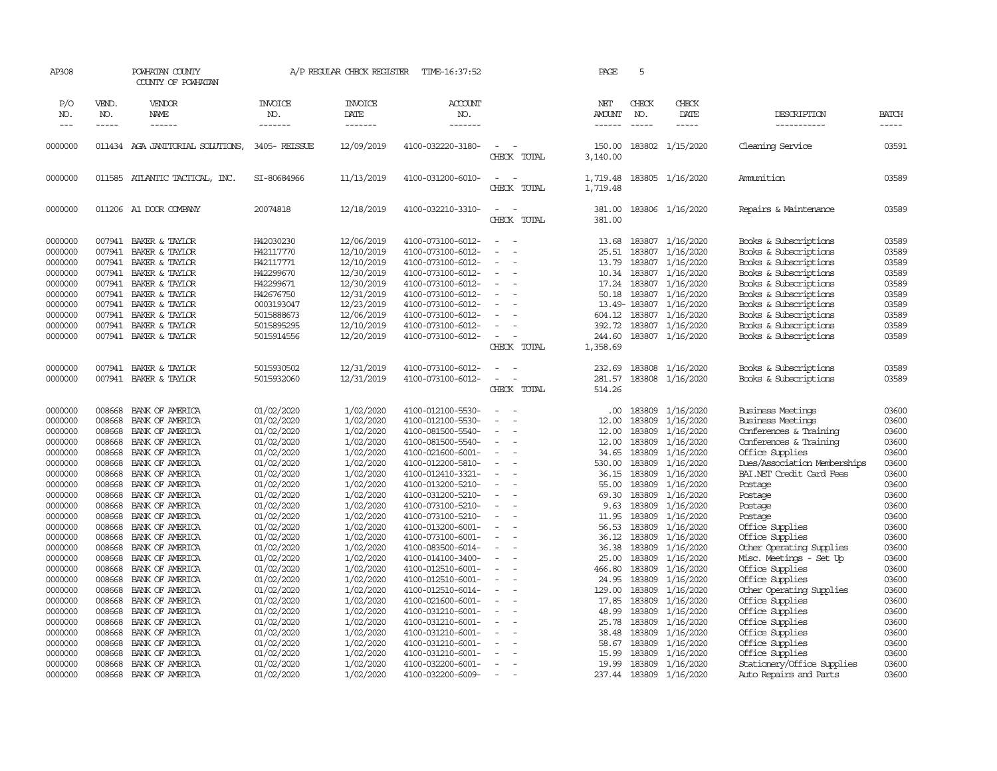| AP308         |              | POWHATAN COUNTY<br>COUNTY OF POWHATAN |                       | A/P REGULAR CHECK REGISTER | TIME-16:37:52     |                                    | PAGE                 | 5                             |                         |                              |              |
|---------------|--------------|---------------------------------------|-----------------------|----------------------------|-------------------|------------------------------------|----------------------|-------------------------------|-------------------------|------------------------------|--------------|
| P/O<br>NO.    | VEND.<br>NO. | VENDOR<br>NAME                        | <b>INVOICE</b><br>NO. | <b>INVOICE</b><br>DATE     | ACCOUNT<br>NO.    |                                    | NET<br>AMOUNT        | CHECK<br>NO.<br>$\frac{1}{2}$ | CHECK<br>DATE           | DESCRIPTION                  | <b>BATCH</b> |
| $\frac{1}{2}$ | -----        | ------                                | -------               | -------                    | -------           |                                    | $- - - - - -$        |                               | $- - - - -$             | -----------                  | -----        |
| 0000000       |              | 011434 AGA JANITORIAL SOLUTIONS,      | 3405-REISSUE          | 12/09/2019                 | 4100-032220-3180- | CHECK TOTAL                        | 150.00<br>3,140.00   |                               | 183802 1/15/2020        | Cleaning Service             | 03591        |
| 0000000       |              | 011585 ATLANTIC TACTICAL, INC.        | SI-80684966           | 11/13/2019                 | 4100-031200-6010- | $\equiv$<br>$\sim$<br>CHECK TOTAL  | 1,719.48<br>1,719.48 |                               | 183805 1/16/2020        | Ammunition                   | 03589        |
| 0000000       |              | 011206 A1 DOOR COMPANY                | 20074818              | 12/18/2019                 | 4100-032210-3310- | $\equiv$<br>$\sim$<br>CHECK TOTAL  | 381.00<br>381.00     |                               | 183806 1/16/2020        | Repairs & Maintenance        | 03589        |
| 0000000       | 007941       | BAKER & TAYLOR                        | H42030230             | 12/06/2019                 | 4100-073100-6012- | - 1                                | 13.68                | 183807                        | 1/16/2020               | Books & Subscriptions        | 03589        |
| 0000000       | 007941       | BAKER & TAYLOR                        | H42117770             | 12/10/2019                 | 4100-073100-6012- | $\sim$<br>$\sim$                   | 25.51                | 183807                        | 1/16/2020               | Books & Subscriptions        | 03589        |
| 0000000       | 007941       | BAKER & TAYLOR                        | H42117771             | 12/10/2019                 | 4100-073100-6012- |                                    | 13.79                | 183807                        | 1/16/2020               | Books & Subscriptions        | 03589        |
| 0000000       | 007941       | BAKER & TAYLOR                        | H42299670             | 12/30/2019                 | 4100-073100-6012- |                                    | 10.34                | 183807                        | 1/16/2020               | Books & Subscriptions        | 03589        |
| 0000000       | 007941       | BAKER & TAYLOR                        | H42299671             | 12/30/2019                 | 4100-073100-6012- |                                    | 17.24                | 183807                        | 1/16/2020               | Books & Subscriptions        | 03589        |
| 0000000       | 007941       | BAKER & TAYLOR                        | H42676750             | 12/31/2019                 | 4100-073100-6012- |                                    | 50.18                | 183807                        | 1/16/2020               | Books & Subscriptions        | 03589        |
| 0000000       | 007941       | BAKER & TAYLOR                        | 0003193047            | 12/23/2019                 | 4100-073100-6012- |                                    |                      | 13.49-183807                  | 1/16/2020               | Books & Subscriptions        | 03589        |
| 0000000       | 007941       | BAKER & TAYLOR                        | 5015888673            | 12/06/2019                 | 4100-073100-6012- |                                    | 604.12               | 183807                        | 1/16/2020               | Books & Subscriptions        | 03589        |
| 0000000       | 007941       | BAKER & TAYLOR                        | 5015895295            | 12/10/2019                 | 4100-073100-6012- |                                    | 392.72               | 183807                        | 1/16/2020               | Books & Subscriptions        | 03589        |
| 0000000       | 007941       | BAKER & TAYLOR                        | 5015914556            | 12/20/2019                 | 4100-073100-6012- | $\overline{a}$                     | 244.60               | 183807                        | 1/16/2020               | Books & Subscriptions        | 03589        |
|               |              |                                       |                       |                            |                   | CHECK TOTAL                        | 1,358.69             |                               |                         |                              |              |
| 0000000       | 007941       | BAKER & TAYLOR                        | 5015930502            | 12/31/2019                 | 4100-073100-6012- | $\sim$<br>$\sim$                   | 232.69               | 183808                        | 1/16/2020               | Books & Subscriptions        | 03589        |
| 0000000       | 007941       | BAKER & TAYLOR                        | 5015932060            | 12/31/2019                 | 4100-073100-6012- | $\sim$<br>$\overline{\phantom{a}}$ | 281.57               | 183808                        | 1/16/2020               | Books & Subscriptions        | 03589        |
|               |              |                                       |                       |                            |                   | CHECK TOTAL                        | 514.26               |                               |                         |                              |              |
| 0000000       | 008668       | BANK OF AMERICA                       | 01/02/2020            | 1/02/2020                  | 4100-012100-5530- | $\equiv$<br>$\sim$                 | .00.                 | 183809                        | 1/16/2020               | Business Meetings            | 03600        |
| 0000000       | 008668       | BANK OF AMERICA                       | 01/02/2020            | 1/02/2020                  | 4100-012100-5530- |                                    | 12.00                | 183809                        | 1/16/2020               | <b>Business Meetings</b>     | 03600        |
| 0000000       | 008668       | BANK OF AMERICA                       | 01/02/2020            | 1/02/2020                  | 4100-081500-5540- |                                    | 12.00                | 183809                        | 1/16/2020               | Conferences & Training       | 03600        |
| 0000000       | 008668       | BANK OF AMERICA                       | 01/02/2020            | 1/02/2020                  | 4100-081500-5540- |                                    | 12.00                | 183809                        | 1/16/2020               | Conferences & Training       | 03600        |
| 0000000       | 008668       | BANK OF AMERICA                       | 01/02/2020            | 1/02/2020                  | 4100-021600-6001- | $\sim$                             | 34.65                | 183809                        | 1/16/2020               | Office Supplies              | 03600        |
| 0000000       | 008668       | BANK OF AMERICA                       | 01/02/2020            | 1/02/2020                  | 4100-012200-5810- | $\sim$                             | 530.00               | 183809                        | 1/16/2020               | Dues/Association Memberships | 03600        |
| 0000000       | 008668       | BANK OF AMERICA                       | 01/02/2020            | 1/02/2020                  | 4100-012410-3321- |                                    | 36.15                | 183809                        | 1/16/2020               | BAI.NET Credit Card Fees     | 03600        |
| 0000000       | 008668       | BANK OF AMERICA                       | 01/02/2020            | 1/02/2020                  | 4100-013200-5210- | $\equiv$                           | 55.00                | 183809                        | 1/16/2020               | Postage                      | 03600        |
| 0000000       | 008668       | BANK OF AMERICA                       | 01/02/2020            | 1/02/2020                  | 4100-031200-5210- |                                    | 69.30                | 183809                        | 1/16/2020               | Postage                      | 03600        |
| 0000000       | 008668       | BANK OF AMERICA                       | 01/02/2020            | 1/02/2020                  | 4100-073100-5210- |                                    | 9.63                 | 183809                        | 1/16/2020               | Postage                      | 03600        |
| 0000000       | 008668       | BANK OF AMERICA                       | 01/02/2020            | 1/02/2020                  | 4100-073100-5210- |                                    | 11.95                | 183809                        | 1/16/2020               | Postage                      | 03600        |
| 0000000       | 008668       | BANK OF AMERICA                       | 01/02/2020            | 1/02/2020                  | 4100-013200-6001- | $\equiv$<br>÷,                     | 56.53                | 183809                        | 1/16/2020               | Office Supplies              | 03600        |
| 0000000       | 008668       | BANK OF AMERICA                       | 01/02/2020            | 1/02/2020                  | 4100-073100-6001- |                                    | 36.12                | 183809                        | 1/16/2020               | Office Supplies              | 03600        |
| 0000000       | 008668       | BANK OF AMERICA                       | 01/02/2020            | 1/02/2020                  | 4100-083500-6014- |                                    | 36.38                | 183809                        | 1/16/2020               | Other Operating Supplies     | 03600        |
| 0000000       | 008668       | BANK OF AMERICA                       | 01/02/2020            | 1/02/2020                  | 4100-014100-3400- | $\sim$<br>÷.                       | 25.00                | 183809                        | 1/16/2020               | Misc. Meetings - Set Up      | 03600        |
| 0000000       | 008668       | BANK OF AMERICA                       | 01/02/2020            | 1/02/2020                  | 4100-012510-6001- | ÷,                                 | 466.80               | 183809                        | 1/16/2020               | Office Supplies              | 03600        |
| 0000000       | 008668       | BANK OF AMERICA                       | 01/02/2020            | 1/02/2020                  | 4100-012510-6001- |                                    | 24.95                | 183809                        | 1/16/2020               | Office Supplies              | 03600        |
| 0000000       | 008668       | BANK OF AMERICA                       | 01/02/2020            | 1/02/2020                  | 4100-012510-6014- |                                    | 129.00               | 183809                        | 1/16/2020               | Other Operating Supplies     | 03600        |
| 0000000       | 008668       | BANK OF AMERICA                       | 01/02/2020            | 1/02/2020                  | 4100-021600-6001- | $\blacksquare$<br>÷,               | 17.85                | 183809                        | 1/16/2020               | Office Supplies              | 03600        |
| 0000000       | 008668       | BANK OF AMERICA                       | 01/02/2020            | 1/02/2020                  | 4100-031210-6001- |                                    | 48.99                | 183809                        | 1/16/2020               | Office Supplies              | 03600        |
| 0000000       | 008668       | BANK OF AMERICA                       | 01/02/2020            | 1/02/2020                  | 4100-031210-6001- | $\overline{\phantom{a}}$           | 25.78                | 183809                        | 1/16/2020               | Office Supplies              | 03600        |
| 0000000       | 008668       | BANK OF AMERICA                       | 01/02/2020            | 1/02/2020                  | 4100-031210-6001- |                                    | 38.48                | 183809                        | 1/16/2020               | Office Supplies              | 03600        |
| 0000000       | 008668       | BANK OF AMERICA                       | 01/02/2020            | 1/02/2020                  | 4100-031210-6001- |                                    | 58.67                | 183809                        | 1/16/2020               | Office Supplies              | 03600        |
| 0000000       | 008668       | BANK OF AMERICA                       | 01/02/2020            | 1/02/2020                  | 4100-031210-6001- |                                    | 15.99                | 183809                        | 1/16/2020               | Office Supplies              | 03600        |
| 0000000       | 008668       | BANK OF AMERICA                       | 01/02/2020            | 1/02/2020                  | 4100-032200-6001- |                                    | 19.99                | 183809                        | 1/16/2020               | Stationery/Office Supplies   | 03600        |
| 0000000       |              | 008668 BANK OF AMERICA                | 01/02/2020            | 1/02/2020                  | 4100-032200-6009- | $\equiv$                           |                      |                               | 237.44 183809 1/16/2020 | Auto Repairs and Parts       | 03600        |
|               |              |                                       |                       |                            |                   |                                    |                      |                               |                         |                              |              |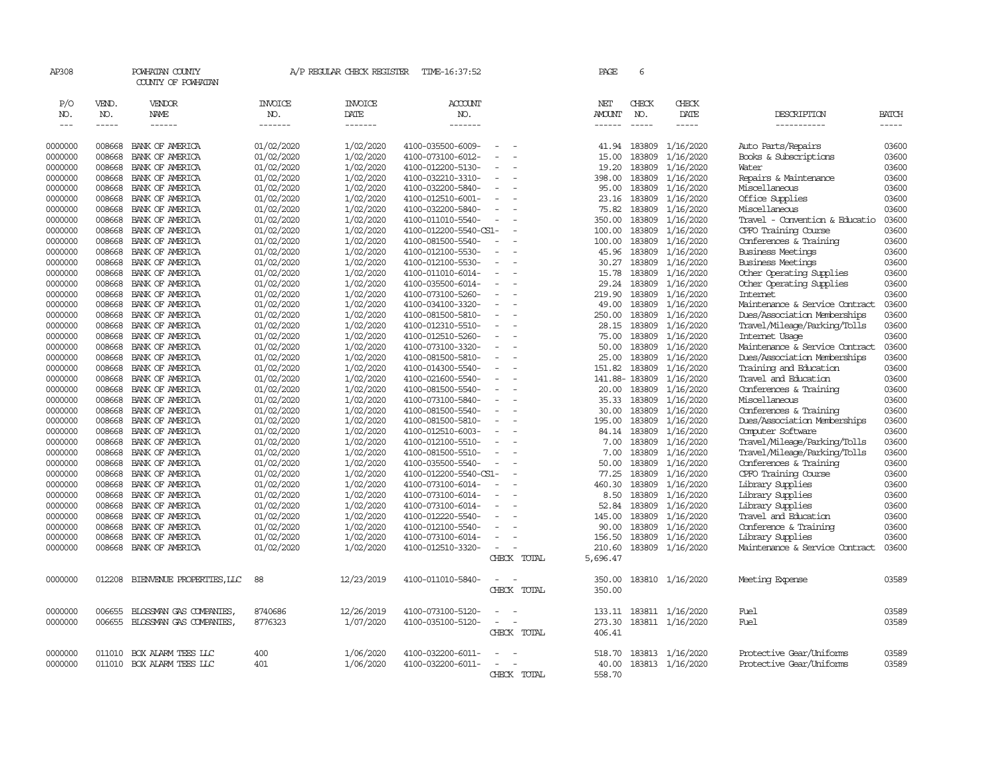| AP308              |              | POWHATAN COUNTY<br>COUNTY OF POWHATAN           |                       | A/P REGULAR CHECK REGISTER | TIME-16:37:52         |                                    |             | PAGE                 | 6            |                  |                                |                |
|--------------------|--------------|-------------------------------------------------|-----------------------|----------------------------|-----------------------|------------------------------------|-------------|----------------------|--------------|------------------|--------------------------------|----------------|
| P/O<br>NO.         | VEND.<br>NO. | VENDOR<br><b>NAME</b>                           | <b>INVOICE</b><br>NO. | <b>INVOICE</b><br>DATE     | <b>ACCOUNT</b><br>NO. |                                    |             | NET<br><b>AMOUNT</b> | CHECK<br>NO. | CHECK<br>DATE    | DESCRIPTION                    | BATCH          |
| $---$              | $- - - - -$  | ------                                          | -------               | -------                    | -------               |                                    |             | ------               |              | -----            | -----------                    | -----          |
| 0000000            | 008668       | BANK OF AMERICA                                 | 01/02/2020            | 1/02/2020                  | 4100-035500-6009-     |                                    |             | 41.94                | 183809       | 1/16/2020        | Auto Parts/Repairs             | 03600          |
| 0000000            | 008668       | BANK OF AMERICA                                 | 01/02/2020            | 1/02/2020                  | 4100-073100-6012-     | ٠                                  |             | 15.00                | 183809       | 1/16/2020        | Books & Subscriptions          | 03600          |
| 0000000            | 008668       | BANK OF AMERICA                                 | 01/02/2020            | 1/02/2020                  | 4100-012200-5130-     |                                    |             | 19.20                | 183809       | 1/16/2020        | Water                          | 03600          |
| 0000000            | 008668       | BANK OF AMERICA                                 | 01/02/2020            | 1/02/2020                  | 4100-032210-3310-     |                                    |             | 398.00               | 183809       | 1/16/2020        | Repairs & Maintenance          | 03600          |
| 0000000            | 008668       | BANK OF AMERICA                                 | 01/02/2020            | 1/02/2020                  | 4100-032200-5840-     |                                    |             | 95.00                | 183809       | 1/16/2020        | Miscellaneous                  | 03600          |
| 0000000            | 008668       | BANK OF AMERICA                                 | 01/02/2020            | 1/02/2020                  | 4100-012510-6001-     |                                    |             | 23.16                | 183809       | 1/16/2020        | Office Supplies                | 03600          |
| 0000000            | 008668       | BANK OF AMERICA                                 | 01/02/2020            | 1/02/2020                  | 4100-032200-5840-     |                                    |             | 75.82                | 183809       | 1/16/2020        | Miscellaneous                  | 03600          |
| 0000000            | 008668       | BANK OF AMERICA                                 | 01/02/2020            | 1/02/2020                  | 4100-011010-5540-     | $\equiv$                           |             | 350.00               | 183809       | 1/16/2020        | Travel - Convention & Educatio | 03600          |
| 0000000            | 008668       | BANK OF AMERICA                                 | 01/02/2020            | 1/02/2020                  | 4100-012200-5540-CS1- |                                    |             | 100.00               | 183809       | 1/16/2020        | CPFO Training Course           | 03600          |
| 0000000            | 008668       | BANK OF AMERICA                                 | 01/02/2020            | 1/02/2020                  | 4100-081500-5540-     | $\sim$                             |             | 100.00               | 183809       | 1/16/2020        | Conferences & Training         | 03600          |
| 0000000            | 008668       | BANK OF AMERICA                                 | 01/02/2020            | 1/02/2020                  | 4100-012100-5530-     |                                    |             | 45.96                | 183809       | 1/16/2020        | <b>Business Meetings</b>       | 03600          |
| 0000000            | 008668       | BANK OF AMERICA                                 | 01/02/2020            | 1/02/2020                  | 4100-012100-5530-     | $\sim$                             |             | 30.27                | 183809       | 1/16/2020        | <b>Business Meetings</b>       | 03600          |
| 0000000            | 008668       | BANK OF AMERICA                                 | 01/02/2020            | 1/02/2020                  | 4100-011010-6014-     | $\overline{\phantom{a}}$           |             | 15.78                | 183809       | 1/16/2020        | Other Operating Supplies       | 03600          |
| 0000000            | 008668       | BANK OF AMERICA                                 | 01/02/2020            | 1/02/2020                  | 4100-035500-6014-     |                                    |             | 29.24                | 183809       | 1/16/2020        | Other Operating Supplies       | 03600          |
| 0000000            | 008668       | BANK OF AMERICA                                 | 01/02/2020            | 1/02/2020                  | 4100-073100-5260-     | $\equiv$                           |             | 219.90               | 183809       | 1/16/2020        | Internet                       | 03600          |
| 0000000            | 008668       | BANK OF AMERICA                                 | 01/02/2020            | 1/02/2020                  | 4100-034100-3320-     |                                    |             | 49.00                | 183809       | 1/16/2020        | Maintenance & Service Contract | 03600          |
| 0000000            | 008668       | BANK OF AMERICA                                 | 01/02/2020            | 1/02/2020                  | 4100-081500-5810-     | $\sim$                             |             | 250.00               | 183809       | 1/16/2020        | Dues/Association Memberships   | 03600          |
| 0000000            | 008668       | BANK OF AMERICA                                 | 01/02/2020            | 1/02/2020                  | 4100-012310-5510-     |                                    |             | 28.15                | 183809       | 1/16/2020        | Travel/Mileage/Parking/Tolls   | 03600          |
| 0000000            | 008668       | BANK OF AMERICA                                 | 01/02/2020            | 1/02/2020                  | 4100-012510-5260-     | $\equiv$                           |             | 75.00                | 183809       | 1/16/2020        | Internet Usage                 | 03600          |
| 0000000            | 008668       | BANK OF AMERICA                                 | 01/02/2020            | 1/02/2020                  | 4100-073100-3320-     |                                    |             | 50.00                | 183809       | 1/16/2020        | Maintenance & Service Contract | 03600          |
| 0000000            | 008668       | BANK OF AMERICA                                 | 01/02/2020            | 1/02/2020                  | 4100-081500-5810-     | $\equiv$                           |             | 25.00                | 183809       | 1/16/2020        | Dues/Association Memberships   | 03600          |
| 0000000            | 008668       | BANK OF AMERICA                                 | 01/02/2020            | 1/02/2020                  | 4100-014300-5540-     |                                    |             | 151.82               | 183809       | 1/16/2020        | Training and Education         | 03600          |
| 0000000            | 008668       | BANK OF AMERICA                                 | 01/02/2020            | 1/02/2020                  | 4100-021600-5540-     | $\overline{a}$                     |             | 141.88-183809        |              | 1/16/2020        | Travel and Education           | 03600          |
| 0000000            | 008668       | BANK OF AMERICA                                 | 01/02/2020            | 1/02/2020                  | 4100-081500-5540-     | $\sim$                             |             | 20.00                | 183809       | 1/16/2020        | Conferences & Training         | 03600          |
| 0000000            | 008668       | BANK OF AMERICA                                 | 01/02/2020            | 1/02/2020                  | 4100-073100-5840-     |                                    |             | 35.33                | 183809       | 1/16/2020        | Miscellaneous                  | 03600          |
| 0000000            | 008668       | BANK OF AMERICA                                 | 01/02/2020            | 1/02/2020                  | 4100-081500-5540-     | $\equiv$                           |             | 30.00                | 183809       | 1/16/2020        | Conferences & Training         | 03600          |
| 0000000            | 008668       | BANK OF AMERICA                                 | 01/02/2020            | 1/02/2020                  | 4100-081500-5810-     |                                    |             | 195.00               | 183809       | 1/16/2020        | Dues/Association Memberships   | 03600          |
| 0000000            | 008668       | BANK OF AMERICA                                 | 01/02/2020            | 1/02/2020                  | 4100-012510-6003-     |                                    |             | 84.14                | 183809       | 1/16/2020        | Computer Software              | 03600          |
| 0000000            | 008668       | BANK OF AMERICA                                 | 01/02/2020            | 1/02/2020                  | 4100-012100-5510-     |                                    |             | 7.00                 | 183809       | 1/16/2020        | Travel/Mileage/Parking/Tolls   | 03600          |
| 0000000            | 008668       | BANK OF AMERICA                                 | 01/02/2020            | 1/02/2020                  | 4100-081500-5510-     | $\equiv$                           |             | 7.00                 | 183809       | 1/16/2020        | Travel/Mileage/Parking/Tolls   | 03600          |
| 0000000            | 008668       | BANK OF AMERICA                                 | 01/02/2020            | 1/02/2020                  | 4100-035500-5540-     | $\equiv$                           |             | 50.00                | 183809       | 1/16/2020        | Conferences & Training         | 03600          |
| 0000000            | 008668       | BANK OF AMERICA                                 | 01/02/2020            | 1/02/2020                  | 4100-012200-5540-CS1- |                                    |             | 77.25                | 183809       | 1/16/2020        | CPFO Training Course           | 03600          |
| 0000000            | 008668       | BANK OF AMERICA                                 | 01/02/2020            | 1/02/2020                  | 4100-073100-6014-     |                                    |             | 460.30               | 183809       | 1/16/2020        | Library Supplies               | 03600          |
| 0000000            | 008668       | BANK OF AMERICA                                 | 01/02/2020            | 1/02/2020                  | 4100-073100-6014-     |                                    |             | 8.50                 | 183809       | 1/16/2020        | Library Supplies               | 03600          |
| 0000000            | 008668       | BANK OF AMERICA                                 | 01/02/2020            | 1/02/2020                  | 4100-073100-6014-     |                                    |             | 52.84                | 183809       | 1/16/2020        | Library Supplies               | 03600          |
| 0000000            | 008668       | BANK OF AMERICA                                 | 01/02/2020            | 1/02/2020                  | 4100-012220-5540-     |                                    |             | 145.00               | 183809       | 1/16/2020        | Travel and Education           | 03600          |
| 0000000            | 008668       | BANK OF AMERICA                                 | 01/02/2020            | 1/02/2020                  | 4100-012100-5540-     | $\equiv$                           |             | 90.00                | 183809       | 1/16/2020        | Conference & Training          | 03600          |
| 0000000            | 008668       | BANK OF AMERICA                                 | 01/02/2020            | 1/02/2020                  | 4100-073100-6014-     |                                    |             | 156.50               | 183809       | 1/16/2020        | Library Supplies               | 03600          |
| 0000000            | 008668       | BANK OF AMERICA                                 | 01/02/2020            | 1/02/2020                  | 4100-012510-3320-     | $\equiv$                           |             | 210.60               |              | 183809 1/16/2020 | Maintenance & Service Contract | 03600          |
|                    |              |                                                 |                       |                            |                       |                                    | CHECK TOTAL | 5,696.47             |              |                  |                                |                |
|                    |              |                                                 |                       |                            |                       |                                    |             |                      |              |                  |                                |                |
| 0000000            | 012208       | BIENVENUE PROPERTIES, LLC                       | 88                    | 12/23/2019                 | 4100-011010-5840-     | $\sim$                             |             | 350.00               |              | 183810 1/16/2020 | Meeting Expense                | 03589          |
|                    |              |                                                 |                       |                            |                       |                                    | CHECK TOTAL | 350.00               |              |                  |                                |                |
|                    |              |                                                 |                       |                            |                       |                                    |             |                      |              |                  |                                |                |
| 0000000            | 006655       | BLOSSMAN GAS COMPANIES                          | 8740686               | 12/26/2019                 | 4100-073100-5120-     |                                    |             | 133.11               |              | 183811 1/16/2020 | Fuel                           | 03589          |
| 0000000            | 006655       | BLOSSMAN GAS COMPANIES                          | 8776323               | 1/07/2020                  | 4100-035100-5120-     | $\sim$<br>$\overline{\phantom{a}}$ |             | 273.30               |              | 183811 1/16/2020 | Fuel                           | 03589          |
|                    |              |                                                 |                       |                            |                       |                                    | CHECK TOTAL | 406.41               |              |                  |                                |                |
|                    |              |                                                 |                       |                            |                       |                                    |             |                      |              |                  |                                |                |
| 0000000<br>0000000 | 011010       | BOX ALARM TEES LLC<br>011010 BOX ALARM TEES LLC | 400<br>401            | 1/06/2020                  | 4100-032200-6011-     | $\equiv$                           |             | 518.70               |              | 183813 1/16/2020 | Protective Gear/Uniforms       | 03589<br>03589 |
|                    |              |                                                 |                       | 1/06/2020                  | 4100-032200-6011-     |                                    | CHECK TOTAL | 40.00                |              | 183813 1/16/2020 | Protective Gear/Uniforms       |                |
|                    |              |                                                 |                       |                            |                       |                                    |             | 558.70               |              |                  |                                |                |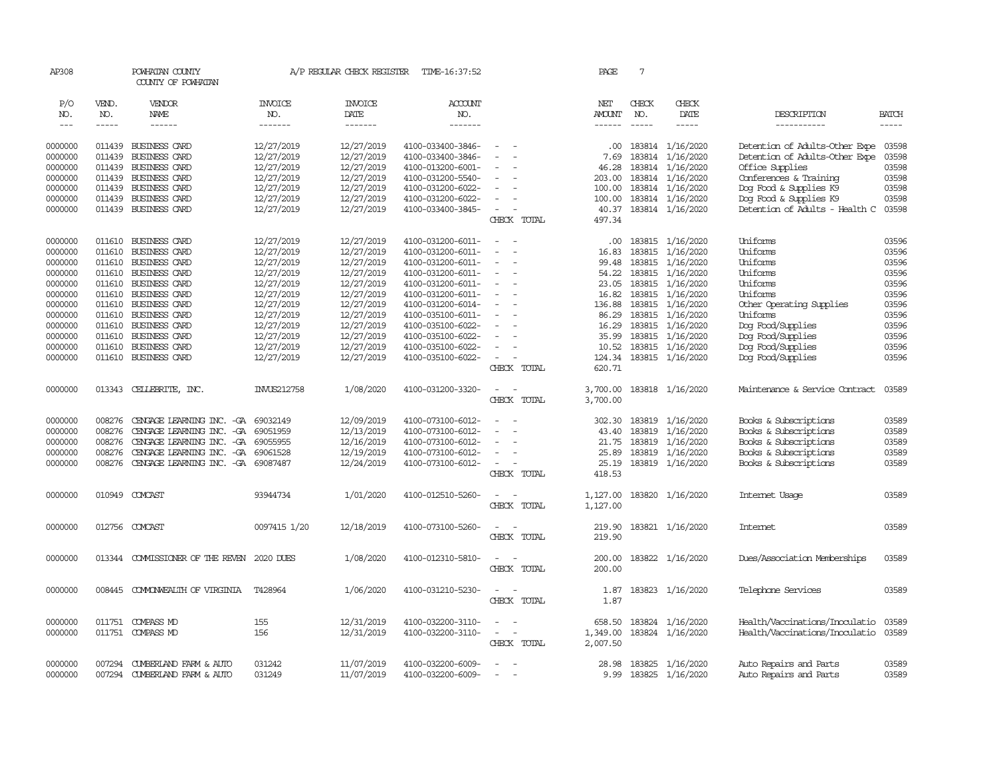| AP308              |                  | POWHATAN COUNTY<br>COUNTY OF POWHATAN |                          | A/P REGULAR CHECK REGISTER | TIME-16:37:52                          |                                             | PAGE                 | 7                                                                                                                                                                                                                                                                                                                                                                                            |                               |                                        |                |
|--------------------|------------------|---------------------------------------|--------------------------|----------------------------|----------------------------------------|---------------------------------------------|----------------------|----------------------------------------------------------------------------------------------------------------------------------------------------------------------------------------------------------------------------------------------------------------------------------------------------------------------------------------------------------------------------------------------|-------------------------------|----------------------------------------|----------------|
| P/O<br>NO.         | VEND.<br>NO.     | VENDOR<br><b>NAME</b>                 | <b>INVOICE</b><br>NO.    | <b>INVOICE</b><br>DATE     | <b>ACCOUNT</b><br>NO.                  |                                             | NET<br><b>AMOUNT</b> | CHECK<br>NO.                                                                                                                                                                                                                                                                                                                                                                                 | CHECK<br>DATE                 | DESCRIPTION                            | <b>BATCH</b>   |
| $  -$              | $- - - - -$      | ------                                | -------                  | -------                    | -------                                |                                             | ------               | $\frac{1}{2} \frac{1}{2} \frac{1}{2} \frac{1}{2} \frac{1}{2} \frac{1}{2} \frac{1}{2} \frac{1}{2} \frac{1}{2} \frac{1}{2} \frac{1}{2} \frac{1}{2} \frac{1}{2} \frac{1}{2} \frac{1}{2} \frac{1}{2} \frac{1}{2} \frac{1}{2} \frac{1}{2} \frac{1}{2} \frac{1}{2} \frac{1}{2} \frac{1}{2} \frac{1}{2} \frac{1}{2} \frac{1}{2} \frac{1}{2} \frac{1}{2} \frac{1}{2} \frac{1}{2} \frac{1}{2} \frac{$ | $\cdots \cdots \cdots$        | -----------                            | $\cdots$       |
| 0000000            | 011439           | BUSINESS CARD                         | 12/27/2019               | 12/27/2019                 | 4100-033400-3846-                      |                                             | .00.                 | 183814                                                                                                                                                                                                                                                                                                                                                                                       | 1/16/2020                     | Detention of Adults-Other Expe         | 03598          |
| 0000000            | 011439           | BUSINESS CARD                         | 12/27/2019               | 12/27/2019                 | 4100-033400-3846-                      |                                             | 7.69                 | 183814                                                                                                                                                                                                                                                                                                                                                                                       | 1/16/2020                     | Detention of Adults-Other Expe         | 03598          |
| 0000000            | 011439           | BUSINESS CARD                         | 12/27/2019               | 12/27/2019                 | 4100-013200-6001-                      |                                             | 46.28                | 183814                                                                                                                                                                                                                                                                                                                                                                                       | 1/16/2020                     | Office Supplies                        | 03598          |
| 0000000            | 011439           | BUSINESS CARD                         | 12/27/2019               | 12/27/2019                 | 4100-031200-5540-                      | $\equiv$                                    | 203.00               | 183814                                                                                                                                                                                                                                                                                                                                                                                       | 1/16/2020                     | Conferences & Training                 | 03598          |
| 0000000            | 011439           | BUSINESS CARD                         | 12/27/2019               | 12/27/2019                 | 4100-031200-6022-                      |                                             | 100.00               | 183814                                                                                                                                                                                                                                                                                                                                                                                       | 1/16/2020                     | Dog Food & Supplies K9                 | 03598          |
| 0000000            | 011439           | <b>BUSINESS CARD</b>                  | 12/27/2019               | 12/27/2019                 | 4100-031200-6022-                      | $\sim$                                      | 100.00               | 183814                                                                                                                                                                                                                                                                                                                                                                                       | 1/16/2020                     | Dog Food & Supplies K9                 | 03598          |
| 0000000            |                  | 011439 BUSINESS CARD                  | 12/27/2019               | 12/27/2019                 | 4100-033400-3845-                      | $\sim$                                      | 40.37                |                                                                                                                                                                                                                                                                                                                                                                                              | 183814 1/16/2020              | Detention of Adults - Health C         | 03598          |
|                    |                  |                                       |                          |                            |                                        | CHECK TOTAL                                 | 497.34               |                                                                                                                                                                                                                                                                                                                                                                                              |                               |                                        |                |
| 0000000            | 011610           | BUSINESS CARD                         | 12/27/2019               | 12/27/2019                 | 4100-031200-6011-                      | $\overline{\phantom{a}}$<br>- -             | .00.                 | 183815                                                                                                                                                                                                                                                                                                                                                                                       | 1/16/2020                     | Uniforms                               | 03596          |
| 0000000            | 011610           | BUSINESS CARD                         | 12/27/2019               | 12/27/2019                 | 4100-031200-6011-                      | $\equiv$<br>$\overline{\phantom{a}}$        | 16.83                | 183815                                                                                                                                                                                                                                                                                                                                                                                       | 1/16/2020                     | Uniforms                               | 03596          |
| 0000000            | 011610           | BUSINESS CARD                         | 12/27/2019               | 12/27/2019                 | 4100-031200-6011-                      | $\sim$                                      | 99.48                | 183815                                                                                                                                                                                                                                                                                                                                                                                       | 1/16/2020                     | Uniforms                               | 03596          |
| 0000000            | 011610           | BUSINESS CARD                         | 12/27/2019               | 12/27/2019                 | 4100-031200-6011-                      | $\sim$                                      | 54.22                | 183815                                                                                                                                                                                                                                                                                                                                                                                       | 1/16/2020                     | Uniforms                               | 03596          |
| 0000000            | 011610           | BUSINESS CARD                         | 12/27/2019               | 12/27/2019                 | 4100-031200-6011-                      | $\sim$                                      | 23.05                | 183815                                                                                                                                                                                                                                                                                                                                                                                       | 1/16/2020                     | Uniforms                               | 03596          |
| 0000000            | 011610           | BUSINESS CARD                         | 12/27/2019               | 12/27/2019                 | 4100-031200-6011-                      | $\sim$                                      | 16.82                | 183815                                                                                                                                                                                                                                                                                                                                                                                       | 1/16/2020                     | Uniforms                               | 03596          |
| 0000000            | 011610           | BUSINESS CARD                         | 12/27/2019               | 12/27/2019                 | 4100-031200-6014-                      |                                             | 136.88               | 183815                                                                                                                                                                                                                                                                                                                                                                                       | 1/16/2020                     | Other Operating Supplies               | 03596          |
| 0000000            | 011610           | BUSINESS CARD                         | 12/27/2019               | 12/27/2019                 | 4100-035100-6011-                      |                                             | 86.29                | 183815                                                                                                                                                                                                                                                                                                                                                                                       | 1/16/2020                     | Uniforms                               | 03596          |
| 0000000            | 011610           | <b>BUSINESS CARD</b>                  | 12/27/2019               | 12/27/2019                 | 4100-035100-6022-                      | $\sim$                                      | 16.29                | 183815                                                                                                                                                                                                                                                                                                                                                                                       | 1/16/2020                     | Dog Food/Supplies                      | 03596          |
| 0000000            | 011610<br>011610 | BUSINESS CARD                         | 12/27/2019               | 12/27/2019                 | 4100-035100-6022-                      |                                             | 35.99                | 183815                                                                                                                                                                                                                                                                                                                                                                                       | 1/16/2020                     | Dog Food/Supplies                      | 03596          |
| 0000000<br>0000000 |                  | BUSINESS CARD<br>011610 BUSINESS CARD | 12/27/2019<br>12/27/2019 | 12/27/2019<br>12/27/2019   | 4100-035100-6022-<br>4100-035100-6022- | $\overline{\phantom{a}}$                    | 10.52<br>124.34      | 183815                                                                                                                                                                                                                                                                                                                                                                                       | 1/16/2020<br>183815 1/16/2020 | Dog Food/Supplies<br>Dog Food/Supplies | 03596<br>03596 |
|                    |                  |                                       |                          |                            |                                        | CHECK TOTAL                                 | 620.71               |                                                                                                                                                                                                                                                                                                                                                                                              |                               |                                        |                |
| 0000000            |                  | 013343 CELLEBRITE, INC.               | INVUS212758              | 1/08/2020                  | 4100-031200-3320-                      | $\omega_{\rm{max}}$ and $\omega_{\rm{max}}$ | 3,700.00             |                                                                                                                                                                                                                                                                                                                                                                                              | 183818 1/16/2020              | Maintenance & Service Contract         | 03589          |
|                    |                  |                                       |                          |                            |                                        | CHECK TOTAL                                 | 3,700.00             |                                                                                                                                                                                                                                                                                                                                                                                              |                               |                                        |                |
| 0000000            | 008276           | CENGAGE LEARNING INC. -GA             | 69032149                 | 12/09/2019                 | 4100-073100-6012-                      |                                             | 302.30               | 183819                                                                                                                                                                                                                                                                                                                                                                                       | 1/16/2020                     | Books & Subscriptions                  | 03589          |
| 0000000            | 008276           | CENGAGE LEARNING INC. -GA             | 69051959                 | 12/13/2019                 | 4100-073100-6012-                      | $\sim$<br>$\overline{\phantom{a}}$          | 43.40                | 183819                                                                                                                                                                                                                                                                                                                                                                                       | 1/16/2020                     | Books & Subscriptions                  | 03589          |
| 0000000            | 008276           | CENGAGE LEARNING INC. -GA             | 69055955                 | 12/16/2019                 | 4100-073100-6012-                      | $\sim$                                      | 21.75                | 183819                                                                                                                                                                                                                                                                                                                                                                                       | 1/16/2020                     | Books & Subscriptions                  | 03589          |
| 0000000            | 008276           | CENGAGE LEARNING INC. - GA 69061528   |                          | 12/19/2019                 | 4100-073100-6012-                      |                                             | 25.89                |                                                                                                                                                                                                                                                                                                                                                                                              | 183819 1/16/2020              | Books & Subscriptions                  | 03589          |
| 0000000            | 008276           | CENGAGE LEARNING INC. - GA 69087487   |                          | 12/24/2019                 | 4100-073100-6012-                      | $\equiv$                                    | 25.19                |                                                                                                                                                                                                                                                                                                                                                                                              | 183819 1/16/2020              | Books & Subscriptions                  | 03589          |
|                    |                  |                                       |                          |                            |                                        | CHECK TOTAL                                 | 418.53               |                                                                                                                                                                                                                                                                                                                                                                                              |                               |                                        |                |
| 0000000            | 010949           | COMCAST                               | 93944734                 | 1/01/2020                  | 4100-012510-5260-                      | $\sim$<br>- -                               | 1,127.00             |                                                                                                                                                                                                                                                                                                                                                                                              | 183820 1/16/2020              | Internet Usage                         | 03589          |
|                    |                  |                                       |                          |                            |                                        | CHECK TOTAL                                 | 1,127.00             |                                                                                                                                                                                                                                                                                                                                                                                              |                               |                                        |                |
| 0000000            | 012756           | COMCAST                               | 0097415 1/20             | 12/18/2019                 | 4100-073100-5260-                      | . —                                         | 219.90               |                                                                                                                                                                                                                                                                                                                                                                                              | 183821 1/16/2020              | Internet                               | 03589          |
|                    |                  |                                       |                          |                            |                                        | CHECK TOTAL                                 | 219.90               |                                                                                                                                                                                                                                                                                                                                                                                              |                               |                                        |                |
| 0000000            | 013344           | COMMISSIONER OF THE REVEN 2020 DUES   |                          | 1/08/2020                  | 4100-012310-5810-                      |                                             | 200.00               |                                                                                                                                                                                                                                                                                                                                                                                              | 183822 1/16/2020              | Dues/Association Memberships           | 03589          |
|                    |                  |                                       |                          |                            |                                        | CHECK TOTAL                                 | 200.00               |                                                                                                                                                                                                                                                                                                                                                                                              |                               |                                        |                |
| 0000000            | 008445           | COMONWEALTH OF VIRGINIA               | T428964                  | 1/06/2020                  | 4100-031210-5230-                      |                                             | 1.87                 |                                                                                                                                                                                                                                                                                                                                                                                              | 183823 1/16/2020              | Telephone Services                     | 03589          |
|                    |                  |                                       |                          |                            |                                        | CHECK TOTAL                                 | 1.87                 |                                                                                                                                                                                                                                                                                                                                                                                              |                               |                                        |                |
| 0000000            |                  | 011751 COMPASS MD                     | 155                      | 12/31/2019                 | 4100-032200-3110-                      | $\sim$                                      | 658.50               |                                                                                                                                                                                                                                                                                                                                                                                              | 183824 1/16/2020              | Health/Vaccinations/Inoculatio         | 03589          |
| 0000000            |                  | 011751 COMPASS MD                     | 156                      | 12/31/2019                 | 4100-032200-3110-                      | $\sim$<br>$\sim$                            | 1,349.00             |                                                                                                                                                                                                                                                                                                                                                                                              | 183824 1/16/2020              | Health/Vaccinations/Inoculatio         | 03589          |
|                    |                  |                                       |                          |                            |                                        | CHECK TOTAL                                 | 2,007.50             |                                                                                                                                                                                                                                                                                                                                                                                              |                               |                                        |                |
| 0000000            | 007294           | CUMBERLAND FARM & AUTO                | 031242                   | 11/07/2019                 | 4100-032200-6009-                      | $\overline{\phantom{a}}$                    | 28.98                |                                                                                                                                                                                                                                                                                                                                                                                              | 183825 1/16/2020              | Auto Repairs and Parts                 | 03589          |
| 0000000            |                  | 007294 CUMBERLAND FARM & AUTO         | 031249                   | 11/07/2019                 | 4100-032200-6009-                      | $\overline{a}$                              | 9.99                 |                                                                                                                                                                                                                                                                                                                                                                                              | 183825 1/16/2020              | Auto Repairs and Parts                 | 03589          |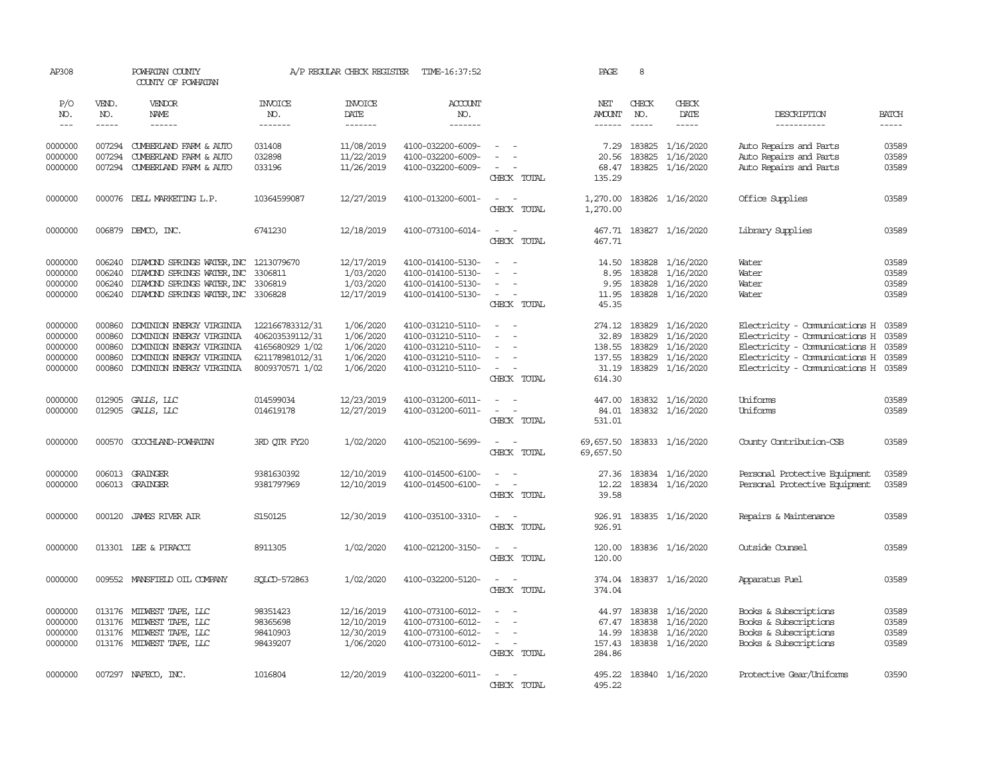| AP308                                               |                                                | POWHATAN COUNTY<br>COUNTY OF POWHATAN                                                                                                           |                                                                                             | A/P REGULAR CHECK REGISTER                                    | TIME-16:37:52                                                                                         |                                                                                                                                                 | PAGE                                        | 8                                           |                                                                            |                                                                                                                                                                                                 |                                  |
|-----------------------------------------------------|------------------------------------------------|-------------------------------------------------------------------------------------------------------------------------------------------------|---------------------------------------------------------------------------------------------|---------------------------------------------------------------|-------------------------------------------------------------------------------------------------------|-------------------------------------------------------------------------------------------------------------------------------------------------|---------------------------------------------|---------------------------------------------|----------------------------------------------------------------------------|-------------------------------------------------------------------------------------------------------------------------------------------------------------------------------------------------|----------------------------------|
| P/O<br>NO.                                          | VEND.<br>NO.                                   | VENDOR<br>NAME                                                                                                                                  | <b>INVOICE</b><br>NO.                                                                       | <b>INVOICE</b><br>DATE                                        | ACCOUNT<br>NO.                                                                                        |                                                                                                                                                 | NET<br>AMOUNT                               | CHECK<br>NO.                                | CHECK<br>DATE                                                              | DESCRIPTION                                                                                                                                                                                     | <b>BATCH</b>                     |
| $\frac{1}{2}$                                       | -----                                          | $- - - - - -$                                                                                                                                   | -------                                                                                     | -------                                                       | -------                                                                                               |                                                                                                                                                 | $- - - - - -$                               | $- - - - -$                                 | $- - - - -$                                                                | -----------                                                                                                                                                                                     | $- - - - -$                      |
| 0000000<br>0000000<br>0000000                       | 007294                                         | 007294 CUMBERLAND FARM & AUTO<br>CUMBERLAND FARM & AUTO<br>007294 CUMBERLAND FARM & AUTO                                                        | 031408<br>032898<br>033196                                                                  | 11/08/2019<br>11/22/2019<br>11/26/2019                        | 4100-032200-6009-<br>4100-032200-6009-<br>4100-032200-6009-                                           | $\sim$<br>$\equiv$<br>$\sim$<br>CHECK TOTAL                                                                                                     | 20.56<br>68.47<br>135.29                    | 183825                                      | 7.29 183825 1/16/2020<br>1/16/2020<br>183825 1/16/2020                     | Auto Repairs and Parts<br>Auto Repairs and Parts<br>Auto Repairs and Parts                                                                                                                      | 03589<br>03589<br>03589          |
| 0000000                                             |                                                | 000076 DELL MARKETING L.P.                                                                                                                      | 10364599087                                                                                 | 12/27/2019                                                    | 4100-013200-6001-                                                                                     | $\sim$<br>$\sim$<br>CHECK TOTAL                                                                                                                 | 1,270.00<br>1,270.00                        |                                             | 183826 1/16/2020                                                           | Office Supplies                                                                                                                                                                                 | 03589                            |
| 0000000                                             |                                                | 006879 DEMCO, INC.                                                                                                                              | 6741230                                                                                     | 12/18/2019                                                    | 4100-073100-6014-                                                                                     | $\sim$<br>$\sim$<br>CHECK TOTAL                                                                                                                 | 467.71                                      |                                             | 467.71 183827 1/16/2020                                                    | Library Supplies                                                                                                                                                                                | 03589                            |
| 0000000<br>0000000<br>0000000<br>0000000            | 006240<br>006240<br>006240<br>006240           | DIAMOND SPRINGS WATER, INC 1213079670<br>DIAMOND SPRINGS WATER, INC<br>DIAMOND SPRINGS WATER, INC 3306819<br>DIAMOND SPRINGS WATER, INC 3306828 | 3306811                                                                                     | 12/17/2019<br>1/03/2020<br>1/03/2020<br>12/17/2019            | 4100-014100-5130-<br>4100-014100-5130-<br>4100-014100-5130-<br>4100-014100-5130-                      | $\sim$ $\sim$<br>$\sim$<br>$\sim$<br>$\sim$ $ -$<br>CHECK TOTAL                                                                                 | 8.95<br>9.95<br>11.95<br>45.35              | 183828<br>183828                            | 14.50 183828 1/16/2020<br>1/16/2020<br>1/16/2020<br>183828 1/16/2020       | Water<br>Water<br>Water<br>Water                                                                                                                                                                | 03589<br>03589<br>03589<br>03589 |
| 0000000<br>0000000<br>0000000<br>0000000<br>0000000 | 000860<br>000860<br>000860<br>000860<br>000860 | DOMINION ENERGY VIRGINIA<br>DOMINION ENERGY VIRGINIA<br>DOMINION ENERGY VIRGINIA<br>DOMINION ENERGY VIRGINIA<br>DOMINION ENERGY VIRGINIA        | 122166783312/31<br>406203539112/31<br>4165680929 1/02<br>621178981012/31<br>8009370571 1/02 | 1/06/2020<br>1/06/2020<br>1/06/2020<br>1/06/2020<br>1/06/2020 | 4100-031210-5110-<br>4100-031210-5110-<br>4100-031210-5110-<br>4100-031210-5110-<br>4100-031210-5110- | $\sim$<br>$\equiv$<br>$\sim$<br>$\sim$<br>$\sim$<br>$\sim$ $  -$<br>CHECK TOTAL                                                                 | 32.89<br>138.55<br>137.55<br>614.30         | 274.12 183829<br>183829<br>183829<br>183829 | 1/16/2020<br>1/16/2020<br>1/16/2020<br>1/16/2020<br>31.19 183829 1/16/2020 | Electricity - Comunications H 03589<br>Electricity - Comunications H 03589<br>Electricity - Comunications H 03589<br>Electricity - Comunications H 03589<br>Electricity - Comunications H 03589 |                                  |
| 0000000<br>0000000                                  |                                                | 012905 GALLS, LLC<br>012905 GALLS, LLC                                                                                                          | 014599034<br>014619178                                                                      | 12/23/2019<br>12/27/2019                                      | 4100-031200-6011-<br>4100-031200-6011-                                                                | $\sim$<br>$\sim$<br>$\sim$ $ -$<br>CHECK TOTAL                                                                                                  | 447.00<br>84.01<br>531.01                   |                                             | 183832 1/16/2020<br>183832 1/16/2020                                       | Uniforms<br>Uniforms                                                                                                                                                                            | 03589<br>03589                   |
| 0000000                                             |                                                | 000570 GOOCHLAND-POWHATAN                                                                                                                       | 3RD QTR FY20                                                                                | 1/02/2020                                                     | 4100-052100-5699-                                                                                     | $\sim$ $ \sim$<br>CHECK TOTAL                                                                                                                   | 69,657.50<br>69,657.50                      |                                             | 183833 1/16/2020                                                           | County Contribution-CSB                                                                                                                                                                         | 03589                            |
| 0000000<br>0000000                                  |                                                | 006013 GRAINGER<br>006013 GRAINGER                                                                                                              | 9381630392<br>9381797969                                                                    | 12/10/2019<br>12/10/2019                                      | 4100-014500-6100-<br>4100-014500-6100-                                                                | $\sim$<br>$\sim$<br>$\frac{1}{2} \left( \frac{1}{2} \right) \left( \frac{1}{2} \right) = \frac{1}{2} \left( \frac{1}{2} \right)$<br>CHECK TOTAL | 27.36<br>12.22<br>39.58                     |                                             | 183834 1/16/2020<br>183834 1/16/2020                                       | Personal Protective Equipment<br>Personal Protective Equipment                                                                                                                                  | 03589<br>03589                   |
| 0000000                                             | 000120                                         | JAMES RIVER AIR                                                                                                                                 | S150125                                                                                     | 12/30/2019                                                    | 4100-035100-3310-                                                                                     | $\sim$<br>$\sim$<br>CHECK TOTAL                                                                                                                 | 926.91<br>926.91                            |                                             | 183835 1/16/2020                                                           | Repairs & Maintenance                                                                                                                                                                           | 03589                            |
| 0000000                                             |                                                | 013301 LEE & PIRACCI                                                                                                                            | 8911305                                                                                     | 1/02/2020                                                     | 4100-021200-3150-                                                                                     | $\equiv$<br>CHECK TOTAL                                                                                                                         | 120.00<br>120.00                            |                                             | 183836 1/16/2020                                                           | Outside Counsel                                                                                                                                                                                 | 03589                            |
| 0000000                                             |                                                | 009552 MANSFIELD OIL COMPANY                                                                                                                    | SOLCD-572863                                                                                | 1/02/2020                                                     | 4100-032200-5120-                                                                                     | $\sim$<br>$\sim$<br>CHECK TOTAL                                                                                                                 | 374.04<br>374.04                            |                                             | 183837 1/16/2020                                                           | Apparatus Fuel                                                                                                                                                                                  | 03589                            |
| 0000000<br>0000000<br>0000000<br>0000000            |                                                | 013176 MIDWEST TAPE, LLC<br>013176 MIDWEST TAPE, LLC<br>013176 MIDWEST TAPE, LLC<br>013176 MIDWEST TAPE, LLC                                    | 98351423<br>98365698<br>98410903<br>98439207                                                | 12/16/2019<br>12/10/2019<br>12/30/2019<br>1/06/2020           | 4100-073100-6012-<br>4100-073100-6012-<br>4100-073100-6012-<br>4100-073100-6012-                      | $\sim$<br>$\sim$<br>$\sim$<br>$\sim$<br>$\sim$<br>$\overline{\phantom{a}}$<br>CHECK TOTAL                                                       | 44.97<br>67.47<br>14.99<br>157.43<br>284.86 | 183838                                      | 183838 1/16/2020<br>1/16/2020<br>183838 1/16/2020<br>183838 1/16/2020      | Books & Subscriptions<br>Books & Subscriptions<br>Books & Subscriptions<br>Books & Subscriptions                                                                                                | 03589<br>03589<br>03589<br>03589 |
| 0000000                                             |                                                | 007297 NAFECO, INC.                                                                                                                             | 1016804                                                                                     | 12/20/2019                                                    | 4100-032200-6011-                                                                                     | $\sim$<br>CHECK TOTAL                                                                                                                           | 495.22                                      |                                             | 495.22 183840 1/16/2020                                                    | Protective Gear/Uniforms                                                                                                                                                                        | 03590                            |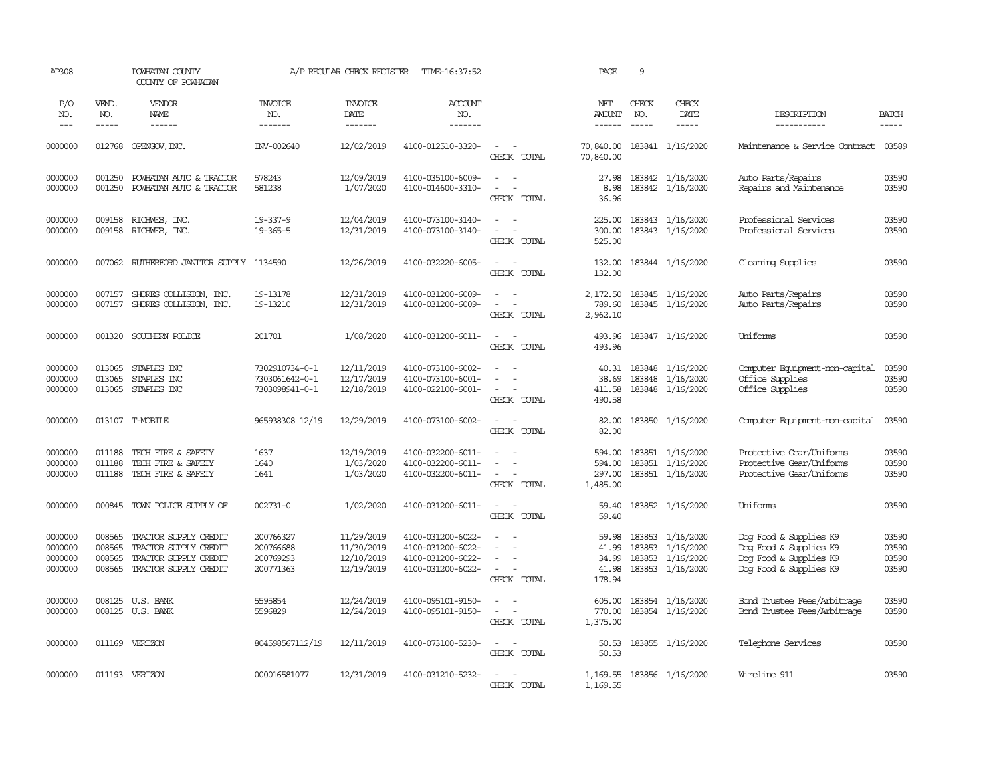| AP308                                    |                                      | POWHATAN COUNTY<br>COUNTY OF POWHATAN                                                            |                                                    | A/P REGULAR CHECK REGISTER                           | TIME-16:37:52                                                                    |                                                                     | PAGE                                       | 9                             |                                                          |                                                                                                      |                                  |
|------------------------------------------|--------------------------------------|--------------------------------------------------------------------------------------------------|----------------------------------------------------|------------------------------------------------------|----------------------------------------------------------------------------------|---------------------------------------------------------------------|--------------------------------------------|-------------------------------|----------------------------------------------------------|------------------------------------------------------------------------------------------------------|----------------------------------|
| P/O<br>NO.<br>$---$                      | VEND.<br>NO.<br>$- - - - -$          | VENDOR<br>NAME                                                                                   | <b>INVOICE</b><br>NO.                              | <b>INVOICE</b><br>DATE                               | ACCOUNT<br>NO.                                                                   |                                                                     | NET<br><b>AMOUNT</b>                       | CHECK<br>NO.<br>$\frac{1}{2}$ | <b>CHECK</b><br>DATE<br>$- - - - -$                      | DESCRIPTION                                                                                          | <b>BATCH</b>                     |
|                                          |                                      |                                                                                                  | -------                                            | -------                                              | -------                                                                          |                                                                     | $- - - - - -$                              |                               |                                                          | -----------                                                                                          | -----                            |
| 0000000                                  | 012768                               | OPENGOV, INC.                                                                                    | INV-002640                                         | 12/02/2019                                           | 4100-012510-3320-                                                                | $\sim$<br>$\sim$<br>CHECK TOTAL                                     | 70,840.00<br>70,840.00                     |                               | 183841 1/16/2020                                         | Maintenance & Service Contract                                                                       | 03589                            |
| 0000000<br>0000000                       | 001250<br>001250                     | POWHATAN AUTO & TRACTOR<br>POWHATAN AUTO & TRACTOR                                               | 578243<br>581238                                   | 12/09/2019<br>1/07/2020                              | 4100-035100-6009-<br>4100-014600-3310-                                           | $\sim$<br>$\sim$<br>$\sim$<br>$\sim$<br>CHECK TOTAL                 | 27.98<br>8.98<br>36.96                     |                               | 183842 1/16/2020<br>183842 1/16/2020                     | Auto Parts/Repairs<br>Repairs and Maintenance                                                        | 03590<br>03590                   |
| 0000000<br>0000000                       | 009158<br>009158                     | RICHWEB, INC.<br>RICHWEB, INC.                                                                   | $19 - 337 - 9$<br>19-365-5                         | 12/04/2019<br>12/31/2019                             | 4100-073100-3140-<br>4100-073100-3140-                                           | $\equiv$<br>$\sim$<br>CHECK TOTAL                                   | 225.00<br>300.00<br>525.00                 | 183843                        | 183843 1/16/2020<br>1/16/2020                            | Professional Services<br>Professional Services                                                       | 03590<br>03590                   |
| 0000000                                  |                                      | 007062 RUIHERFORD JANITOR SUPPLY 1134590                                                         |                                                    | 12/26/2019                                           | 4100-032220-6005-                                                                | $\overline{a}$<br>$\sim$<br>CHECK TOTAL                             | 132.00<br>132.00                           |                               | 183844 1/16/2020                                         | Cleaning Supplies                                                                                    | 03590                            |
| 0000000<br>0000000                       | 007157<br>007157                     | SHORES COLLISION, INC.<br>SHORES COLLISION, INC.                                                 | 19-13178<br>19-13210                               | 12/31/2019<br>12/31/2019                             | 4100-031200-6009-<br>4100-031200-6009-                                           | $\sim$<br>$\sim$<br>$\sim$<br>$\sim$<br>CHECK TOTAL                 | 2,172.50<br>789.60<br>2,962.10             |                               | 183845 1/16/2020<br>183845 1/16/2020                     | Auto Parts/Repairs<br>Auto Parts/Repairs                                                             | 03590<br>03590                   |
| 0000000                                  | 001320                               | SOUTHERN POLICE                                                                                  | 201701                                             | 1/08/2020                                            | 4100-031200-6011-                                                                | $\overline{\phantom{a}}$<br>$\overline{\phantom{a}}$<br>CHECK TOTAL | 493.96<br>493.96                           |                               | 183847 1/16/2020                                         | Uniforms                                                                                             | 03590                            |
| 0000000<br>0000000<br>0000000            | 013065<br>013065<br>013065           | STAPLES INC<br>STAPLES INC<br>STAPLES INC                                                        | 7302910734-0-1<br>7303061642-0-1<br>7303098941-0-1 | 12/11/2019<br>12/17/2019<br>12/18/2019               | 4100-073100-6002-<br>4100-073100-6001-<br>4100-022100-6001-                      | $\equiv$<br>$\sim$<br>CHECK TOTAL                                   | 40.31<br>38.69<br>411.58<br>490.58         |                               | 183848 1/16/2020<br>183848 1/16/2020<br>183848 1/16/2020 | Computer Equipment-non-capital<br>Office Supplies<br>Office Supplies                                 | 03590<br>03590<br>03590          |
| 0000000                                  |                                      | 013107 T-MOBILE                                                                                  | 965938308 12/19                                    | 12/29/2019                                           | 4100-073100-6002-                                                                | $\overline{\phantom{a}}$<br>$\sim$<br>CHECK TOTAL                   | 82.00<br>82.00                             |                               | 183850 1/16/2020                                         | Computer Equipment-non-capital                                                                       | 03590                            |
| 0000000<br>0000000<br>0000000            | 011188<br>011188<br>011188           | TECH FIRE & SAFETY<br>TECH FIRE & SAFETY<br>TECH FIRE & SAFETY                                   | 1637<br>1640<br>1641                               | 12/19/2019<br>1/03/2020<br>1/03/2020                 | 4100-032200-6011-<br>4100-032200-6011-<br>4100-032200-6011-                      | $\blacksquare$<br>$\sim$<br>$\sim$<br>CHECK TOTAL                   | 594.00<br>594.00<br>297.00<br>1,485.00     |                               | 183851 1/16/2020<br>183851 1/16/2020<br>183851 1/16/2020 | Protective Gear/Uniforms<br>Protective Gear/Uniforms<br>Protective Gear/Uniforms                     | 03590<br>03590<br>03590          |
| 0000000                                  | 000845                               | TOWN POLICE SUPPLY OF                                                                            | 002731-0                                           | 1/02/2020                                            | 4100-031200-6011-                                                                | $\sim$<br>$\sim$<br>CHECK TOTAL                                     | 59.40<br>59.40                             |                               | 183852 1/16/2020                                         | Uniforms                                                                                             | 03590                            |
| 0000000<br>0000000<br>0000000<br>0000000 | 008565<br>008565<br>008565<br>008565 | TRACTOR SUPPLY CREDIT<br>TRACTOR SUPPLY CREDIT<br>TRACTOR SUPPLY CREDIT<br>TRACTOR SUPPLY CREDIT | 200766327<br>200766688<br>200769293<br>200771363   | 11/29/2019<br>11/30/2019<br>12/10/2019<br>12/19/2019 | 4100-031200-6022-<br>4100-031200-6022-<br>4100-031200-6022-<br>4100-031200-6022- | $\equiv$<br>$\sim$<br>$\sim$<br>CHECK TOTAL                         | 59.98<br>41.99<br>34.99<br>41.98<br>178.94 | 183853<br>183853<br>183853    | 1/16/2020<br>1/16/2020<br>1/16/2020<br>183853 1/16/2020  | Dog Food & Supplies K9<br>Dog Food & Supplies K9<br>Dog Food & Supplies K9<br>Dog Food & Supplies K9 | 03590<br>03590<br>03590<br>03590 |
| 0000000<br>0000000                       | 008125                               | U.S. BANK<br>008125 U.S. BANK                                                                    | 5595854<br>5596829                                 | 12/24/2019<br>12/24/2019                             | 4100-095101-9150-<br>4100-095101-9150-                                           | $\sim$<br>$\sim$<br>$\overline{\phantom{a}}$<br>CHECK TOTAL         | 605.00<br>770.00<br>1,375.00               |                               | 183854 1/16/2020<br>183854 1/16/2020                     | Bond Trustee Fees/Arbitrage<br><b>Bond Trustee Fees/Arbitrage</b>                                    | 03590<br>03590                   |
| 0000000                                  | 011169                               | VERIZON                                                                                          | 804598567112/19                                    | 12/11/2019                                           | 4100-073100-5230-                                                                | $\sim$ $\sim$<br>$\overline{a}$<br>CHECK TOTAL                      | 50.53<br>50.53                             |                               | 183855 1/16/2020                                         | Telephone Services                                                                                   | 03590                            |
| 0000000                                  |                                      | 011193 VERIZON                                                                                   | 000016581077                                       | 12/31/2019                                           | 4100-031210-5232-                                                                | $\overline{\phantom{a}}$<br>CHECK TOTAL                             | 1,169.55<br>1,169.55                       |                               | 183856 1/16/2020                                         | Wireline 911                                                                                         | 03590                            |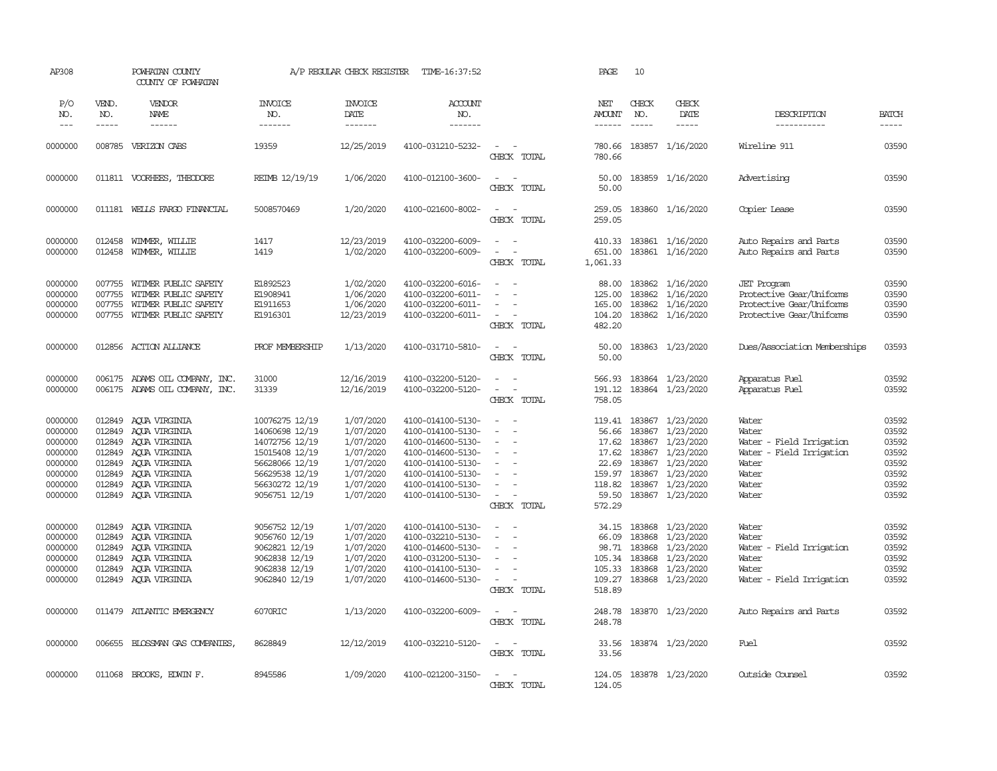| AP308                                                                                |                                                                              | POWHATAN COUNTY<br>COUNTY OF POWHATAN                                                                                                |                                                                                                                                             | A/P REGULAR CHECK REGISTER                                                                           | TIME-16:37:52                                                                                                                                                        |                                                                                                                                     | PAGE                                                                              | 10                                                                                                                                                                                                                                                                                                                                                                                                           |                                                                                                                    |                                                                                                            |                                                                      |
|--------------------------------------------------------------------------------------|------------------------------------------------------------------------------|--------------------------------------------------------------------------------------------------------------------------------------|---------------------------------------------------------------------------------------------------------------------------------------------|------------------------------------------------------------------------------------------------------|----------------------------------------------------------------------------------------------------------------------------------------------------------------------|-------------------------------------------------------------------------------------------------------------------------------------|-----------------------------------------------------------------------------------|--------------------------------------------------------------------------------------------------------------------------------------------------------------------------------------------------------------------------------------------------------------------------------------------------------------------------------------------------------------------------------------------------------------|--------------------------------------------------------------------------------------------------------------------|------------------------------------------------------------------------------------------------------------|----------------------------------------------------------------------|
| P/O<br>NO.<br>$---$                                                                  | VEND.<br>NO.<br>-----                                                        | VENDOR<br>NAME<br>$- - - - - -$                                                                                                      | <b>INVOICE</b><br>NO.<br>-------                                                                                                            | <b>INVOICE</b><br>DATE<br>-------                                                                    | <b>ACCOUNT</b><br>NO.<br>-------                                                                                                                                     |                                                                                                                                     | NET<br><b>AMOUNT</b><br>------                                                    | CHECK<br>NO.<br>$\frac{1}{2} \frac{1}{2} \frac{1}{2} \frac{1}{2} \frac{1}{2} \frac{1}{2} \frac{1}{2} \frac{1}{2} \frac{1}{2} \frac{1}{2} \frac{1}{2} \frac{1}{2} \frac{1}{2} \frac{1}{2} \frac{1}{2} \frac{1}{2} \frac{1}{2} \frac{1}{2} \frac{1}{2} \frac{1}{2} \frac{1}{2} \frac{1}{2} \frac{1}{2} \frac{1}{2} \frac{1}{2} \frac{1}{2} \frac{1}{2} \frac{1}{2} \frac{1}{2} \frac{1}{2} \frac{1}{2} \frac{$ | CHECK<br>DATE<br>$- - - - -$                                                                                       | DESCRIPTION<br>-----------                                                                                 | <b>BATCH</b><br>-----                                                |
| 0000000                                                                              |                                                                              | 008785 VERIZON CABS                                                                                                                  | 19359                                                                                                                                       | 12/25/2019                                                                                           | 4100-031210-5232-                                                                                                                                                    | CHECK TOTAL                                                                                                                         | 780.66<br>780.66                                                                  |                                                                                                                                                                                                                                                                                                                                                                                                              | 183857 1/16/2020                                                                                                   | Wireline 911                                                                                               | 03590                                                                |
| 0000000                                                                              |                                                                              | 011811 VOORHEES, THEODORE                                                                                                            | REIMB 12/19/19                                                                                                                              | 1/06/2020                                                                                            | 4100-012100-3600-                                                                                                                                                    | $\sim$<br>$\sim$<br>CHECK TOTAL                                                                                                     | 50.00<br>50.00                                                                    |                                                                                                                                                                                                                                                                                                                                                                                                              | 183859 1/16/2020                                                                                                   | Advertising                                                                                                | 03590                                                                |
| 0000000                                                                              |                                                                              | 011181 WELLS FARGO FINANCIAL                                                                                                         | 5008570469                                                                                                                                  | 1/20/2020                                                                                            | 4100-021600-8002-                                                                                                                                                    | $\sim$ $ \sim$<br>CHECK TOTAL                                                                                                       | 259.05<br>259.05                                                                  |                                                                                                                                                                                                                                                                                                                                                                                                              | 183860 1/16/2020                                                                                                   | Copier Lease                                                                                               | 03590                                                                |
| 0000000<br>0000000                                                                   | 012458<br>012458                                                             | WIMMER, WILLIE<br>WIMMER, WILLIE                                                                                                     | 1417<br>1419                                                                                                                                | 12/23/2019<br>1/02/2020                                                                              | 4100-032200-6009-<br>4100-032200-6009-                                                                                                                               | $\sim$<br>$\sim$<br>$\overline{\phantom{a}}$<br>$\sim$<br>CHECK TOTAL                                                               | 651.00<br>1,061.33                                                                |                                                                                                                                                                                                                                                                                                                                                                                                              | 410.33 183861 1/16/2020<br>183861 1/16/2020                                                                        | Auto Repairs and Parts<br>Auto Repairs and Parts                                                           | 03590<br>03590                                                       |
| 0000000<br>0000000<br>0000000<br>0000000                                             | 007755<br>007755<br>007755<br>007755                                         | WITMER PUBLIC SAFETY<br>WITMER PUBLIC SAFETY<br>WITMER PUBLIC SAFETY<br>WITMER PUBLIC SAFETY                                         | E1892523<br>E1908941<br>E1911653<br>E1916301                                                                                                | 1/02/2020<br>1/06/2020<br>1/06/2020<br>12/23/2019                                                    | 4100-032200-6016-<br>4100-032200-6011-<br>4100-032200-6011-<br>4100-032200-6011-                                                                                     | $\sim$<br>$\overline{\phantom{a}}$<br>$\overline{\phantom{a}}$<br>$\sim$<br>. —<br>CHECK TOTAL                                      | 88.00<br>125.00<br>165.00<br>104.20<br>482.20                                     | 183862<br>183862                                                                                                                                                                                                                                                                                                                                                                                             | 1/16/2020<br>1/16/2020<br>183862 1/16/2020<br>183862 1/16/2020                                                     | <b>JET</b> Program<br>Protective Gear/Uniforms<br>Protective Gear/Uniforms<br>Protective Gear/Uniforms     | 03590<br>03590<br>03590<br>03590                                     |
| 0000000                                                                              |                                                                              | 012856 ACTION ALLIANCE                                                                                                               | PROF MEMBERSHIP                                                                                                                             | 1/13/2020                                                                                            | 4100-031710-5810-                                                                                                                                                    | $\overline{\phantom{a}}$<br>$\sim$<br>CHECK TOTAL                                                                                   | 50.00<br>50.00                                                                    |                                                                                                                                                                                                                                                                                                                                                                                                              | 183863 1/23/2020                                                                                                   | Dues/Association Memberships                                                                               | 03593                                                                |
| 0000000<br>0000000                                                                   | 006175                                                                       | 006175 ADAMS OIL COMPANY, INC.<br>ADAMS OIL COMPANY, INC.                                                                            | 31000<br>31339                                                                                                                              | 12/16/2019<br>12/16/2019                                                                             | 4100-032200-5120-<br>4100-032200-5120-                                                                                                                               | $\overline{\phantom{a}}$<br>$\sim$<br>$\overline{\phantom{a}}$<br>$\sim$<br>CHECK TOTAL                                             | 566.93<br>191.12<br>758.05                                                        |                                                                                                                                                                                                                                                                                                                                                                                                              | 183864 1/23/2020<br>183864 1/23/2020                                                                               | Apparatus Fuel<br>Apparatus Fuel                                                                           | 03592<br>03592                                                       |
| 0000000<br>0000000<br>0000000<br>0000000<br>0000000<br>0000000<br>0000000<br>0000000 | 012849<br>012849<br>012849<br>012849<br>012849<br>012849<br>012849<br>012849 | AQUA VIRGINIA<br>ACUA VIRGINIA<br>ACUA VIRGINIA<br>AOUA VIRGINIA<br>AQUA VIRGINIA<br>AQUA VIRGINIA<br>AQUA VIRGINIA<br>AQUA VIRGINIA | 10076275 12/19<br>14060698 12/19<br>14072756 12/19<br>15015408 12/19<br>56628066 12/19<br>56629538 12/19<br>56630272 12/19<br>9056751 12/19 | 1/07/2020<br>1/07/2020<br>1/07/2020<br>1/07/2020<br>1/07/2020<br>1/07/2020<br>1/07/2020<br>1/07/2020 | 4100-014100-5130-<br>4100-014100-5130-<br>4100-014600-5130-<br>4100-014600-5130-<br>4100-014100-5130-<br>4100-014100-5130-<br>4100-014100-5130-<br>4100-014100-5130- | $\sim$<br>$\equiv$<br>$\equiv$<br>$\sim$<br>$\overline{\phantom{a}}$<br>$\sim$<br>$\sim$<br>$\blacksquare$<br>$\sim$<br>CHECK TOTAL | 119.41<br>56.66<br>17.62<br>17.62<br>22.69<br>159.97<br>118.82<br>59.50<br>572.29 | 183867<br>183867<br>183867<br>183867<br>183867<br>183867                                                                                                                                                                                                                                                                                                                                                     | 1/23/2020<br>1/23/2020<br>183867 1/23/2020<br>1/23/2020<br>1/23/2020<br>1/23/2020<br>1/23/2020<br>183867 1/23/2020 | Water<br>Water<br>Water - Field Irrigation<br>Water - Field Irrigation<br>Water<br>Water<br>Water<br>Water | 03592<br>03592<br>03592<br>03592<br>03592<br>03592<br>03592<br>03592 |
| 0000000<br>0000000<br>0000000<br>0000000<br>0000000<br>0000000                       | 012849<br>012849<br>012849<br>012849<br>012849<br>012849                     | AQUA VIRGINIA<br>AQUA VIRGINIA<br>AQUA VIRGINIA<br>AQUA VIRGINIA<br>AQUA VIRGINIA<br>AQUA VIRGINIA                                   | 9056752 12/19<br>9056760 12/19<br>9062821 12/19<br>9062838 12/19<br>9062838 12/19<br>9062840 12/19                                          | 1/07/2020<br>1/07/2020<br>1/07/2020<br>1/07/2020<br>1/07/2020<br>1/07/2020                           | 4100-014100-5130-<br>4100-032210-5130-<br>4100-014600-5130-<br>4100-031200-5130-<br>4100-014100-5130-<br>4100-014600-5130-                                           | $\sim$<br>$\sim$<br>$\blacksquare$<br>$\sim$<br>$\sim$<br>$\overline{\phantom{a}}$<br>$\sim$<br>$\sim$<br>CHECK TOTAL               | 34.15<br>66.09<br>98.71<br>105.33<br>109.27<br>518.89                             | 183868<br>183868<br>105.34 183868<br>183868<br>183868                                                                                                                                                                                                                                                                                                                                                        | 183868 1/23/2020<br>1/23/2020<br>1/23/2020<br>1/23/2020<br>1/23/2020<br>1/23/2020                                  | Water<br>Water<br>Water - Field Irrigation<br>Water<br>Water<br>Water - Field Irrigation                   | 03592<br>03592<br>03592<br>03592<br>03592<br>03592                   |
| 0000000                                                                              |                                                                              | 011479 ATLANTIC EMERGENCY                                                                                                            | 6070RIC                                                                                                                                     | 1/13/2020                                                                                            | 4100-032200-6009-                                                                                                                                                    | $\overline{\phantom{a}}$<br>$\sim$<br>CHECK TOTAL                                                                                   | 248.78<br>248.78                                                                  |                                                                                                                                                                                                                                                                                                                                                                                                              | 183870 1/23/2020                                                                                                   | Auto Repairs and Parts                                                                                     | 03592                                                                |
| 0000000                                                                              |                                                                              | 006655 BLOSSMAN GAS COMPANIES,                                                                                                       | 8628849                                                                                                                                     | 12/12/2019                                                                                           | 4100-032210-5120-                                                                                                                                                    | $\sim$<br>$\overline{\phantom{a}}$<br>CHECK TOTAL                                                                                   | 33.56<br>33.56                                                                    |                                                                                                                                                                                                                                                                                                                                                                                                              | 183874 1/23/2020                                                                                                   | Fuel                                                                                                       | 03592                                                                |
| 0000000                                                                              |                                                                              | 011068 BROOKS, EDWIN F.                                                                                                              | 8945586                                                                                                                                     | 1/09/2020                                                                                            | 4100-021200-3150-                                                                                                                                                    | $\sim$<br><b>CHECK</b><br><b>TOTAL</b>                                                                                              | 124.05<br>124,05                                                                  |                                                                                                                                                                                                                                                                                                                                                                                                              | 183878 1/23/2020                                                                                                   | Outside Counsel                                                                                            | 03592                                                                |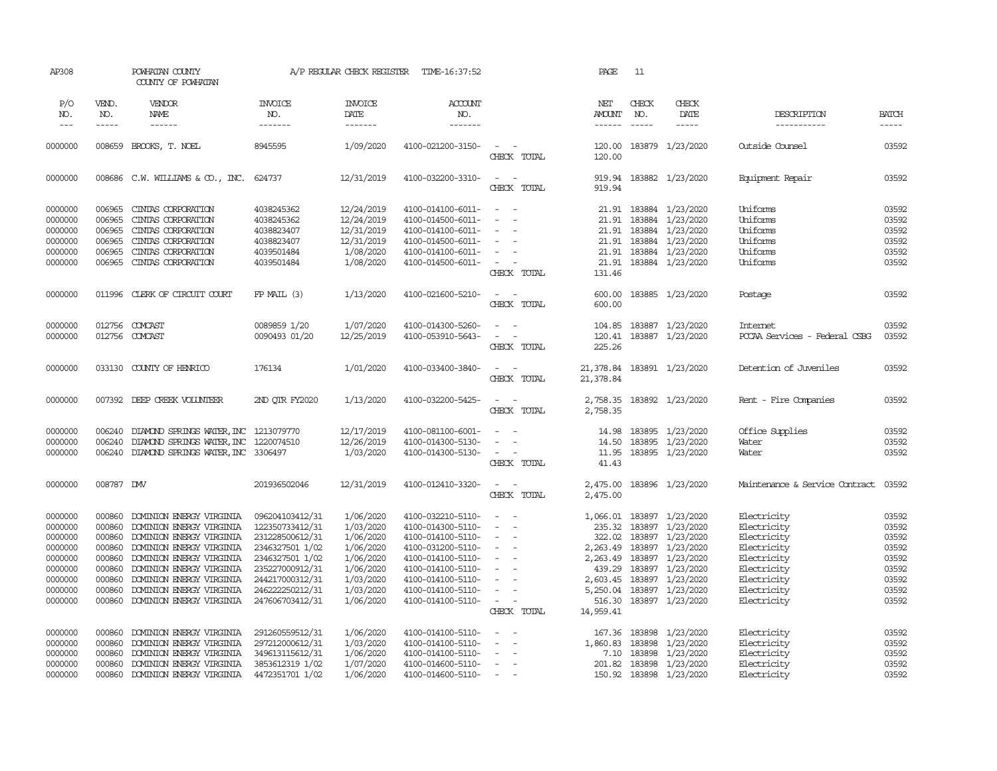| AP308               |                       | POWHATAN COUNTY<br>COUNTY OF POWHATAN   |                                  | A/P REGULAR CHECK REGISTER         | TIME-16:37:52                            |                                         | PAGE                           | 11                            |                              |                                |                       |
|---------------------|-----------------------|-----------------------------------------|----------------------------------|------------------------------------|------------------------------------------|-----------------------------------------|--------------------------------|-------------------------------|------------------------------|--------------------------------|-----------------------|
| P/O<br>NO.<br>$---$ | VEND.<br>NO.<br>----- | VENDOR<br>NAME<br>$- - - - - -$         | <b>INVOICE</b><br>NO.<br>------- | <b>INVOICE</b><br>DATE<br>-------- | <b>ACCOUNT</b><br>NO.<br>$- - - - - - -$ |                                         | NET<br>AMOUNT<br>$- - - - - -$ | CHECK<br>NO.<br>$\frac{1}{2}$ | CHECK<br>DATE<br>$- - - - -$ | DESCRIPTION<br>-----------     | <b>BATCH</b><br>----- |
|                     |                       |                                         |                                  |                                    |                                          |                                         |                                |                               |                              |                                |                       |
| 0000000             | 008659                | BROOKS, T. NOEL                         | 8945595                          | 1/09/2020                          | 4100-021200-3150-                        | $\overline{\phantom{a}}$<br>CHECK TOTAL | 120.00<br>120.00               |                               | 183879 1/23/2020             | Outside Counsel                | 03592                 |
| 0000000             |                       | 008686 C.W. WILLIAMS & CO., INC. 624737 |                                  | 12/31/2019                         | 4100-032200-3310-                        | $\sim$<br>$\sim$<br>CHECK TOTAL         | 919.94<br>919.94               |                               | 183882 1/23/2020             | Equipment Repair               | 03592                 |
| 0000000             | 006965                | CINIAS CORPORATION                      | 4038245362                       | 12/24/2019                         | 4100-014100-6011-                        | $\sim$                                  | 21.91                          |                               | 183884 1/23/2020             | Uniforms                       | 03592                 |
| 0000000             | 006965                | CINIAS CORPORATION                      | 4038245362                       | 12/24/2019                         | 4100-014500-6011-                        | $\equiv$<br>$\sim$                      | 21.91                          | 183884                        | 1/23/2020                    | Uniforms                       | 03592                 |
| 0000000             | 006965                | CINIAS CORPORATION                      | 4038823407                       | 12/31/2019                         | 4100-014100-6011-                        | $\equiv$                                | 21.91                          | 183884                        | 1/23/2020                    | Uniforms                       | 03592                 |
| 0000000             | 006965                | CINIAS CORPORATION                      | 4038823407                       | 12/31/2019                         | 4100-014500-6011-                        |                                         |                                | 21.91 183884                  | 1/23/2020                    | Uniforms                       | 03592                 |
| 0000000             | 006965                | CINTAS CORPORATION                      | 4039501484                       | 1/08/2020                          | 4100-014100-6011-                        | $\sim$                                  | 21.91                          |                               | 183884 1/23/2020             | Uniforms                       | 03592                 |
| 0000000             | 006965                | CINIAS CORPORATION                      | 4039501484                       | 1/08/2020                          | 4100-014500-6011-                        | $\overline{\phantom{a}}$                | 21.91                          |                               | 183884 1/23/2020             | Uniforms                       | 03592                 |
|                     |                       |                                         |                                  |                                    |                                          | CHECK TOTAL                             | 131.46                         |                               |                              |                                |                       |
| 0000000             |                       | 011996 CLERK OF CIRCUIT COURT           | $FP$ MAIL $(3)$                  | 1/13/2020                          | 4100-021600-5210-                        | $\sim$<br>$\sim$                        | 600.00                         |                               | 183885 1/23/2020             | Postage                        | 03592                 |
|                     |                       |                                         |                                  |                                    |                                          | CHECK TOTAL                             | 600.00                         |                               |                              |                                |                       |
| 0000000             | 012756                | COMCAST                                 | 0089859 1/20                     | 1/07/2020                          | 4100-014300-5260-                        | $\equiv$<br>$\sim$                      | 104.85                         |                               | 183887 1/23/2020             | Internet                       | 03592                 |
| 0000000             |                       | 012756 COMCAST                          | 0090493 01/20                    | 12/25/2019                         | 4100-053910-5643-                        | $\sim$<br>$\overline{\phantom{a}}$      | 120.41                         |                               | 183887 1/23/2020             | PCCAA Services - Federal CSBG  | 03592                 |
|                     |                       |                                         |                                  |                                    |                                          | CHECK TOTAL                             | 225.26                         |                               |                              |                                |                       |
| 0000000             | 033130                | COUNTY OF HENRICO                       | 176134                           | 1/01/2020                          | 4100-033400-3840-                        | $\sim$<br>$\sim$                        | 21,378.84                      |                               | 183891 1/23/2020             | Detention of Juveniles         | 03592                 |
|                     |                       |                                         |                                  |                                    |                                          | CHECK TOTAL                             | 21,378.84                      |                               |                              |                                |                       |
| 0000000             | 007392                | DEEP CREEK VOLUNTEER                    | 2ND OTR FY2020                   | 1/13/2020                          | 4100-032200-5425-                        | $\sim$                                  | 2,758.35                       |                               | 183892 1/23/2020             | Rent - Fire Companies          | 03592                 |
|                     |                       |                                         |                                  |                                    |                                          | CHECK TOTAL                             | 2,758.35                       |                               |                              |                                |                       |
| 0000000             | 006240                | DIAMOND SPRINGS WATER, INC 1213079770   |                                  | 12/17/2019                         | 4100-081100-6001-                        |                                         | 14.98                          |                               | 183895 1/23/2020             | Office Supplies                | 03592                 |
| 0000000             | 006240                | DIAMOND SPRINGS WATER, INC              | 1220074510                       | 12/26/2019                         | 4100-014300-5130-                        | $\omega$                                | 14.50                          | 183895                        | 1/23/2020                    | Water                          | 03592                 |
| 0000000             | 006240                | DIAMOND SPRINGS WATER, INC 3306497      |                                  | 1/03/2020                          | 4100-014300-5130-                        | $\sim$                                  | 11.95                          |                               | 183895 1/23/2020             | Water                          | 03592                 |
|                     |                       |                                         |                                  |                                    |                                          | CHECK TOTAL                             | 41.43                          |                               |                              |                                |                       |
| 0000000             | 008787 DW             |                                         | 201936502046                     | 12/31/2019                         | 4100-012410-3320-                        | $\sim$<br>$\sim$                        | 2,475.00                       |                               | 183896 1/23/2020             | Maintenance & Service Contract | 03592                 |
|                     |                       |                                         |                                  |                                    |                                          | CHECK TOTAL                             | 2,475.00                       |                               |                              |                                |                       |
| 0000000             | 000860                | DOMINION ENERGY VIRGINIA                | 096204103412/31                  | 1/06/2020                          | 4100-032210-5110-                        |                                         | 1,066.01                       |                               | 183897 1/23/2020             | Electricity                    | 03592                 |
| 0000000             | 000860                | DOMINION ENERGY VIRGINIA                | 122350733412/31                  | 1/03/2020                          | 4100-014300-5110-                        | $\overline{\phantom{a}}$<br>$\sim$      | 235.32                         | 183897                        | 1/23/2020                    | Electricity                    | 03592                 |
| 0000000             | 000860                | DOMINION ENERGY VIRGINIA                | 231228500612/31                  | 1/06/2020                          | 4100-014100-5110-                        | $\sim$                                  | 322.02                         | 183897                        | 1/23/2020                    | Electricity                    | 03592                 |
| 0000000             | 000860                | DOMINION ENERGY VIRGINIA                | 2346327501 1/02                  | 1/06/2020                          | 4100-031200-5110-                        | $\equiv$                                | 2,263.49                       | 183897                        | 1/23/2020                    | Electricity                    | 03592                 |
| 0000000             | 000860                | DOMINION ENERGY VIRGINIA                | 2346327501 1/02                  | 1/06/2020                          | 4100-014100-5110-                        |                                         | 2,263.49                       |                               | 183897 1/23/2020             | Electricity                    | 03592                 |
| 0000000             | 000860                | DOMINION ENERGY VIRGINIA                | 235227000912/31                  | 1/06/2020                          | 4100-014100-5110-                        | $\equiv$                                | 439.29                         | 183897                        | 1/23/2020                    | Electricity                    | 03592                 |
| 0000000             | 000860                | DOMINION ENERGY VIRGINIA                | 244217000312/31                  | 1/03/2020                          | 4100-014100-5110-                        |                                         | 2,603.45                       | 183897                        | 1/23/2020                    | Electricity                    | 03592                 |
| 0000000             | 000860                | DOMINION ENERGY VIRGINIA                | 246222250212/31                  | 1/03/2020                          | 4100-014100-5110-                        |                                         | 5,250.04                       |                               | 183897 1/23/2020             | Electricity                    | 03592                 |
| 0000000             | 000860                | DOMINION ENERGY VIRGINIA                | 247606703412/31                  | 1/06/2020                          | 4100-014100-5110-                        | $\sim$                                  | 516.30                         |                               | 183897 1/23/2020             | Electricity                    | 03592                 |
|                     |                       |                                         |                                  |                                    |                                          | CHECK TOTAL                             | 14,959.41                      |                               |                              |                                |                       |
| 0000000             | 000860                | DOMINION ENERGY VIRGINIA                | 291260559512/31                  | 1/06/2020                          | 4100-014100-5110-                        | $\equiv$                                | 167.36                         | 183898                        | 1/23/2020                    | Electricity                    | 03592                 |
| 0000000             | 000860                | DOMINION ENERGY VIRGINIA                | 297212000612/31                  | 1/03/2020                          | 4100-014100-5110-                        | $\sim$<br>$\sim$                        | 1,860.83                       | 183898                        | 1/23/2020                    | Electricity                    | 03592                 |
| 0000000             | 000860                | DOMINION ENERGY VIRGINIA                | 349613115612/31                  | 1/06/2020                          | 4100-014100-5110-                        | $\sim$                                  | 7.10                           | 183898                        | 1/23/2020                    | Electricity                    | 03592                 |
| 0000000             | 000860                | DOMINION ENERGY VIRGINIA                | 3853612319 1/02                  | 1/07/2020                          | 4100-014600-5110-                        | $\sim$                                  | 201.82                         | 183898                        | 1/23/2020                    | Electricity                    | 03592                 |
| 0000000             | 000860                | DOMINION ENERGY VIRGINIA                | 4472351701 1/02                  | 1/06/2020                          | 4100-014600-5110-                        | $\overline{\phantom{0}}$                | 150.92                         |                               | 183898 1/23/2020             | Electricity                    | 03592                 |
|                     |                       |                                         |                                  |                                    |                                          |                                         |                                |                               |                              |                                |                       |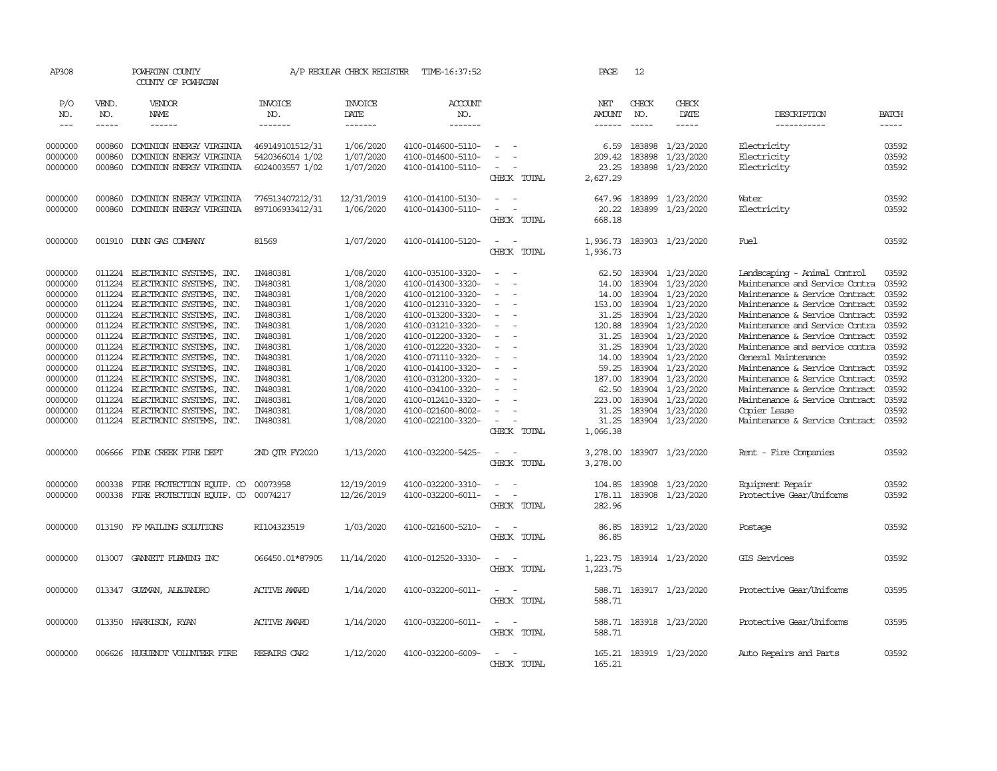| AP308                                                                                                                                                                        |                                                                                                                                          | POWHATAN COUNTY<br>COUNTY OF POWHATAN                                                                                                                                                                                                                                                                                                                                                                                                                                  |                                                                                                                                                                                                    | A/P REGULAR CHECK REGISTER                                                                                                                                                                                   | TIME-16:37:52                                                                                                                                                                                                                                                                                                                                |                                                                                                                                                                                                                                                 | PAGE                                                                                                                                                                        | 12                                                                                                                   |                                                                                                                                                                                                                                          |                                                                                                                                                                                                                                                                                                                                                                                                                                                                                                                      |                                                                                                                                              |
|------------------------------------------------------------------------------------------------------------------------------------------------------------------------------|------------------------------------------------------------------------------------------------------------------------------------------|------------------------------------------------------------------------------------------------------------------------------------------------------------------------------------------------------------------------------------------------------------------------------------------------------------------------------------------------------------------------------------------------------------------------------------------------------------------------|----------------------------------------------------------------------------------------------------------------------------------------------------------------------------------------------------|--------------------------------------------------------------------------------------------------------------------------------------------------------------------------------------------------------------|----------------------------------------------------------------------------------------------------------------------------------------------------------------------------------------------------------------------------------------------------------------------------------------------------------------------------------------------|-------------------------------------------------------------------------------------------------------------------------------------------------------------------------------------------------------------------------------------------------|-----------------------------------------------------------------------------------------------------------------------------------------------------------------------------|----------------------------------------------------------------------------------------------------------------------|------------------------------------------------------------------------------------------------------------------------------------------------------------------------------------------------------------------------------------------|----------------------------------------------------------------------------------------------------------------------------------------------------------------------------------------------------------------------------------------------------------------------------------------------------------------------------------------------------------------------------------------------------------------------------------------------------------------------------------------------------------------------|----------------------------------------------------------------------------------------------------------------------------------------------|
| P/O<br>NO.<br>$---$                                                                                                                                                          | VEND.<br>NO.<br>$\frac{1}{2}$                                                                                                            | VENDOR<br>NAME<br>$- - - - - -$                                                                                                                                                                                                                                                                                                                                                                                                                                        | <b>INVOICE</b><br>NO.<br>-------                                                                                                                                                                   | <b>INVOICE</b><br>DATE<br>-------                                                                                                                                                                            | <b>ACCOUNT</b><br>NO.<br>$- - - - - - -$                                                                                                                                                                                                                                                                                                     |                                                                                                                                                                                                                                                 | NET<br><b>AMOUNT</b><br>$- - - - - -$                                                                                                                                       | CHECK<br>NO.<br>$\frac{1}{2}$                                                                                        | CHECK<br>DATE<br>$- - - - -$                                                                                                                                                                                                             | DESCRIPTION<br>-----------                                                                                                                                                                                                                                                                                                                                                                                                                                                                                           | <b>BATCH</b><br>-----                                                                                                                        |
| 0000000<br>0000000<br>0000000                                                                                                                                                | 000860<br>000860<br>000860                                                                                                               | DOMINION ENERGY VIRGINIA<br>DOMINION ENERGY VIRGINIA<br>DOMINION ENERGY VIRGINIA                                                                                                                                                                                                                                                                                                                                                                                       | 469149101512/31<br>5420366014 1/02<br>6024003557 1/02                                                                                                                                              | 1/06/2020<br>1/07/2020<br>1/07/2020                                                                                                                                                                          | 4100-014600-5110-<br>4100-014600-5110-<br>4100-014100-5110-                                                                                                                                                                                                                                                                                  | $\sim$<br>CHECK TOTAL                                                                                                                                                                                                                           | 6.59<br>209.42<br>23.25<br>2,627.29                                                                                                                                         | 183898<br>183898                                                                                                     | 1/23/2020<br>1/23/2020<br>183898 1/23/2020                                                                                                                                                                                               | Electricity<br>Electricity<br>Electricity                                                                                                                                                                                                                                                                                                                                                                                                                                                                            | 03592<br>03592<br>03592                                                                                                                      |
| 0000000<br>0000000                                                                                                                                                           | 000860<br>000860                                                                                                                         | DOMINION ENERGY VIRGINIA<br>DOMINION ENERGY VIRGINIA                                                                                                                                                                                                                                                                                                                                                                                                                   | 776513407212/31<br>897106933412/31                                                                                                                                                                 | 12/31/2019<br>1/06/2020                                                                                                                                                                                      | 4100-014100-5130-<br>4100-014300-5110-                                                                                                                                                                                                                                                                                                       | $\sim$<br>$\sim$<br>$\sim$<br>CHECK TOTAL                                                                                                                                                                                                       | 647.96<br>20.22<br>668.18                                                                                                                                                   | 183899                                                                                                               | 1/23/2020<br>183899 1/23/2020                                                                                                                                                                                                            | Water<br>Electricity                                                                                                                                                                                                                                                                                                                                                                                                                                                                                                 | 03592<br>03592                                                                                                                               |
| 0000000                                                                                                                                                                      |                                                                                                                                          | 001910 DUNN GAS COMPANY                                                                                                                                                                                                                                                                                                                                                                                                                                                | 81569                                                                                                                                                                                              | 1/07/2020                                                                                                                                                                                                    | 4100-014100-5120-                                                                                                                                                                                                                                                                                                                            | $\sim$<br>$\sim$<br>CHECK TOTAL                                                                                                                                                                                                                 | 1,936.73<br>1,936.73                                                                                                                                                        |                                                                                                                      | 183903 1/23/2020                                                                                                                                                                                                                         | Fuel                                                                                                                                                                                                                                                                                                                                                                                                                                                                                                                 | 03592                                                                                                                                        |
| 0000000<br>0000000<br>0000000<br>0000000<br>0000000<br>0000000<br>0000000<br>0000000<br>0000000<br>0000000<br>0000000<br>0000000<br>0000000<br>0000000<br>0000000<br>0000000 | 011224<br>011224<br>011224<br>011224<br>011224<br>011224<br>011224<br>011224<br>011224<br>011224<br>011224<br>011224<br>011224<br>006666 | 011224 ELECTRONIC SYSTEMS, INC.<br>ELECTRONIC SYSTEMS, INC.<br>ELECTRONIC SYSTEMS, INC.<br>ELECTRONIC SYSTEMS, INC.<br>ELECTRONIC SYSTEMS, INC.<br>ELECTRONIC SYSTEMS, INC.<br>ELECTRONIC SYSTEMS, INC.<br>011224 ELECTRONIC SYSTEMS, INC.<br>ELECTRONIC SYSTEMS, INC.<br>ELECTRONIC SYSTEMS, INC.<br>ELECTRONIC SYSTEMS, INC.<br>ELECTRONIC SYSTEMS, INC.<br>ELECTRONIC SYSTEMS, INC.<br>ELECTRONIC SYSTEMS, INC.<br>ELECTRONIC SYSTEMS, INC.<br>FINE CREEK FIRE DEPT | IN480381<br>IN480381<br>IN480381<br>IN480381<br>IN480381<br>IN480381<br>IN480381<br>IN480381<br>IN480381<br>IN480381<br>IN480381<br>IN480381<br>IN480381<br>IN480381<br>IN480381<br>2ND QTR FY2020 | 1/08/2020<br>1/08/2020<br>1/08/2020<br>1/08/2020<br>1/08/2020<br>1/08/2020<br>1/08/2020<br>1/08/2020<br>1/08/2020<br>1/08/2020<br>1/08/2020<br>1/08/2020<br>1/08/2020<br>1/08/2020<br>1/08/2020<br>1/13/2020 | 4100-035100-3320-<br>4100-014300-3320-<br>4100-012100-3320-<br>4100-012310-3320-<br>4100-013200-3320-<br>4100-031210-3320-<br>4100-012200-3320-<br>4100-012220-3320-<br>4100-071110-3320-<br>4100-014100-3320-<br>4100-031200-3320-<br>4100-034100-3320-<br>4100-012410-3320-<br>4100-021600-8002-<br>4100-022100-3320-<br>4100-032200-5425- | $\sim$<br>$\sim$<br>$\sim$<br>$\overline{\phantom{a}}$<br>$\equiv$<br>$\sim$<br>$\equiv$<br>$\overline{\phantom{a}}$<br>$\sim$<br>$\sim$<br>$\sim$<br>$\overline{\phantom{a}}$<br>CHECK TOTAL<br>$\overline{\phantom{a}}$<br>- -<br>CHECK TOTAL | 62.50<br>14.00<br>14.00<br>153.00<br>31.25<br>120.88<br>31.25<br>31.25<br>14.00<br>59.25<br>187.00<br>62.50<br>223.00<br>31.25<br>31.25<br>1,066.38<br>3,278.00<br>3,278.00 | 183904<br>183904<br>183904<br>183904<br>183904<br>183904<br>183904<br>183904<br>183904<br>183904<br>183904<br>183904 | 183904 1/23/2020<br>1/23/2020<br>1/23/2020<br>1/23/2020<br>1/23/2020<br>1/23/2020<br>1/23/2020<br>1/23/2020<br>1/23/2020<br>1/23/2020<br>1/23/2020<br>1/23/2020<br>1/23/2020<br>183904 1/23/2020<br>183904 1/23/2020<br>183907 1/23/2020 | Landscaping - Animal Control<br>Maintenance and Service Contra<br>Maintenance & Service Contract<br>Maintenance & Service Contract<br>Maintenance & Service Contract<br>Maintenance and Service Contra<br>Maintenance & Service Contract<br>Maintenance and service contra<br>General Maintenance<br>Maintenance & Service Contract<br>Maintenance & Service Contract<br>Maintenance & Service Contract<br>Maintenance & Service Contract<br>Copier Lease<br>Maintenance & Service Contract<br>Rent - Fire Companies | 03592<br>03592<br>03592<br>03592<br>03592<br>03592<br>03592<br>03592<br>03592<br>03592<br>03592<br>03592<br>03592<br>03592<br>03592<br>03592 |
| 0000000<br>0000000                                                                                                                                                           | 000338<br>000338                                                                                                                         | FIRE PROTECTION EQUIP. CO<br>FIRE PROTECTION EQUIP. CO                                                                                                                                                                                                                                                                                                                                                                                                                 | 00073958<br>00074217                                                                                                                                                                               | 12/19/2019<br>12/26/2019                                                                                                                                                                                     | 4100-032200-3310-<br>4100-032200-6011-                                                                                                                                                                                                                                                                                                       | $\equiv$<br>$\sim$<br>$\overline{\phantom{a}}$<br>$\sim$<br>CHECK TOTAL                                                                                                                                                                         | 104.85<br>178.11<br>282.96                                                                                                                                                  |                                                                                                                      | 183908 1/23/2020<br>183908 1/23/2020                                                                                                                                                                                                     | Equipment Repair<br>Protective Gear/Uniforms                                                                                                                                                                                                                                                                                                                                                                                                                                                                         | 03592<br>03592                                                                                                                               |
| 0000000                                                                                                                                                                      |                                                                                                                                          | 013190 FP MAILING SOLUTIONS                                                                                                                                                                                                                                                                                                                                                                                                                                            | RI104323519                                                                                                                                                                                        | 1/03/2020                                                                                                                                                                                                    | 4100-021600-5210-                                                                                                                                                                                                                                                                                                                            | $\sim$<br>$\sim$<br>CHECK TOTAL                                                                                                                                                                                                                 | 86.85<br>86.85                                                                                                                                                              |                                                                                                                      | 183912 1/23/2020                                                                                                                                                                                                                         | Postage                                                                                                                                                                                                                                                                                                                                                                                                                                                                                                              | 03592                                                                                                                                        |
| 0000000                                                                                                                                                                      |                                                                                                                                          | 013007 GANNETT FLEMING INC                                                                                                                                                                                                                                                                                                                                                                                                                                             | 066450.01*87905                                                                                                                                                                                    | 11/14/2020                                                                                                                                                                                                   | 4100-012520-3330-                                                                                                                                                                                                                                                                                                                            | $\overline{\phantom{a}}$<br>CHECK TOTAL                                                                                                                                                                                                         | 1,223.75<br>1,223.75                                                                                                                                                        |                                                                                                                      | 183914 1/23/2020                                                                                                                                                                                                                         | GIS Services                                                                                                                                                                                                                                                                                                                                                                                                                                                                                                         | 03592                                                                                                                                        |
| 0000000                                                                                                                                                                      |                                                                                                                                          | 013347 GUZMAN, ALEJANDRO                                                                                                                                                                                                                                                                                                                                                                                                                                               | <b>ACTIVE AWARD</b>                                                                                                                                                                                | 1/14/2020                                                                                                                                                                                                    | 4100-032200-6011-                                                                                                                                                                                                                                                                                                                            | $\overline{\phantom{a}}$<br>$\sim$<br>CHECK TOTAL                                                                                                                                                                                               | 588.71<br>588.71                                                                                                                                                            |                                                                                                                      | 183917 1/23/2020                                                                                                                                                                                                                         | Protective Gear/Uniforms                                                                                                                                                                                                                                                                                                                                                                                                                                                                                             | 03595                                                                                                                                        |
| 0000000                                                                                                                                                                      |                                                                                                                                          | 013350 HARRISON, RYAN                                                                                                                                                                                                                                                                                                                                                                                                                                                  | <b>ACTIVE AWARD</b>                                                                                                                                                                                | 1/14/2020                                                                                                                                                                                                    | 4100-032200-6011-                                                                                                                                                                                                                                                                                                                            | $\sim$ $ \sim$<br>CHECK TOTAL                                                                                                                                                                                                                   | 588.71                                                                                                                                                                      |                                                                                                                      | 588.71 183918 1/23/2020                                                                                                                                                                                                                  | Protective Gear/Uniforms                                                                                                                                                                                                                                                                                                                                                                                                                                                                                             | 03595                                                                                                                                        |
| 0000000                                                                                                                                                                      |                                                                                                                                          | 006626 HUGUENOT VOLUNTEER FIRE                                                                                                                                                                                                                                                                                                                                                                                                                                         | REPAIRS CAR2                                                                                                                                                                                       | 1/12/2020                                                                                                                                                                                                    | 4100-032200-6009-                                                                                                                                                                                                                                                                                                                            | $\sim$<br>CHECK TOTAL                                                                                                                                                                                                                           | 165.21                                                                                                                                                                      |                                                                                                                      | 165.21 183919 1/23/2020                                                                                                                                                                                                                  | Auto Repairs and Parts                                                                                                                                                                                                                                                                                                                                                                                                                                                                                               | 03592                                                                                                                                        |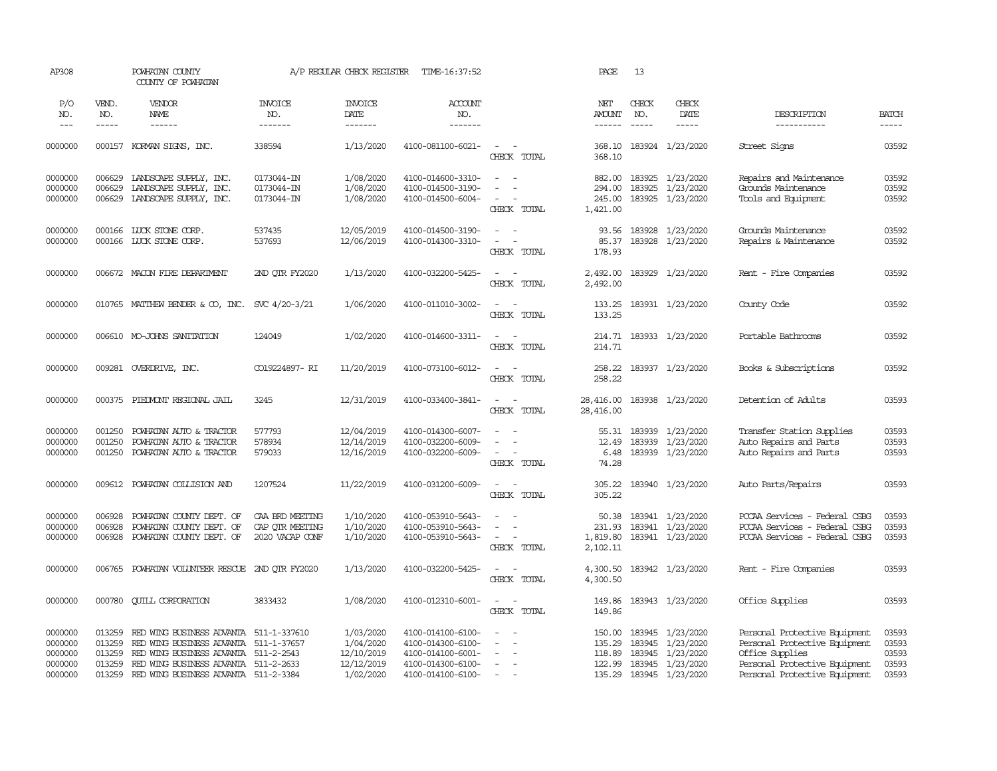| AP308                                    |                                      | POWHATAN COUNTY<br>COUNTY OF POWHATAN                                                                                                                           |                                                       | A/P REGULAR CHECK REGISTER                         | TIME-16:37:52                                                                    |                                                                    | PAGE                           | 13                            |                                                                                     |                                                                                                                    |                                  |
|------------------------------------------|--------------------------------------|-----------------------------------------------------------------------------------------------------------------------------------------------------------------|-------------------------------------------------------|----------------------------------------------------|----------------------------------------------------------------------------------|--------------------------------------------------------------------|--------------------------------|-------------------------------|-------------------------------------------------------------------------------------|--------------------------------------------------------------------------------------------------------------------|----------------------------------|
| P/O<br>NO.<br>$---$                      | VEND.<br>NO.<br>-----                | <b>VENDOR</b><br>NAME<br>$- - - - - -$                                                                                                                          | <b>INVOICE</b><br>NO.<br>--------                     | <b>INVOICE</b><br>DATE<br>$- - - - - - -$          | ACCOUNT<br>NO.<br>$- - - - - - -$                                                |                                                                    | NET<br>AMOUNT<br>$- - - - - -$ | CHECK<br>NO.<br>$\frac{1}{2}$ | CHECK<br>DATE<br>-----                                                              | DESCRIPTION<br>-----------                                                                                         | <b>BATCH</b><br>$- - - - -$      |
| 0000000                                  |                                      | 000157 KORMAN SIGNS, INC.                                                                                                                                       | 338594                                                | 1/13/2020                                          | 4100-081100-6021-                                                                | $\sim$<br>CHECK TOTAL                                              | 368.10<br>368.10               |                               | 183924 1/23/2020                                                                    | Street Signs                                                                                                       | 03592                            |
| 0000000<br>0000000<br>0000000            | 006629<br>006629<br>006629           | LANDSCAPE SUPPLY, INC.<br>LANDSCAPE SUPPLY, INC.<br>LANDSCAPE SUPPLY, INC.                                                                                      | 0173044-IN<br>0173044-IN<br>0173044-IN                | 1/08/2020<br>1/08/2020<br>1/08/2020                | 4100-014600-3310-<br>4100-014500-3190-<br>4100-014500-6004-                      | $ -$<br>CHECK TOTAL                                                | 294.00<br>245.00<br>1,421.00   |                               | 882.00 183925 1/23/2020<br>183925 1/23/2020<br>183925 1/23/2020                     | Repairs and Maintenance<br>Grounds Maintenance<br>Tools and Equipment                                              | 03592<br>03592<br>03592          |
| 0000000<br>0000000                       |                                      | 000166 LUCK STONE CORP.<br>000166 LUCK STONE CORP.                                                                                                              | 537435<br>537693                                      | 12/05/2019<br>12/06/2019                           | 4100-014500-3190-<br>4100-014300-3310-                                           | $\sim$ $ \sim$<br>$\sim$ $ \sim$<br>CHECK TOTAL                    | 178.93                         |                               | 93.56 183928 1/23/2020<br>85.37 183928 1/23/2020                                    | Grounds Maintenance<br>Repairs & Maintenance                                                                       | 03592<br>03592                   |
| 0000000                                  |                                      | 006672 MACON FIRE DEPARTMENT                                                                                                                                    | 2ND QTR FY2020                                        | 1/13/2020                                          | 4100-032200-5425-                                                                | $\sim$ $\sim$<br>CHECK TOTAL                                       | 2,492.00<br>2,492.00           |                               | 183929 1/23/2020                                                                    | Rent - Fire Companies                                                                                              | 03592                            |
| 0000000                                  |                                      | 010765 MATTHEW BENDER & CO, INC. SVC 4/20-3/21                                                                                                                  |                                                       | 1/06/2020                                          | 4100-011010-3002-                                                                | $\sim$ $ \sim$<br>CHECK TOTAL                                      | 133.25<br>133.25               |                               | 183931 1/23/2020                                                                    | County Code                                                                                                        | 03592                            |
| 0000000                                  |                                      | 006610 MO-JOHNS SANITATION                                                                                                                                      | 124049                                                | 1/02/2020                                          | 4100-014600-3311-                                                                | $\overline{\phantom{a}}$<br>CHECK TOTAL                            | 214.71                         |                               | 214.71 183933 1/23/2020                                                             | Portable Bathrooms                                                                                                 | 03592                            |
| 0000000                                  |                                      | 009281 OVERDRIVE, INC.                                                                                                                                          | CO19224897- RI                                        | 11/20/2019                                         | 4100-073100-6012-                                                                | $\sim$<br>$\sim$<br>CHECK TOTAL                                    | 258.22<br>258.22               |                               | 183937 1/23/2020                                                                    | Books & Subscriptions                                                                                              | 03592                            |
| 0000000                                  | 000375                               | PIEDMONT REGIONAL JAIL                                                                                                                                          | 3245                                                  | 12/31/2019                                         | 4100-033400-3841-                                                                | $\sim$<br>$\sim$<br>CHECK TOTAL                                    | 28,416.00<br>28,416.00         |                               | 183938 1/23/2020                                                                    | Detention of Adults                                                                                                | 03593                            |
| 0000000<br>0000000<br>0000000            | 001250<br>001250<br>001250           | POWHATAN AUTO & TRACTOR<br>POWHATAN AUTO & TRACTOR<br>POWHATAN AUTO & TRACTOR                                                                                   | 577793<br>578934<br>579033                            | 12/04/2019<br>12/14/2019<br>12/16/2019             | 4100-014300-6007-<br>4100-032200-6009-<br>4100-032200-6009-                      | $\sim$ $\sim$<br>$\sim$ 100 $\mu$<br>$\sim$ $ \sim$<br>CHECK TOTAL | 12.49<br>6.48<br>74.28         |                               | 55.31 183939 1/23/2020<br>183939 1/23/2020<br>183939 1/23/2020                      | Transfer Station Supplies<br>Auto Repairs and Parts<br>Auto Repairs and Parts                                      | 03593<br>03593<br>03593          |
| 0000000                                  | 009612                               | POWHATAN COLLISION AND                                                                                                                                          | 1207524                                               | 11/22/2019                                         | 4100-031200-6009-                                                                | $\sim$ $\sim$<br>CHECK TOTAL                                       | 305.22                         |                               | 305.22 183940 1/23/2020                                                             | Auto Parts/Repairs                                                                                                 | 03593                            |
| 0000000<br>0000000<br>0000000            | 006928<br>006928<br>006928           | POWHATAN COUNTY DEPT. OF<br>POWHATAN COUNTY DEPT. OF<br>POWHATAN COUNTY DEPT. OF                                                                                | CAA BRD MEETING<br>CAP OTR MEETING<br>2020 VACAP CONF | 1/10/2020<br>1/10/2020<br>1/10/2020                | 4100-053910-5643-<br>4100-053910-5643-<br>4100-053910-5643-                      | $\sim$<br>$\sim$<br>CHECK TOTAL                                    | 50.38<br>2,102.11              |                               | 183941 1/23/2020<br>231.93 183941 1/23/2020<br>1,819.80 183941 1/23/2020            | PCCAA Services - Federal CSBG<br>PCCAA Services - Federal CSBG<br>PCCAA Services - Federal CSBG                    | 03593<br>03593<br>03593          |
| 0000000                                  | 006765                               | POWHATAN VOLUNTEER RESCUE 2ND OTR FY2020                                                                                                                        |                                                       | 1/13/2020                                          | 4100-032200-5425-                                                                | $\sim$ $ \sim$<br>CHECK TOTAL                                      | 4,300.50                       |                               | 4,300.50 183942 1/23/2020                                                           | Rent - Fire Companies                                                                                              | 03593                            |
| 0000000                                  | 000780                               | <b>CUILL CORPORATION</b>                                                                                                                                        | 3833432                                               | 1/08/2020                                          | 4100-012310-6001-                                                                | $\sim$ $ \sim$<br>CHECK TOTAL                                      | 149.86<br>149.86               |                               | 183943 1/23/2020                                                                    | Office Supplies                                                                                                    | 03593                            |
| 0000000<br>0000000<br>0000000<br>0000000 | 013259<br>013259<br>013259<br>013259 | RED WING BUSINESS ADVANIA 511-1-337610<br>RED WING BUSINESS ADVANIA 511-1-37657<br>RED WING BUSINESS ADVANIA 511-2-2543<br>RED WING BUSINESS ADVANIA 511-2-2633 |                                                       | 1/03/2020<br>1/04/2020<br>12/10/2019<br>12/12/2019 | 4100-014100-6100-<br>4100-014300-6100-<br>4100-014100-6001-<br>4100-014300-6100- | $\equiv$                                                           | 135.29<br>118.89<br>122.99     |                               | 150.00 183945 1/23/2020<br>183945 1/23/2020<br>183945 1/23/2020<br>183945 1/23/2020 | Personal Protective Equipment<br>Personal Protective Equipment<br>Office Supplies<br>Personal Protective Equipment | 03593<br>03593<br>03593<br>03593 |
| 0000000                                  | 013259                               | RED WING BUSINESS ADVANIA 511-2-3384                                                                                                                            |                                                       | 1/02/2020                                          | 4100-014100-6100-                                                                | $\sim$                                                             |                                |                               | 135.29 183945 1/23/2020                                                             | Personal Protective Equipment                                                                                      | 03593                            |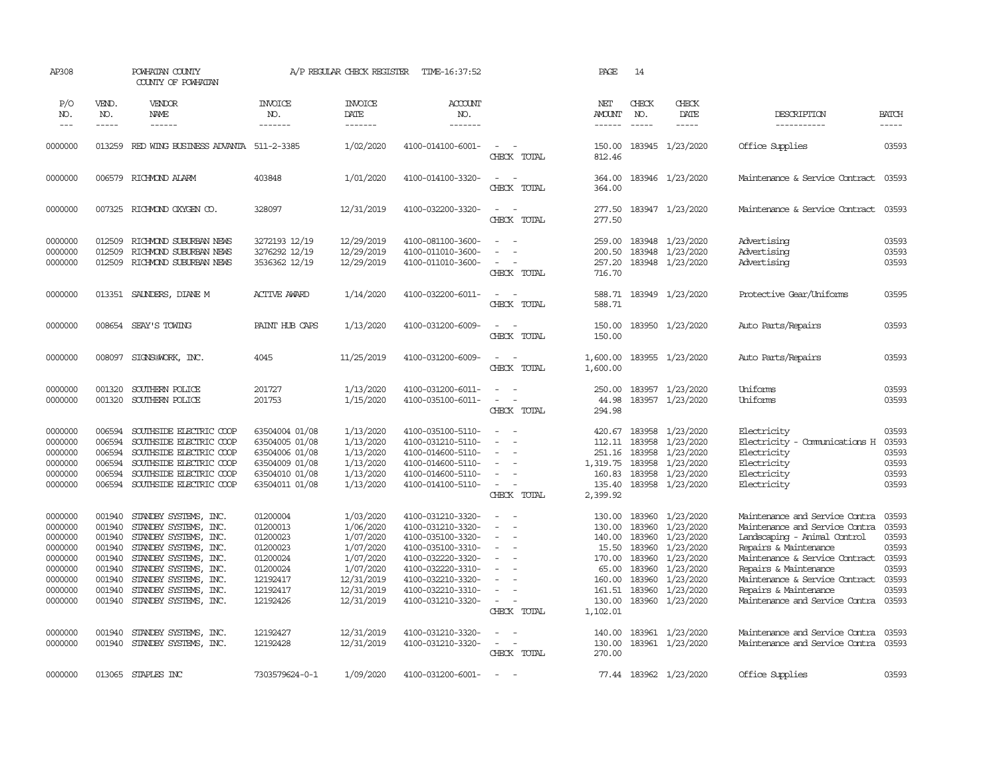| AP308                                                                                           |                                                                                        | POWHATAN COUNTY<br>COUNTY OF POWHATAN                                                                                                                                                                                         |                                                                                                          | A/P REGULAR CHECK REGISTER                                                                                           | TIME-16:37:52                                                                                                                                                                             |                                                                                                                                                                 | PAGE                                                                                             | 14                                                                           |                                                                                                                          |                                                                                                                                                                                                                                                                                   |                                                                               |
|-------------------------------------------------------------------------------------------------|----------------------------------------------------------------------------------------|-------------------------------------------------------------------------------------------------------------------------------------------------------------------------------------------------------------------------------|----------------------------------------------------------------------------------------------------------|----------------------------------------------------------------------------------------------------------------------|-------------------------------------------------------------------------------------------------------------------------------------------------------------------------------------------|-----------------------------------------------------------------------------------------------------------------------------------------------------------------|--------------------------------------------------------------------------------------------------|------------------------------------------------------------------------------|--------------------------------------------------------------------------------------------------------------------------|-----------------------------------------------------------------------------------------------------------------------------------------------------------------------------------------------------------------------------------------------------------------------------------|-------------------------------------------------------------------------------|
| P/O<br>NO.<br>$- - -$                                                                           | VEND.<br>NO.<br>-----                                                                  | VENDOR<br><b>NAME</b><br>$- - - - - -$                                                                                                                                                                                        | <b>INVOICE</b><br>NO.<br>-------                                                                         | <b>INVOICE</b><br>DATE<br>-------                                                                                    | <b>ACCOUNT</b><br>NO.<br>-------                                                                                                                                                          |                                                                                                                                                                 | NET<br><b>AMOUNT</b><br>$- - - - - -$                                                            | CHECK<br>NO.<br>$\frac{1}{2}$                                                | CHECK<br>DATE<br>-----                                                                                                   | DESCRIPTION<br>-----------                                                                                                                                                                                                                                                        | <b>BATCH</b><br>-----                                                         |
| 0000000                                                                                         |                                                                                        | 013259 RED WING BUSINESS ADVANTA 511-2-3385                                                                                                                                                                                   |                                                                                                          | 1/02/2020                                                                                                            | 4100-014100-6001-                                                                                                                                                                         | $\sim$<br>CHECK TOTAL                                                                                                                                           | 150.00<br>812.46                                                                                 |                                                                              | 183945 1/23/2020                                                                                                         | Office Supplies                                                                                                                                                                                                                                                                   | 03593                                                                         |
| 0000000                                                                                         |                                                                                        | 006579 RICHMOND ALARM                                                                                                                                                                                                         | 403848                                                                                                   | 1/01/2020                                                                                                            | 4100-014100-3320-                                                                                                                                                                         | $\overline{\phantom{a}}$<br>$\sim$<br>CHECK TOTAL                                                                                                               | 364.00<br>364.00                                                                                 |                                                                              | 183946 1/23/2020                                                                                                         | Maintenance & Service Contract                                                                                                                                                                                                                                                    | 03593                                                                         |
| 0000000                                                                                         |                                                                                        | 007325 RICHMOND OXYGEN CO.                                                                                                                                                                                                    | 328097                                                                                                   | 12/31/2019                                                                                                           | 4100-032200-3320-                                                                                                                                                                         | $\sim$<br>$\sim$<br>CHECK TOTAL                                                                                                                                 | 277.50<br>277.50                                                                                 |                                                                              | 183947 1/23/2020                                                                                                         | Maintenance & Service Contract                                                                                                                                                                                                                                                    | 03593                                                                         |
| 0000000<br>0000000<br>0000000                                                                   | 012509<br>012509<br>012509                                                             | RICHMOND SUBURBAN NEWS<br>RICHMOND SUBURBAN NEWS<br>RICHMOND SUBURBAN NEWS                                                                                                                                                    | 3272193 12/19<br>3276292 12/19<br>3536362 12/19                                                          | 12/29/2019<br>12/29/2019<br>12/29/2019                                                                               | 4100-081100-3600-<br>4100-011010-3600-<br>4100-011010-3600-                                                                                                                               | $\sim$<br>$\sim$<br>$\sim$<br>CHECK TOTAL                                                                                                                       | 259.00<br>200.50<br>257.20<br>716.70                                                             |                                                                              | 183948 1/23/2020<br>183948 1/23/2020<br>183948 1/23/2020                                                                 | Advertising<br>Advertising<br>Advertising                                                                                                                                                                                                                                         | 03593<br>03593<br>03593                                                       |
| 0000000                                                                                         |                                                                                        | 013351 SAUNDERS, DIANE M                                                                                                                                                                                                      | <b>ACTIVE AWARD</b>                                                                                      | 1/14/2020                                                                                                            | 4100-032200-6011-                                                                                                                                                                         | $\overline{\phantom{a}}$<br>$\sim$<br>CHECK TOTAL                                                                                                               | 588.71<br>588.71                                                                                 |                                                                              | 183949 1/23/2020                                                                                                         | Protective Gear/Uniforms                                                                                                                                                                                                                                                          | 03595                                                                         |
| 0000000                                                                                         |                                                                                        | 008654 SEAY'S TOWING                                                                                                                                                                                                          | PAINT HUB CAPS                                                                                           | 1/13/2020                                                                                                            | 4100-031200-6009-                                                                                                                                                                         | $\sim$<br>CHECK TOTAL                                                                                                                                           | 150.00<br>150.00                                                                                 |                                                                              | 183950 1/23/2020                                                                                                         | Auto Parts/Repairs                                                                                                                                                                                                                                                                | 03593                                                                         |
| 0000000                                                                                         | 008097                                                                                 | SIGNS@WORK, INC.                                                                                                                                                                                                              | 4045                                                                                                     | 11/25/2019                                                                                                           | 4100-031200-6009-                                                                                                                                                                         | $\sim$<br>$\sim$<br>CHECK TOTAL                                                                                                                                 | 1,600.00<br>1,600.00                                                                             |                                                                              | 183955 1/23/2020                                                                                                         | Auto Parts/Repairs                                                                                                                                                                                                                                                                | 03593                                                                         |
| 0000000<br>0000000                                                                              | 001320<br>001320                                                                       | SOUTHERN POLICE<br>SOUTHERN POLICE                                                                                                                                                                                            | 201727<br>201753                                                                                         | 1/13/2020<br>1/15/2020                                                                                               | 4100-031200-6011-<br>4100-035100-6011-                                                                                                                                                    | $\overline{\phantom{a}}$<br>$\sim$<br>$\equiv$<br>$\overline{\phantom{a}}$<br>CHECK TOTAL                                                                       | 250.00<br>44.98<br>294.98                                                                        |                                                                              | 183957 1/23/2020<br>183957 1/23/2020                                                                                     | Uniforms<br>Uniforms                                                                                                                                                                                                                                                              | 03593<br>03593                                                                |
| 0000000<br>0000000<br>0000000<br>0000000<br>0000000<br>0000000                                  | 006594<br>006594<br>006594<br>006594<br>006594<br>006594                               | SOUTHSIDE ELECTRIC COOP<br>SOUTHSIDE ELECTRIC COOP<br>SOUTHSIDE ELECTRIC COOP<br>SOUTHSIDE ELECTRIC COOP<br>SOUTHSIDE ELECTRIC COOP<br>SOUTHSIDE ELECTRIC COOP                                                                | 63504004 01/08<br>63504005 01/08<br>63504006 01/08<br>63504009 01/08<br>63504010 01/08<br>63504011 01/08 | 1/13/2020<br>1/13/2020<br>1/13/2020<br>1/13/2020<br>1/13/2020<br>1/13/2020                                           | 4100-035100-5110-<br>4100-031210-5110-<br>4100-014600-5110-<br>4100-014600-5110-<br>4100-014600-5110-<br>4100-014100-5110-                                                                | $\sim$<br>$\sim$<br>$\overline{\phantom{a}}$<br>$\sim$<br>$\sim$<br>$\equiv$<br>$\equiv$<br>$\sim$ $ \sim$<br>CHECK TOTAL                                       | 420.67<br>112.11<br>251.16<br>1,319.75<br>160.83<br>135.40<br>2,399.92                           | 183958<br>183958<br>183958<br>183958<br>183958                               | 1/23/2020<br>1/23/2020<br>1/23/2020<br>1/23/2020<br>1/23/2020<br>183958 1/23/2020                                        | Electricity<br>Electricity - Comunications H<br>Electricity<br>Electricity<br>Electricity<br>Electricity                                                                                                                                                                          | 03593<br>03593<br>03593<br>03593<br>03593<br>03593                            |
| 0000000<br>0000000<br>0000000<br>0000000<br>0000000<br>0000000<br>0000000<br>0000000<br>0000000 | 001940<br>001940<br>001940<br>001940<br>001940<br>001940<br>001940<br>001940<br>001940 | STANDBY SYSTEMS, INC.<br>STANDBY SYSTEMS, INC.<br>STANDBY SYSTEMS, INC.<br>STANDBY SYSTEMS, INC.<br>STANDBY SYSTEMS, INC.<br>STANDBY SYSTEMS, INC.<br>STANDBY SYSTEMS, INC.<br>STANDBY SYSTEMS, INC.<br>STANDBY SYSTEMS, INC. | 01200004<br>01200013<br>01200023<br>01200023<br>01200024<br>01200024<br>12192417<br>12192417<br>12192426 | 1/03/2020<br>1/06/2020<br>1/07/2020<br>1/07/2020<br>1/07/2020<br>1/07/2020<br>12/31/2019<br>12/31/2019<br>12/31/2019 | 4100-031210-3320-<br>4100-031210-3320-<br>4100-035100-3320-<br>4100-035100-3310-<br>4100-032220-3320-<br>4100-032220-3310-<br>4100-032210-3320-<br>4100-032210-3310-<br>4100-031210-3320- | $\sim$<br>$\overline{\phantom{a}}$<br>$\overline{\phantom{a}}$<br>$\equiv$<br>$\sim$<br>$\sim$<br>$\equiv$<br>$\overline{\phantom{a}}$<br>$\sim$<br>CHECK TOTAL | 130.00<br>130.00<br>140.00<br>15.50<br>170.00<br>65.00<br>160.00<br>161.51<br>130.00<br>1,102.01 | 183960<br>183960<br>183960<br>183960<br>183960<br>183960<br>183960<br>183960 | 1/23/2020<br>1/23/2020<br>1/23/2020<br>1/23/2020<br>1/23/2020<br>1/23/2020<br>1/23/2020<br>1/23/2020<br>183960 1/23/2020 | Maintenance and Service Contra<br>Maintenance and Service Contra<br>Landscaping - Animal Control<br>Repairs & Maintenance<br>Maintenance & Service Contract<br>Repairs & Maintenance<br>Maintenance & Service Contract<br>Repairs & Maintenance<br>Maintenance and Service Contra | 03593<br>03593<br>03593<br>03593<br>03593<br>03593<br>03593<br>03593<br>03593 |
| 0000000<br>0000000                                                                              | 001940<br>001940                                                                       | STANDBY SYSTEMS, INC.<br>STANDBY SYSTEMS, INC.                                                                                                                                                                                | 12192427<br>12192428                                                                                     | 12/31/2019<br>12/31/2019                                                                                             | 4100-031210-3320-<br>4100-031210-3320-                                                                                                                                                    | $\sim$<br>$\sim$<br>$\overline{\phantom{a}}$<br>$\sim$<br>CHECK TOTAL                                                                                           | 140.00<br>130.00<br>270.00                                                                       |                                                                              | 183961 1/23/2020<br>183961 1/23/2020                                                                                     | Maintenance and Service Contra<br>Maintenance and Service Contra                                                                                                                                                                                                                  | 03593<br>03593                                                                |
| 0000000                                                                                         |                                                                                        | 013065 STAPLES INC                                                                                                                                                                                                            | 7303579624-0-1                                                                                           | 1/09/2020                                                                                                            | 4100-031200-6001-                                                                                                                                                                         | $\sim$                                                                                                                                                          |                                                                                                  |                                                                              | 77.44 183962 1/23/2020                                                                                                   | Office Supplies                                                                                                                                                                                                                                                                   | 03593                                                                         |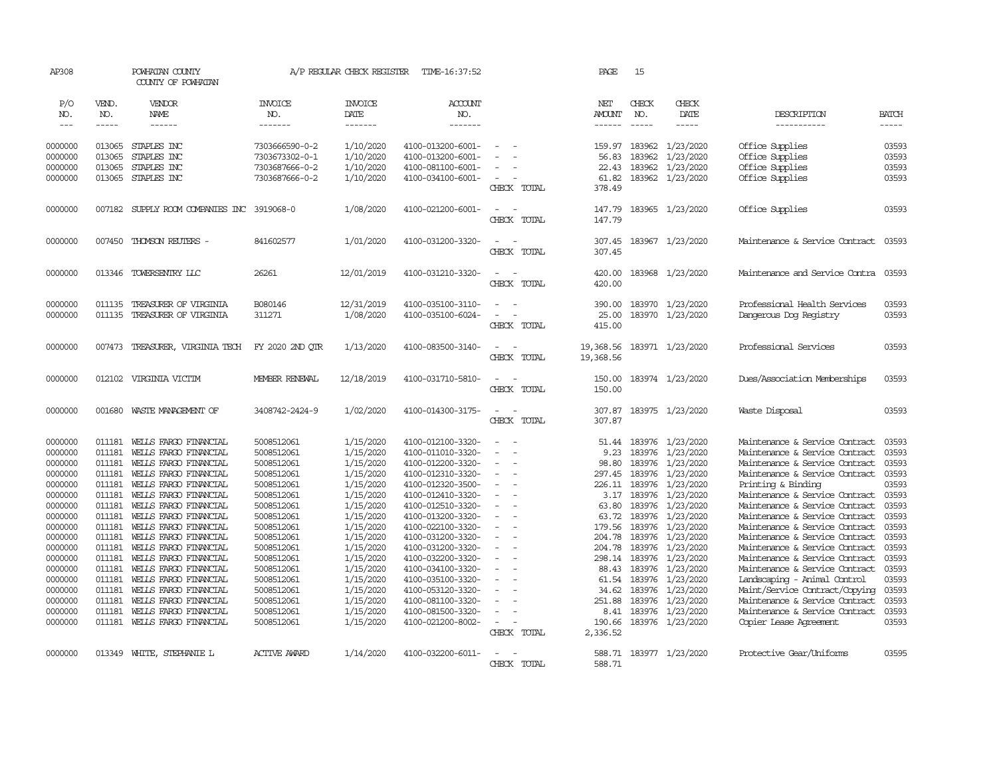| AP308               |                             | POWHATAN COUNTY<br>COUNTY OF POWHATAN          |                                  | A/P REGULAR CHECK REGISTER        | TIME-16:37:52                          |                                      |             | PAGE                           | 15                            |                                |                                                                  |                             |
|---------------------|-----------------------------|------------------------------------------------|----------------------------------|-----------------------------------|----------------------------------------|--------------------------------------|-------------|--------------------------------|-------------------------------|--------------------------------|------------------------------------------------------------------|-----------------------------|
| P/O<br>NO.<br>$---$ | VEND.<br>NO.<br>$- - - - -$ | VENDOR<br>NAME<br>$- - - - - -$                | <b>INVOICE</b><br>NO.<br>------- | <b>INVOICE</b><br>DATE<br>------- | ACCOUNT<br>NO.<br>$- - - - - - -$      |                                      |             | NET<br><b>AMOUNT</b><br>------ | CHECK<br>NO.<br>$\frac{1}{2}$ | CHECK<br>DATE<br>$\frac{1}{2}$ | DESCRIPTION<br>-----------                                       | <b>BATCH</b><br>$- - - - -$ |
| 0000000             | 013065                      | STAPLES INC                                    | 7303666590-0-2                   | 1/10/2020                         | 4100-013200-6001-                      | $\sim$                               |             | 159.97                         | 183962                        | 1/23/2020                      | Office Supplies                                                  | 03593                       |
| 0000000             | 013065                      | STAPLES INC                                    | 7303673302-0-1                   | 1/10/2020                         | 4100-013200-6001-                      |                                      |             | 56.83                          | 183962                        | 1/23/2020                      | Office Supplies                                                  | 03593                       |
| 0000000             | 013065                      | STAPLES INC                                    | 7303687666-0-2                   | 1/10/2020                         | 4100-081100-6001-                      | $\sim$                               |             | 22.43                          |                               | 183962 1/23/2020               | Office Supplies                                                  | 03593                       |
| 0000000             | 013065                      | STAPLES INC                                    | 7303687666-0-2                   | 1/10/2020                         | 4100-034100-6001-                      | $\overline{\phantom{a}}$             | CHECK TOTAL | 61.82<br>378.49                | 183962                        | 1/23/2020                      | Office Supplies                                                  | 03593                       |
| 0000000             |                             | 007182 SUPPLY ROOM COMPANIES INC 3919068-0     |                                  | 1/08/2020                         | 4100-021200-6001-                      | $\sim$<br>$\sim$                     | CHECK TOTAL | 147.79<br>147.79               |                               | 183965 1/23/2020               | Office Supplies                                                  | 03593                       |
| 0000000             | 007450                      | THOMSON REUTERS -                              | 841602577                        | 1/01/2020                         | 4100-031200-3320-                      | $\sim$<br>$\sim$                     | CHECK TOTAL | 307.45<br>307.45               |                               | 183967 1/23/2020               | Maintenance & Service Contract                                   | 03593                       |
| 0000000             | 013346                      | TOWERSENTRY LLC                                | 26261                            | 12/01/2019                        | 4100-031210-3320-                      | $\sim$                               | CHECK TOTAL | 420.00<br>420.00               |                               | 183968 1/23/2020               | Maintenance and Service Contra                                   | 03593                       |
| 0000000             | 011135                      | TREASURER OF VIRGINIA                          | B080146                          | 12/31/2019                        | 4100-035100-3110-                      | $\overline{\phantom{a}}$<br>$\sim$   |             | 390.00                         |                               | 183970 1/23/2020               | Professional Health Services                                     | 03593                       |
| 0000000             | 011135                      | TREASURER OF VIRGINIA                          | 311271                           | 1/08/2020                         | 4100-035100-6024-                      | $\equiv$<br>$\overline{\phantom{0}}$ |             | 25.00                          |                               | 183970 1/23/2020               | Dangerous Dog Registry                                           | 03593                       |
|                     |                             |                                                |                                  |                                   |                                        |                                      | CHECK TOTAL | 415.00                         |                               |                                |                                                                  |                             |
| 0000000             |                             | 007473 TREASURER, VIRGINIA TECH                | FY 2020 2ND OTR                  | 1/13/2020                         | 4100-083500-3140-                      | $\sim$<br>$\sim$                     | CHECK TOTAL | 19,368.56<br>19,368.56         |                               | 183971 1/23/2020               | Professional Services                                            | 03593                       |
| 0000000             | 012102                      | VIRGINIA VICTIM                                | MEMBER RENEWAL                   | 12/18/2019                        | 4100-031710-5810-                      | $\sim$<br>$\overline{\phantom{a}}$   | CHECK TOTAL | 150.00<br>150.00               |                               | 183974 1/23/2020               | Dues/Association Memberships                                     | 03593                       |
| 0000000             | 001680                      | WASTE MANAGEMENT OF                            | 3408742-2424-9                   | 1/02/2020                         | 4100-014300-3175-                      | $\equiv$                             | CHECK TOTAL | 307.87<br>307.87               |                               | 183975 1/23/2020               | Waste Disposal                                                   | 03593                       |
| 0000000             | 011181                      | WELLS FARGO FINANCIAL                          | 5008512061                       | 1/15/2020                         | 4100-012100-3320-                      | $\sim$                               |             | 51.44                          |                               | 183976 1/23/2020               | Maintenance & Service Contract                                   | 03593                       |
| 0000000             | 011181                      | WEILS FARGO FINANCIAL                          | 5008512061                       | 1/15/2020                         | 4100-011010-3320-                      |                                      |             | 9.23                           |                               | 183976 1/23/2020               | Maintenance & Service Contract                                   | 03593                       |
| 0000000             | 011181                      | WELLS FARGO FINANCIAL                          | 5008512061                       | 1/15/2020                         | 4100-012200-3320-                      | $\sim$<br>$\overline{a}$             |             | 98.80                          |                               | 183976 1/23/2020               | Maintenance & Service Contract                                   | 03593                       |
| 0000000             | 011181                      | WELLS FARGO FINANCIAL                          | 5008512061                       | 1/15/2020                         | 4100-012310-3320-                      | $\equiv$                             |             | 297.45                         | 183976                        | 1/23/2020                      | Maintenance & Service Contract                                   | 03593                       |
| 0000000             | 011181                      | WEILS FARGO FINANCIAL                          | 5008512061                       | 1/15/2020                         | 4100-012320-3500-                      | $\equiv$                             |             | 226.11                         | 183976                        | 1/23/2020                      | Printing & Binding                                               | 03593                       |
| 0000000<br>0000000  | 011181<br>011181            | WELLS FARGO FINANCIAL                          | 5008512061<br>5008512061         | 1/15/2020<br>1/15/2020            | 4100-012410-3320-<br>4100-012510-3320- | $\overline{\phantom{a}}$             |             |                                | 3.17 183976<br>183976         | 1/23/2020<br>1/23/2020         | Maintenance & Service Contract<br>Maintenance & Service Contract | 03593<br>03593              |
| 0000000             | 011181                      | WELLS FARGO FINANCIAL<br>WELLS FARGO FINANCIAL | 5008512061                       | 1/15/2020                         | 4100-013200-3320-                      | ÷                                    |             | 63.80<br>63.72                 | 183976                        | 1/23/2020                      | Maintenance & Service Contract                                   | 03593                       |
| 0000000             | 011181                      | WELLS FARGO FINANCIAL                          | 5008512061                       | 1/15/2020                         | 4100-022100-3320-                      | $\blacksquare$                       |             | 179.56                         |                               | 183976 1/23/2020               | Maintenance & Service Contract                                   | 03593                       |
| 0000000             | 011181                      | WELLS FARGO FINANCIAL                          | 5008512061                       | 1/15/2020                         | 4100-031200-3320-                      | $\sim$                               |             | 204.78                         | 183976                        | 1/23/2020                      | Maintenance & Service Contract                                   | 03593                       |
| 0000000             | 011181                      | WELLS FARGO FINANCIAL                          | 5008512061                       | 1/15/2020                         | 4100-031200-3320-                      | $\sim$                               |             | 204.78                         | 183976                        | 1/23/2020                      | Maintenance & Service Contract                                   | 03593                       |
| 0000000             | 011181                      | WELLS FARGO FINANCIAL                          | 5008512061                       | 1/15/2020                         | 4100-032200-3320-                      | $\equiv$                             |             |                                |                               | 298.14 183976 1/23/2020        | Maintenance & Service Contract                                   | 03593                       |
| 0000000             | 011181                      | WELLS FARGO FINANCIAL                          | 5008512061                       | 1/15/2020                         | 4100-034100-3320-                      |                                      |             | 88.43                          | 183976                        | 1/23/2020                      | Maintenance & Service Contract                                   | 03593                       |
| 0000000             | 011181                      | WELLS FARGO FINANCIAL                          | 5008512061                       | 1/15/2020                         | 4100-035100-3320-                      | $\sim$                               |             | 61.54                          | 183976                        | 1/23/2020                      | Landscaping - Animal Control                                     | 03593                       |
| 0000000             | 011181                      | WELLS FARGO FINANCIAL                          | 5008512061                       | 1/15/2020                         | 4100-053120-3320-                      |                                      |             | 34.62                          |                               | 183976 1/23/2020               | Maint/Service Contract/Copying                                   | 03593                       |
| 0000000             | 011181                      | WELLS FARGO FINANCIAL                          | 5008512061                       | 1/15/2020                         | 4100-081100-3320-                      |                                      |             | 251.88                         | 183976                        | 1/23/2020                      | Maintenance & Service Contract                                   | 03593                       |
| 0000000             | 011181                      | WELLS FARGO FINANCIAL                          | 5008512061                       | 1/15/2020                         | 4100-081500-3320-                      | $\equiv$                             |             | 8.41                           | 183976                        | 1/23/2020                      | Maintenance & Service Contract                                   | 03593                       |
| 0000000             |                             | 011181 WELLS FARGO FINANCIAL                   | 5008512061                       | 1/15/2020                         | 4100-021200-8002-                      | $\sim$                               |             | 190.66                         |                               | 183976 1/23/2020               | Copier Lease Agreement                                           | 03593                       |
|                     |                             |                                                |                                  |                                   |                                        |                                      | CHECK TOTAL | 2,336.52                       |                               |                                |                                                                  |                             |
| 0000000             |                             | 013349 WHITE, STEPHANIE L                      | <b>ACTIVE AWARD</b>              | 1/14/2020                         | 4100-032200-6011-                      | $\overline{\phantom{a}}$             |             |                                |                               | 588.71 183977 1/23/2020        | Protective Gear/Uniforms                                         | 03595                       |
|                     |                             |                                                |                                  |                                   |                                        | CHECK                                | TOTAL       | 588.71                         |                               |                                |                                                                  |                             |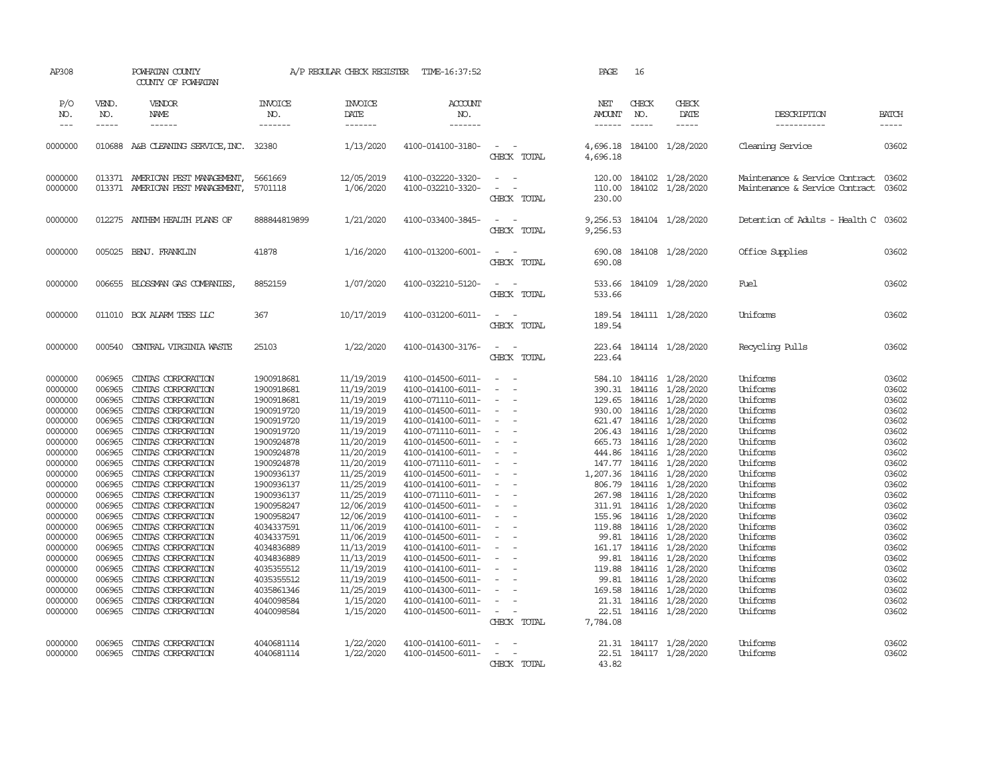| AP308                                                                                                                                                                                                                                                     |                                                                                                                                                                                                                                    | POWHATAN COUNTY<br>COUNTY OF POWHATAN                                                                                                                                                                                                                                                                                                                                                                                                                                                                                  |                                                                                                                                                                                                                                                                                                                                | A/P REGULAR CHECK REGISTER                                                                                                                                                                                                                                                                                                   | TIME-16:37:52                                                                                                                                                                                                                                                                                                                                                                                                                                                                                   |                                                                                                                                                                                                                                                                                                                                                    | PAGE                                                                                                                                                                                      | 16                                                                                                                                                                                                                                                                                                                                                                                                           |                                                                                                                                                                                                                                                                                                                                                                                                                                                                 |                                                                                                                                                                                                                                                                                  |                                                                                                                                                                                                             |
|-----------------------------------------------------------------------------------------------------------------------------------------------------------------------------------------------------------------------------------------------------------|------------------------------------------------------------------------------------------------------------------------------------------------------------------------------------------------------------------------------------|------------------------------------------------------------------------------------------------------------------------------------------------------------------------------------------------------------------------------------------------------------------------------------------------------------------------------------------------------------------------------------------------------------------------------------------------------------------------------------------------------------------------|--------------------------------------------------------------------------------------------------------------------------------------------------------------------------------------------------------------------------------------------------------------------------------------------------------------------------------|------------------------------------------------------------------------------------------------------------------------------------------------------------------------------------------------------------------------------------------------------------------------------------------------------------------------------|-------------------------------------------------------------------------------------------------------------------------------------------------------------------------------------------------------------------------------------------------------------------------------------------------------------------------------------------------------------------------------------------------------------------------------------------------------------------------------------------------|----------------------------------------------------------------------------------------------------------------------------------------------------------------------------------------------------------------------------------------------------------------------------------------------------------------------------------------------------|-------------------------------------------------------------------------------------------------------------------------------------------------------------------------------------------|--------------------------------------------------------------------------------------------------------------------------------------------------------------------------------------------------------------------------------------------------------------------------------------------------------------------------------------------------------------------------------------------------------------|-----------------------------------------------------------------------------------------------------------------------------------------------------------------------------------------------------------------------------------------------------------------------------------------------------------------------------------------------------------------------------------------------------------------------------------------------------------------|----------------------------------------------------------------------------------------------------------------------------------------------------------------------------------------------------------------------------------------------------------------------------------|-------------------------------------------------------------------------------------------------------------------------------------------------------------------------------------------------------------|
| P/O<br>NO.<br>$---$                                                                                                                                                                                                                                       | VEND.<br>NO.<br>$- - - - -$                                                                                                                                                                                                        | VENDOR<br>NAME<br>$- - - - - -$                                                                                                                                                                                                                                                                                                                                                                                                                                                                                        | <b>INVOICE</b><br>NO.<br>-------                                                                                                                                                                                                                                                                                               | <b>INVOICE</b><br>DATE<br>-------                                                                                                                                                                                                                                                                                            | <b>ACCOUNT</b><br>NO.<br>-------                                                                                                                                                                                                                                                                                                                                                                                                                                                                |                                                                                                                                                                                                                                                                                                                                                    | NET<br><b>AMOUNT</b><br>------                                                                                                                                                            | CHECK<br>NO.<br>$\frac{1}{2} \frac{1}{2} \frac{1}{2} \frac{1}{2} \frac{1}{2} \frac{1}{2} \frac{1}{2} \frac{1}{2} \frac{1}{2} \frac{1}{2} \frac{1}{2} \frac{1}{2} \frac{1}{2} \frac{1}{2} \frac{1}{2} \frac{1}{2} \frac{1}{2} \frac{1}{2} \frac{1}{2} \frac{1}{2} \frac{1}{2} \frac{1}{2} \frac{1}{2} \frac{1}{2} \frac{1}{2} \frac{1}{2} \frac{1}{2} \frac{1}{2} \frac{1}{2} \frac{1}{2} \frac{1}{2} \frac{$ | CHECK<br>DATE<br>$- - - - -$                                                                                                                                                                                                                                                                                                                                                                                                                                    | DESCRIPTION<br>-----------                                                                                                                                                                                                                                                       | <b>BATCH</b><br>-----                                                                                                                                                                                       |
| 0000000                                                                                                                                                                                                                                                   |                                                                                                                                                                                                                                    | 010688 A&B CLEANING SERVICE, INC. 32380                                                                                                                                                                                                                                                                                                                                                                                                                                                                                |                                                                                                                                                                                                                                                                                                                                | 1/13/2020                                                                                                                                                                                                                                                                                                                    | 4100-014100-3180-                                                                                                                                                                                                                                                                                                                                                                                                                                                                               | $\sim$<br>CHECK TOTAL                                                                                                                                                                                                                                                                                                                              | 4,696.18<br>4,696.18                                                                                                                                                                      |                                                                                                                                                                                                                                                                                                                                                                                                              | 184100 1/28/2020                                                                                                                                                                                                                                                                                                                                                                                                                                                | Cleaning Service                                                                                                                                                                                                                                                                 | 03602                                                                                                                                                                                                       |
| 0000000<br>0000000                                                                                                                                                                                                                                        |                                                                                                                                                                                                                                    | 013371 AMERICAN PEST MANAGEMENT,<br>013371 AMERICAN PEST MANAGEMENT,                                                                                                                                                                                                                                                                                                                                                                                                                                                   | 5661669<br>5701118                                                                                                                                                                                                                                                                                                             | 12/05/2019<br>1/06/2020                                                                                                                                                                                                                                                                                                      | 4100-032220-3320-<br>4100-032210-3320-                                                                                                                                                                                                                                                                                                                                                                                                                                                          | $\sim$ $-$<br>$\overline{\phantom{a}}$<br>$\sim$<br>CHECK TOTAL                                                                                                                                                                                                                                                                                    | 120.00<br>110.00<br>230.00                                                                                                                                                                |                                                                                                                                                                                                                                                                                                                                                                                                              | 184102 1/28/2020<br>184102 1/28/2020                                                                                                                                                                                                                                                                                                                                                                                                                            | Maintenance & Service Contract 03602<br>Maintenance & Service Contract                                                                                                                                                                                                           | 03602                                                                                                                                                                                                       |
| 0000000                                                                                                                                                                                                                                                   | 012275                                                                                                                                                                                                                             | ANTHEM HEALTH PLANS OF                                                                                                                                                                                                                                                                                                                                                                                                                                                                                                 | 888844819899                                                                                                                                                                                                                                                                                                                   | 1/21/2020                                                                                                                                                                                                                                                                                                                    | 4100-033400-3845-                                                                                                                                                                                                                                                                                                                                                                                                                                                                               | $\sim$<br>$\sim$<br>CHECK TOTAL                                                                                                                                                                                                                                                                                                                    | 9,256.53<br>9,256.53                                                                                                                                                                      |                                                                                                                                                                                                                                                                                                                                                                                                              | 184104 1/28/2020                                                                                                                                                                                                                                                                                                                                                                                                                                                | Detention of Adults - Health C                                                                                                                                                                                                                                                   | 03602                                                                                                                                                                                                       |
| 0000000                                                                                                                                                                                                                                                   | 005025                                                                                                                                                                                                                             | BENJ. FRANKLIN                                                                                                                                                                                                                                                                                                                                                                                                                                                                                                         | 41878                                                                                                                                                                                                                                                                                                                          | 1/16/2020                                                                                                                                                                                                                                                                                                                    | 4100-013200-6001-                                                                                                                                                                                                                                                                                                                                                                                                                                                                               | $\sim$<br>$\sim$<br>CHECK TOTAL                                                                                                                                                                                                                                                                                                                    | 690.08<br>690.08                                                                                                                                                                          |                                                                                                                                                                                                                                                                                                                                                                                                              | 184108 1/28/2020                                                                                                                                                                                                                                                                                                                                                                                                                                                | Office Supplies                                                                                                                                                                                                                                                                  | 03602                                                                                                                                                                                                       |
| 0000000                                                                                                                                                                                                                                                   | 006655                                                                                                                                                                                                                             | BLOSSMAN GAS COMPANIES,                                                                                                                                                                                                                                                                                                                                                                                                                                                                                                | 8852159                                                                                                                                                                                                                                                                                                                        | 1/07/2020                                                                                                                                                                                                                                                                                                                    | 4100-032210-5120-                                                                                                                                                                                                                                                                                                                                                                                                                                                                               | $\overline{\phantom{a}}$<br>$\sim$<br>CHECK TOTAL                                                                                                                                                                                                                                                                                                  | 533.66<br>533.66                                                                                                                                                                          |                                                                                                                                                                                                                                                                                                                                                                                                              | 184109 1/28/2020                                                                                                                                                                                                                                                                                                                                                                                                                                                | Fuel                                                                                                                                                                                                                                                                             | 03602                                                                                                                                                                                                       |
| 0000000                                                                                                                                                                                                                                                   |                                                                                                                                                                                                                                    | 011010 BOX ALARM TEES LLC                                                                                                                                                                                                                                                                                                                                                                                                                                                                                              | 367                                                                                                                                                                                                                                                                                                                            | 10/17/2019                                                                                                                                                                                                                                                                                                                   | 4100-031200-6011-                                                                                                                                                                                                                                                                                                                                                                                                                                                                               | $\sim$<br>$\sim$<br>CHECK TOTAL                                                                                                                                                                                                                                                                                                                    | 189.54                                                                                                                                                                                    |                                                                                                                                                                                                                                                                                                                                                                                                              | 189.54 184111 1/28/2020                                                                                                                                                                                                                                                                                                                                                                                                                                         | Uniforms                                                                                                                                                                                                                                                                         | 03602                                                                                                                                                                                                       |
| 0000000                                                                                                                                                                                                                                                   | 000540                                                                                                                                                                                                                             | CENTRAL VIRGINIA WASTE                                                                                                                                                                                                                                                                                                                                                                                                                                                                                                 | 25103                                                                                                                                                                                                                                                                                                                          | 1/22/2020                                                                                                                                                                                                                                                                                                                    | 4100-014300-3176-                                                                                                                                                                                                                                                                                                                                                                                                                                                                               | $\omega_{\rm{max}}$ and $\omega_{\rm{max}}$<br>CHECK TOTAL                                                                                                                                                                                                                                                                                         | 223.64                                                                                                                                                                                    |                                                                                                                                                                                                                                                                                                                                                                                                              | 223.64 184114 1/28/2020                                                                                                                                                                                                                                                                                                                                                                                                                                         | Recycling Pulls                                                                                                                                                                                                                                                                  | 03602                                                                                                                                                                                                       |
| 0000000<br>0000000<br>0000000<br>0000000<br>0000000<br>0000000<br>0000000<br>0000000<br>0000000<br>0000000<br>0000000<br>0000000<br>0000000<br>0000000<br>0000000<br>0000000<br>0000000<br>0000000<br>0000000<br>0000000<br>0000000<br>0000000<br>0000000 | 006965<br>006965<br>006965<br>006965<br>006965<br>006965<br>006965<br>006965<br>006965<br>006965<br>006965<br>006965<br>006965<br>006965<br>006965<br>006965<br>006965<br>006965<br>006965<br>006965<br>006965<br>006965<br>006965 | CINIAS CORPORATION<br>CINIAS CORPORATION<br>CINIAS CORPORATION<br>CINIAS CORPORATION<br>CINIAS CORPORATION<br>CINIAS CORPORATION<br>CINIAS CORPORATION<br>CINIAS CORPORATION<br>CINIAS CORPORATION<br>CINIAS CORPORATION<br>CINIAS CORPORATION<br>CINIAS CORPORATION<br>CINIAS CORPORATION<br>CINIAS CORPORATION<br>CINIAS CORPORATION<br>CINIAS CORPORATION<br>CINIAS CORPORATION<br>CINIAS CORPORATION<br>CINIAS CORPORATION<br>CINIAS CORPORATION<br>CINIAS CORPORATION<br>CINIAS CORPORATION<br>CINIAS CORPORATION | 1900918681<br>1900918681<br>1900918681<br>1900919720<br>1900919720<br>1900919720<br>1900924878<br>1900924878<br>1900924878<br>1900936137<br>1900936137<br>1900936137<br>1900958247<br>1900958247<br>4034337591<br>4034337591<br>4034836889<br>4034836889<br>4035355512<br>4035355512<br>4035861346<br>4040098584<br>4040098584 | 11/19/2019<br>11/19/2019<br>11/19/2019<br>11/19/2019<br>11/19/2019<br>11/19/2019<br>11/20/2019<br>11/20/2019<br>11/20/2019<br>11/25/2019<br>11/25/2019<br>11/25/2019<br>12/06/2019<br>12/06/2019<br>11/06/2019<br>11/06/2019<br>11/13/2019<br>11/13/2019<br>11/19/2019<br>11/19/2019<br>11/25/2019<br>1/15/2020<br>1/15/2020 | 4100-014500-6011-<br>4100-014100-6011-<br>4100-071110-6011-<br>4100-014500-6011-<br>4100-014100-6011-<br>4100-071110-6011-<br>4100-014500-6011-<br>4100-014100-6011-<br>4100-071110-6011-<br>4100-014500-6011-<br>4100-014100-6011-<br>4100-071110-6011-<br>4100-014500-6011-<br>4100-014100-6011-<br>4100-014100-6011-<br>4100-014500-6011-<br>4100-014100-6011-<br>4100-014500-6011-<br>4100-014100-6011-<br>4100-014500-6011-<br>4100-014300-6011-<br>4100-014100-6011-<br>4100-014500-6011- | $\sim$<br>$\equiv$<br>$\sim$<br>$\equiv$<br>$\sim$<br>$\overline{\phantom{a}}$<br>$\overline{\phantom{a}}$<br>$\sim$<br>$\overline{a}$<br>$\overline{\phantom{a}}$<br>$\overline{\phantom{a}}$<br>$\equiv$<br>$\sim$<br>$\overline{\phantom{a}}$<br>$\sim$<br>$\overline{\phantom{0}}$<br>$\sim$<br>$\sim$<br>$\sim$<br>$\sim$<br>$\sim$<br>$\sim$ | 584.10<br>390.31<br>129.65<br>930.00<br>621.47<br>206.43<br>444.86<br>147.77<br>1,207.36<br>806.79<br>267.98<br>311.91<br>155.96<br>119.88<br>99.81<br>119.88<br>99.81<br>169.58<br>21.31 | 184116<br>184116<br>184116<br>184116<br>184116                                                                                                                                                                                                                                                                                                                                                               | 184116 1/28/2020<br>184116 1/28/2020<br>184116 1/28/2020<br>184116 1/28/2020<br>184116 1/28/2020<br>1/28/2020<br>665.73 184116 1/28/2020<br>184116 1/28/2020<br>184116 1/28/2020<br>1/28/2020<br>184116 1/28/2020<br>184116 1/28/2020<br>1/28/2020<br>184116 1/28/2020<br>184116 1/28/2020<br>1/28/2020<br>161.17 184116 1/28/2020<br>99.81 184116 1/28/2020<br>184116 1/28/2020<br>1/28/2020<br>184116 1/28/2020<br>184116 1/28/2020<br>22.51 184116 1/28/2020 | Uniforms<br>Uniforms<br>Uniforms<br>Uniforms<br>Uniforms<br>Uniforms<br>Uniforms<br>Uniforms<br>Uniforms<br>Uniforms<br>Uniforms<br>Uniforms<br>Uniforms<br>Uniforms<br>Uniforms<br>Uniforms<br>Uniforms<br>Uniforms<br>Uniforms<br>Uniforms<br>Uniforms<br>Uniforms<br>Uniforms | 03602<br>03602<br>03602<br>03602<br>03602<br>03602<br>03602<br>03602<br>03602<br>03602<br>03602<br>03602<br>03602<br>03602<br>03602<br>03602<br>03602<br>03602<br>03602<br>03602<br>03602<br>03602<br>03602 |
| 0000000<br>0000000                                                                                                                                                                                                                                        | 006965<br>006965                                                                                                                                                                                                                   | CINIAS CORPORATION<br>CINIAS CORPORATION                                                                                                                                                                                                                                                                                                                                                                                                                                                                               | 4040681114<br>4040681114                                                                                                                                                                                                                                                                                                       | 1/22/2020<br>1/22/2020                                                                                                                                                                                                                                                                                                       | 4100-014100-6011-<br>4100-014500-6011-                                                                                                                                                                                                                                                                                                                                                                                                                                                          | CHECK TOTAL<br>$\overline{\phantom{a}}$<br>CHECK TOTAL                                                                                                                                                                                                                                                                                             | 7,784.08<br>43.82                                                                                                                                                                         |                                                                                                                                                                                                                                                                                                                                                                                                              | 21.31 184117 1/28/2020<br>22.51 184117 1/28/2020                                                                                                                                                                                                                                                                                                                                                                                                                | Uniforms<br>Uniforms                                                                                                                                                                                                                                                             | 03602<br>03602                                                                                                                                                                                              |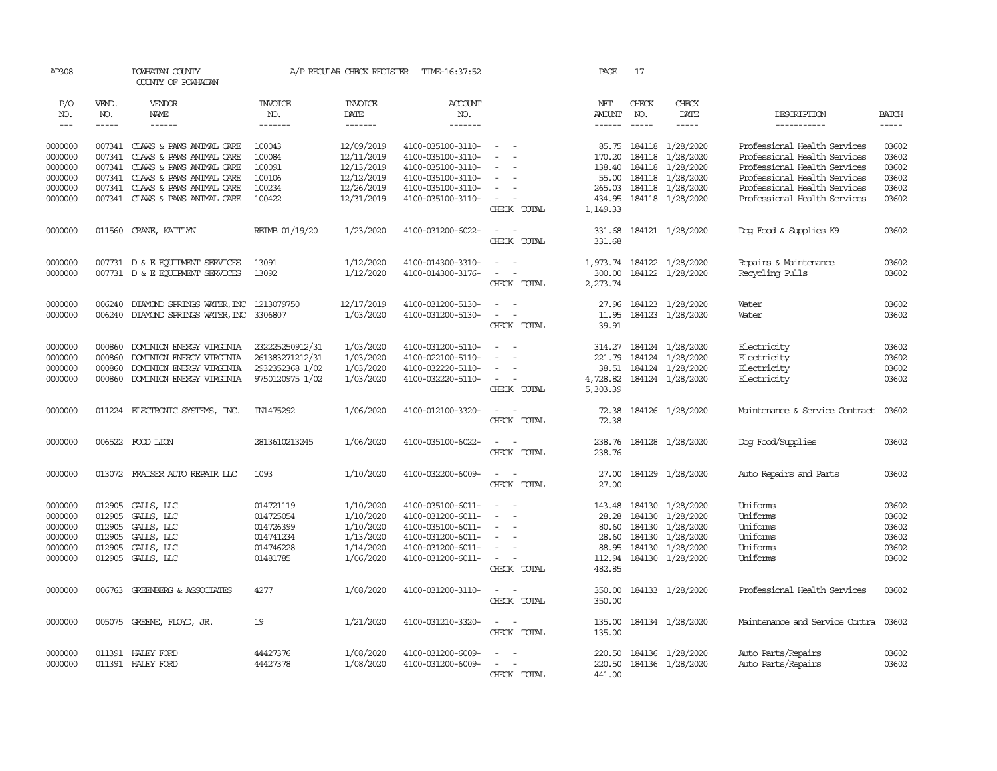| AP308         |               | POWHATAN COUNTY<br>COUNTY OF POWHATAN                                              |                 | A/P REGULAR CHECK REGISTER | TIME-16:37:52     |                                             | PAGE          | 17            |                           |                                |              |
|---------------|---------------|------------------------------------------------------------------------------------|-----------------|----------------------------|-------------------|---------------------------------------------|---------------|---------------|---------------------------|--------------------------------|--------------|
| P/O           | VEND.         | VENDOR                                                                             | <b>INVOICE</b>  | <b>INVOICE</b>             | <b>ACCOUNT</b>    |                                             | NET           | CHECK         | CHECK                     |                                |              |
| NO.           | NO.           | NAME                                                                               | NO.             | DATE                       | NO.               |                                             | <b>AMOUNT</b> | NO.           | DATE                      | DESCRIPTION                    | <b>BATCH</b> |
| $\frac{1}{2}$ | $\frac{1}{2}$ |                                                                                    | -------         | --------                   | --------          |                                             | $- - - - - -$ | $\frac{1}{2}$ | $- - - - -$               | -----------                    | $- - - - -$  |
| 0000000       |               | 007341 CLAWS & PAWS ANIMAL CARE                                                    | 100043          | 12/09/2019                 | 4100-035100-3110- | $\sim$                                      | 85.75         |               | 184118 1/28/2020          | Professional Health Services   | 03602        |
| 0000000       | 007341        | CLAWS & PAWS ANIMAL CARE                                                           | 100084          | 12/11/2019                 | 4100-035100-3110- | $\equiv$                                    | 170.20        | 184118        | 1/28/2020                 | Professional Health Services   | 03602        |
| 0000000       |               | 007341 CLAWS & PAWS ANIMAL CARE                                                    | 100091          | 12/13/2019                 | 4100-035100-3110- | $\equiv$                                    | 138.40        |               | 184118 1/28/2020          | Professional Health Services   | 03602        |
| 0000000       |               | 007341 CLAWS & PAWS ANIMAL CARE                                                    | 100106          | 12/12/2019                 | 4100-035100-3110- | $\overline{\phantom{a}}$                    | 55.00         |               | 184118 1/28/2020          | Professional Health Services   | 03602        |
| 0000000       |               | 007341 CLAWS & PAWS ANIMAL CARE                                                    | 100234          | 12/26/2019                 | 4100-035100-3110- | $\overline{\phantom{a}}$                    | 265.03        |               | 184118 1/28/2020          | Professional Health Services   | 03602        |
| 0000000       |               | 007341 CLAWS & PAWS ANIMAL CARE                                                    | 100422          | 12/31/2019                 | 4100-035100-3110- | $\sim$                                      | 434.95        |               | 184118 1/28/2020          | Professional Health Services   | 03602        |
|               |               |                                                                                    |                 |                            |                   | CHECK TOTAL                                 | 1,149.33      |               |                           |                                |              |
|               |               |                                                                                    |                 |                            |                   |                                             |               |               |                           |                                |              |
| 0000000       |               | 011560 CRANE, KAITLYN                                                              | REIMB 01/19/20  | 1/23/2020                  | 4100-031200-6022- | $\sim$<br>$\sim$                            |               |               | 331.68 184121 1/28/2020   | Dog Food & Supplies K9         | 03602        |
|               |               |                                                                                    |                 |                            |                   | CHECK TOTAL                                 | 331.68        |               |                           |                                |              |
|               |               |                                                                                    |                 |                            |                   |                                             |               |               |                           |                                |              |
| 0000000       |               | 007731 D & E EQUIPMENT SERVICES                                                    | 13091           | 1/12/2020                  | 4100-014300-3310- | $\sim$<br>$\sim$                            |               |               | 1,973.74 184122 1/28/2020 | Repairs & Maintenance          | 03602        |
| 0000000       |               | 007731 D & E EQUIPMENT SERVICES                                                    | 13092           | 1/12/2020                  | 4100-014300-3176- | $\omega_{\rm{max}}$ and $\omega_{\rm{max}}$ | 300.00        |               | 184122 1/28/2020          | Recycling Pulls                | 03602        |
|               |               |                                                                                    |                 |                            |                   | CHECK TOTAL                                 | 2,273.74      |               |                           |                                |              |
| 0000000       |               |                                                                                    |                 | 12/17/2019                 | 4100-031200-5130- | $\overline{\phantom{a}}$<br>$\sim$          |               |               | 27.96 184123 1/28/2020    |                                | 03602        |
| 0000000       | 006240        | DIAMOND SPRINGS WATER, INC 1213079750<br>006240 DIAMOND SPRINGS WATER, INC 3306807 |                 | 1/03/2020                  | 4100-031200-5130- | $\sim$<br>$\sim$                            | 11.95         |               | 184123 1/28/2020          | Water<br>Water                 | 03602        |
|               |               |                                                                                    |                 |                            |                   | CHECK TOTAL                                 | 39.91         |               |                           |                                |              |
|               |               |                                                                                    |                 |                            |                   |                                             |               |               |                           |                                |              |
| 0000000       | 000860        | DOMINION ENERGY VIRGINIA                                                           | 232225250912/31 | 1/03/2020                  | 4100-031200-5110- | $\sim$                                      | 314.27        |               | 184124 1/28/2020          | Electricity                    | 03602        |
| 0000000       | 000860        | DOMINION ENERGY VIRGINIA                                                           | 261383271212/31 | 1/03/2020                  | 4100-022100-5110- | $\sim$<br>$\sim$                            | 221.79        |               | 184124 1/28/2020          | Electricity                    | 03602        |
| 0000000       | 000860        | DOMINION ENERGY VIRGINIA                                                           | 2932352368 1/02 | 1/03/2020                  | 4100-032220-5110- | $\overline{\phantom{a}}$                    | 38.51         |               | 184124 1/28/2020          | Electricity                    | 03602        |
| 0000000       | 000860        | DOMINION ENERGY VIRGINIA                                                           | 9750120975 1/02 | 1/03/2020                  | 4100-032220-5110- | $\sim$ $\sim$                               | 4,728.82      |               | 184124 1/28/2020          | Electricity                    | 03602        |
|               |               |                                                                                    |                 |                            |                   | CHECK TOTAL                                 | 5,303.39      |               |                           |                                |              |
|               |               |                                                                                    |                 |                            |                   |                                             |               |               |                           |                                |              |
| 0000000       |               | 011224 ELECTRONIC SYSTEMS, INC.                                                    | IN1475292       | 1/06/2020                  | 4100-012100-3320- | $ -$                                        | 72.38         |               | 184126 1/28/2020          | Maintenance & Service Contract | 03602        |
|               |               |                                                                                    |                 |                            |                   | CHECK TOTAL                                 | 72.38         |               |                           |                                |              |
| 0000000       |               | 006522 FOOD LION                                                                   | 2813610213245   | 1/06/2020                  | 4100-035100-6022- | $\sim$<br>$\sim$                            | 238.76        |               | 184128 1/28/2020          | Dog Food/Supplies              | 03602        |
|               |               |                                                                                    |                 |                            |                   | CHECK TOTAL                                 | 238.76        |               |                           |                                |              |
|               |               |                                                                                    |                 |                            |                   |                                             |               |               |                           |                                |              |
| 0000000       |               | 013072 FRAISER AUTO REPAIR LLC                                                     | 1093            | 1/10/2020                  | 4100-032200-6009- | $\sim$<br>$\sim$                            | 27.00         |               | 184129 1/28/2020          | Auto Repairs and Parts         | 03602        |
|               |               |                                                                                    |                 |                            |                   | CHECK TOTAL                                 | 27.00         |               |                           |                                |              |
|               |               |                                                                                    |                 |                            |                   |                                             |               |               |                           |                                |              |
| 0000000       |               | 012905 GALLS, LLC                                                                  | 014721119       | 1/10/2020                  | 4100-035100-6011- | $\sim$                                      | 143.48        |               | 184130 1/28/2020          | Uniforms                       | 03602        |
| 0000000       | 012905        | GALLS, LLC                                                                         | 014725054       | 1/10/2020                  | 4100-031200-6011- | $\equiv$                                    | 28.28         |               | 184130 1/28/2020          | Uniforms                       | 03602        |
| 0000000       | 012905        | GALLS, LLC                                                                         | 014726399       | 1/10/2020                  | 4100-035100-6011- | $\sim$                                      | 80.60         |               | 184130 1/28/2020          | Uniforms                       | 03602        |
| 0000000       | 012905        | GALLS, LLC                                                                         | 014741234       | 1/13/2020                  | 4100-031200-6011- | $\sim$                                      | 28.60         |               | 184130 1/28/2020          | Uniforms                       | 03602        |
| 0000000       | 012905        | GALLS, LLC                                                                         | 014746228       | 1/14/2020                  | 4100-031200-6011- | $\overline{\phantom{a}}$                    | 88.95         |               | 184130 1/28/2020          | Uniforms                       | 03602        |
| 0000000       | 012905        | GALLS, LLC                                                                         | 01481785        | 1/06/2020                  | 4100-031200-6011- | $\sim$                                      | 112.94        |               | 184130 1/28/2020          | Uniforms                       | 03602        |
|               |               |                                                                                    |                 |                            |                   | CHECK TOTAL                                 | 482.85        |               |                           |                                |              |
| 0000000       |               | 006763 GREENBERG & ASSOCIATES                                                      | 4277            | 1/08/2020                  | 4100-031200-3110- | $\sim$ $ \sim$                              | 350.00        |               | 184133 1/28/2020          | Professional Health Services   | 03602        |
|               |               |                                                                                    |                 |                            |                   | CHECK TOTAL                                 | 350.00        |               |                           |                                |              |
|               |               |                                                                                    |                 |                            |                   |                                             |               |               |                           |                                |              |
| 0000000       |               | 005075 GREENE, FLOYD, JR.                                                          | 19              | 1/21/2020                  | 4100-031210-3320- | $\sim$<br>$\sim$                            | 135.00        |               | 184134 1/28/2020          | Maintenance and Service Contra | 03602        |
|               |               |                                                                                    |                 |                            |                   | CHECK TOTAL                                 | 135.00        |               |                           |                                |              |
|               |               |                                                                                    |                 |                            |                   |                                             |               |               |                           |                                |              |
| 0000000       |               | 011391 HALEY FORD                                                                  | 44427376        | 1/08/2020                  | 4100-031200-6009- | $\overline{\phantom{a}}$                    | 220.50        |               | 184136 1/28/2020          | Auto Parts/Repairs             | 03602        |
| 0000000       |               | 011391 HALEY FORD                                                                  | 44427378        | 1/08/2020                  | 4100-031200-6009- | $\sim$<br>$\sim$                            |               |               | 220.50 184136 1/28/2020   | Auto Parts/Repairs             | 03602        |
|               |               |                                                                                    |                 |                            |                   | CHECK TOTAL                                 | 441.00        |               |                           |                                |              |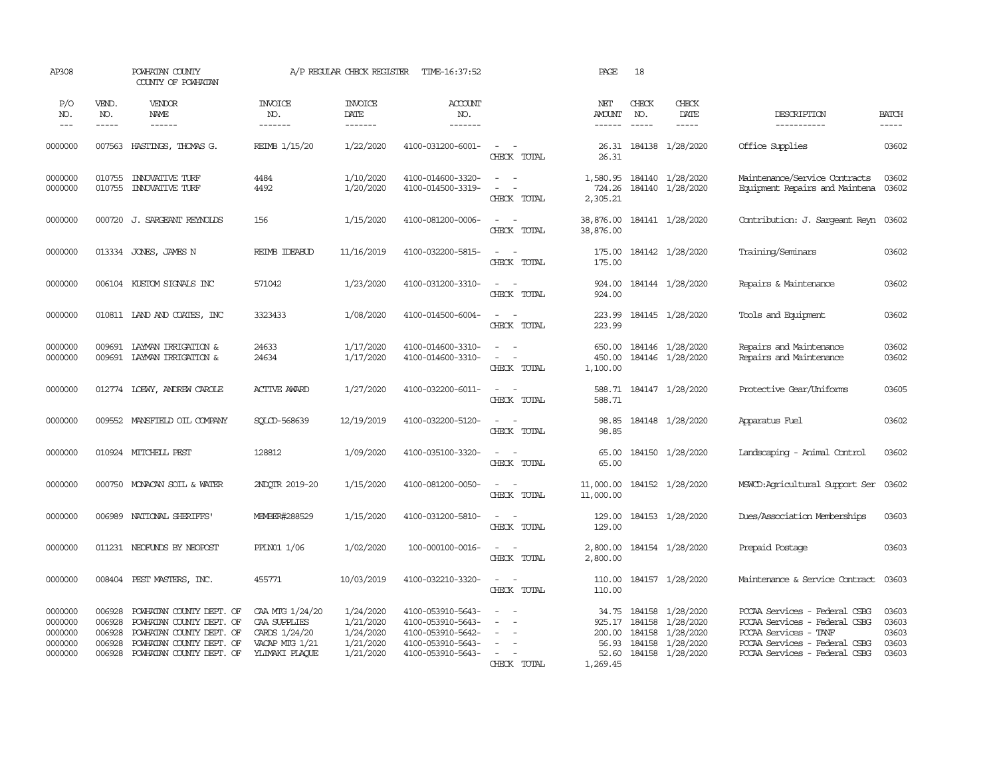| AP308                                               |                                                | POWHATAN COUNTY<br>COUNTY OF POWHATAN                                                                                                    |                                                                                      | A/P REGULAR CHECK REGISTER                                    | TIME-16:37:52                                                                                         |                                                                                                                                                                                               | PAGE                                                    | 18                                                                                                                                                                                                                                                                                                                                                                                                           |                                                                             |                                                                                                                                                           |                                           |
|-----------------------------------------------------|------------------------------------------------|------------------------------------------------------------------------------------------------------------------------------------------|--------------------------------------------------------------------------------------|---------------------------------------------------------------|-------------------------------------------------------------------------------------------------------|-----------------------------------------------------------------------------------------------------------------------------------------------------------------------------------------------|---------------------------------------------------------|--------------------------------------------------------------------------------------------------------------------------------------------------------------------------------------------------------------------------------------------------------------------------------------------------------------------------------------------------------------------------------------------------------------|-----------------------------------------------------------------------------|-----------------------------------------------------------------------------------------------------------------------------------------------------------|-------------------------------------------|
| P/O<br>NO.<br>$---$                                 | VEND.<br>NO.<br>$- - - - -$                    | VENDOR<br>NAME<br>$- - - - - -$                                                                                                          | <b>INVOICE</b><br>NO.<br>-------                                                     | <b>INVOICE</b><br>DATE<br>-------                             | <b>ACCOUNT</b><br>NO.<br>-------                                                                      |                                                                                                                                                                                               | NET<br><b>AMOUNT</b><br>------                          | CHECK<br>NO.<br>$\frac{1}{2} \frac{1}{2} \frac{1}{2} \frac{1}{2} \frac{1}{2} \frac{1}{2} \frac{1}{2} \frac{1}{2} \frac{1}{2} \frac{1}{2} \frac{1}{2} \frac{1}{2} \frac{1}{2} \frac{1}{2} \frac{1}{2} \frac{1}{2} \frac{1}{2} \frac{1}{2} \frac{1}{2} \frac{1}{2} \frac{1}{2} \frac{1}{2} \frac{1}{2} \frac{1}{2} \frac{1}{2} \frac{1}{2} \frac{1}{2} \frac{1}{2} \frac{1}{2} \frac{1}{2} \frac{1}{2} \frac{$ | CHECK<br>DATE<br>$- - - - -$                                                | DESCRIPTION<br>-----------                                                                                                                                | <b>BATCH</b><br>-----                     |
| 0000000                                             | 007563                                         | HASTINGS, THOMAS G.                                                                                                                      | REIMB 1/15/20                                                                        | 1/22/2020                                                     | 4100-031200-6001-                                                                                     | $\sim$<br>$\sim$<br>CHECK TOTAL                                                                                                                                                               | 26.31                                                   |                                                                                                                                                                                                                                                                                                                                                                                                              | 26.31 184138 1/28/2020                                                      | Office Supplies                                                                                                                                           | 03602                                     |
| 0000000<br>0000000                                  | 010755<br>010755                               | <b>INOVATIVE TURF</b><br><b>INOVATIVE TURF</b>                                                                                           | 4484<br>4492                                                                         | 1/10/2020<br>1/20/2020                                        | 4100-014600-3320-<br>4100-014500-3319-                                                                | $\sim$ $ \sim$<br>$\sim$<br>$\sim$<br>CHECK TOTAL                                                                                                                                             | 724.26<br>2,305.21                                      |                                                                                                                                                                                                                                                                                                                                                                                                              | 1,580.95 184140 1/28/2020<br>184140 1/28/2020                               | Maintenance/Service Contracts<br>Equipment Repairs and Maintena 03602                                                                                     | 03602                                     |
| 0000000                                             |                                                | 000720 J. SARGEANT REYNOLDS                                                                                                              | 156                                                                                  | 1/15/2020                                                     | 4100-081200-0006-                                                                                     | $\sim$ $-$<br>CHECK TOTAL                                                                                                                                                                     | 38,876.00<br>38,876.00                                  |                                                                                                                                                                                                                                                                                                                                                                                                              | 184141 1/28/2020                                                            | Contribution: J. Sargeant Reyn 03602                                                                                                                      |                                           |
| 0000000                                             |                                                | 013334 JONES, JAMES N                                                                                                                    | REIMB IDEABUD                                                                        | 11/16/2019                                                    | 4100-032200-5815-                                                                                     | $\frac{1}{2} \left( \frac{1}{2} \right) \left( \frac{1}{2} \right) = \frac{1}{2} \left( \frac{1}{2} \right)$<br>CHECK TOTAL                                                                   | 175.00<br>175.00                                        |                                                                                                                                                                                                                                                                                                                                                                                                              | 184142 1/28/2020                                                            | Training/Seminars                                                                                                                                         | 03602                                     |
| 0000000                                             |                                                | 006104 KUSTOM SIGNALS INC                                                                                                                | 571042                                                                               | 1/23/2020                                                     | 4100-031200-3310-                                                                                     | $\sim$<br>$\sim$<br>CHECK TOTAL                                                                                                                                                               | 924.00<br>924.00                                        |                                                                                                                                                                                                                                                                                                                                                                                                              | 184144 1/28/2020                                                            | Repairs & Maintenance                                                                                                                                     | 03602                                     |
| 0000000                                             |                                                | 010811 LAND AND COATES, INC                                                                                                              | 3323433                                                                              | 1/08/2020                                                     | 4100-014500-6004-                                                                                     | $\sim$<br>$\sim$ $-$<br>CHECK TOTAL                                                                                                                                                           | 223.99<br>223.99                                        |                                                                                                                                                                                                                                                                                                                                                                                                              | 184145 1/28/2020                                                            | Tools and Equipment                                                                                                                                       | 03602                                     |
| 0000000<br>0000000                                  | 009691                                         | LAYMAN IRRIGATION &<br>009691 LAYMAN IRRIGATION &                                                                                        | 24633<br>24634                                                                       | 1/17/2020<br>1/17/2020                                        | 4100-014600-3310-<br>4100-014600-3310-                                                                | $\sim$<br>$\overline{\phantom{a}}$<br>CHECK TOTAL                                                                                                                                             | 650.00<br>450.00<br>1,100.00                            |                                                                                                                                                                                                                                                                                                                                                                                                              | 184146 1/28/2020<br>184146 1/28/2020                                        | Repairs and Maintenance<br>Repairs and Maintenance                                                                                                        | 03602<br>03602                            |
| 0000000                                             |                                                | 012774 LOEWY, ANDREW CAROLE                                                                                                              | <b>ACTIVE AWARD</b>                                                                  | 1/27/2020                                                     | 4100-032200-6011-                                                                                     | $\sim$ 100 $\sim$<br>CHECK TOTAL                                                                                                                                                              | 588.71                                                  |                                                                                                                                                                                                                                                                                                                                                                                                              | 588.71 184147 1/28/2020                                                     | Protective Gear/Uniforms                                                                                                                                  | 03605                                     |
| 0000000                                             |                                                | 009552 MANSFIELD OIL COMPANY                                                                                                             | SOLCD-568639                                                                         | 12/19/2019                                                    | 4100-032200-5120-                                                                                     | $\sim$<br>$\sim$<br>CHECK TOTAL                                                                                                                                                               | 98.85<br>98.85                                          |                                                                                                                                                                                                                                                                                                                                                                                                              | 184148 1/28/2020                                                            | Apparatus Fuel                                                                                                                                            | 03602                                     |
| 0000000                                             |                                                | 010924 MITCHELL PEST                                                                                                                     | 128812                                                                               | 1/09/2020                                                     | 4100-035100-3320-                                                                                     | $\sim$ 100 $\sim$<br>CHECK TOTAL                                                                                                                                                              | 65.00<br>65.00                                          |                                                                                                                                                                                                                                                                                                                                                                                                              | 184150 1/28/2020                                                            | Landscaping - Animal Control                                                                                                                              | 03602                                     |
| 0000000                                             | 000750                                         | MONACAN SOIL & WATER                                                                                                                     | 2NDQTR 2019-20                                                                       | 1/15/2020                                                     | 4100-081200-0050-                                                                                     | $\sim$ $ \sim$<br>CHECK TOTAL                                                                                                                                                                 | 11,000.00<br>11,000.00                                  |                                                                                                                                                                                                                                                                                                                                                                                                              | 184152 1/28/2020                                                            | MSWCD:Agricultural Support Ser 03602                                                                                                                      |                                           |
| 0000000                                             | 006989                                         | NATIONAL SHERIFFS                                                                                                                        | MEMBER#288529                                                                        | 1/15/2020                                                     | 4100-031200-5810-                                                                                     | $\sim$<br>$\sim$<br>CHECK TOTAL                                                                                                                                                               | 129.00<br>129.00                                        |                                                                                                                                                                                                                                                                                                                                                                                                              | 184153 1/28/2020                                                            | Dues/Association Memberships                                                                                                                              | 03603                                     |
| 0000000                                             | 011231                                         | NEOFUNDS BY NEOPOST                                                                                                                      | PPLN01 1/06                                                                          | 1/02/2020                                                     | 100-000100-0016-                                                                                      | $\overline{\phantom{a}}$<br>$\sim$ $-$<br>CHECK TOTAL                                                                                                                                         | 2,800.00<br>2,800.00                                    |                                                                                                                                                                                                                                                                                                                                                                                                              | 184154 1/28/2020                                                            | Prepaid Postage                                                                                                                                           | 03603                                     |
| 0000000                                             | 008404                                         | PEST MASTERS, INC.                                                                                                                       | 455771                                                                               | 10/03/2019                                                    | 4100-032210-3320-                                                                                     | $\sim$<br>$\sim$<br>CHECK TOTAL                                                                                                                                                               | 110.00<br>110.00                                        |                                                                                                                                                                                                                                                                                                                                                                                                              | 184157 1/28/2020                                                            | Maintenance & Service Contract                                                                                                                            | 03603                                     |
| 0000000<br>0000000<br>0000000<br>0000000<br>0000000 | 006928<br>006928<br>006928<br>006928<br>006928 | POWHATAN COUNTY DEPT. OF<br>POWHATAN COUNTY DEPT. OF<br>POWHATAN COUNTY DEPT. OF<br>POWHATAN COUNTY DEPT. OF<br>POWHATAN COUNTY DEPT. OF | CAA MIG 1/24/20<br>CAA SUPPLIES<br>CARDS 1/24/20<br>VACAP MTG 1/21<br>YLIMAKI PLAQUE | 1/24/2020<br>1/21/2020<br>1/24/2020<br>1/21/2020<br>1/21/2020 | 4100-053910-5643-<br>4100-053910-5643-<br>4100-053910-5642-<br>4100-053910-5643-<br>4100-053910-5643- | $\sim$<br>$\sim$<br>$\blacksquare$<br>$\overline{\phantom{a}}$<br>$\frac{1}{2} \left( \frac{1}{2} \right) \left( \frac{1}{2} \right) = \frac{1}{2} \left( \frac{1}{2} \right)$<br>CHECK TOTAL | 34.75<br>925.17<br>200.00<br>56.93<br>52.60<br>1,269.45 | 184158<br>184158<br>184158                                                                                                                                                                                                                                                                                                                                                                                   | 184158 1/28/2020<br>1/28/2020<br>1/28/2020<br>1/28/2020<br>184158 1/28/2020 | PCCAA Services - Federal CSBG<br>POCAA Services - Federal CSBG<br>PCCAA Services - TANF<br>PCCAA Services - Federal CSBG<br>PCCAA Services - Federal CSBG | 03603<br>03603<br>03603<br>03603<br>03603 |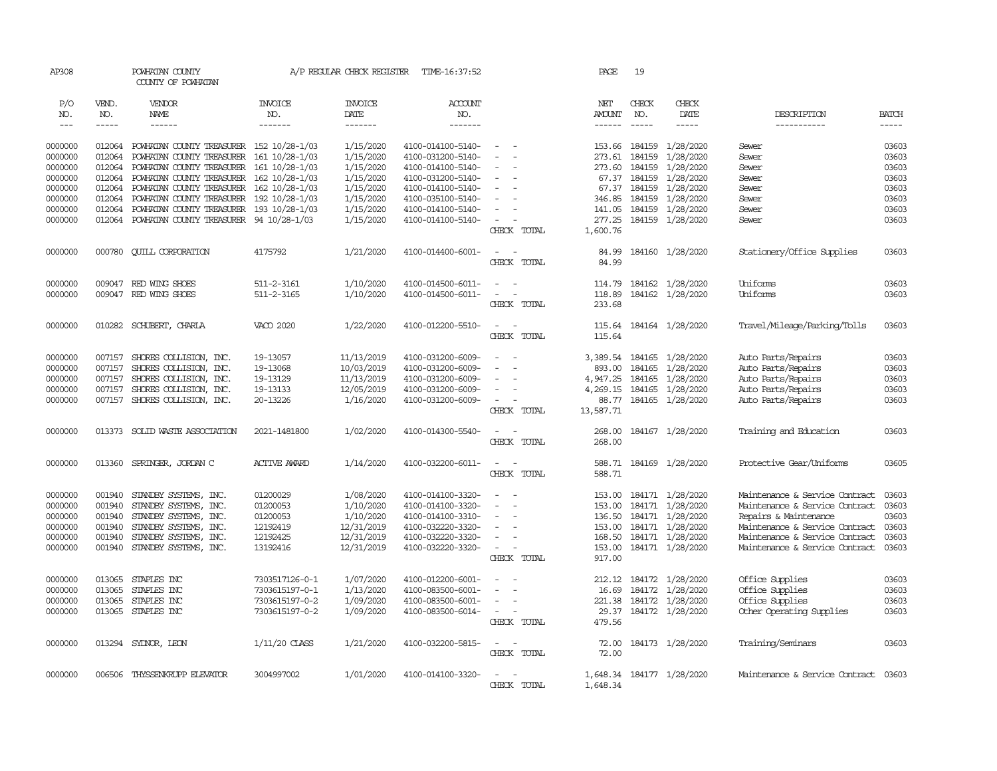| AP308      |              | POWHATAN COUNTY<br>COUNTY OF POWHATAN    |                       | A/P REGULAR CHECK REGISTER | TIME-16:37:52     |                                                                                                | PAGE             | 19            |                           |                                      |              |
|------------|--------------|------------------------------------------|-----------------------|----------------------------|-------------------|------------------------------------------------------------------------------------------------|------------------|---------------|---------------------------|--------------------------------------|--------------|
| P/O<br>NO. | VEND.<br>NO. | VENDOR<br>NAME                           | <b>INVOICE</b><br>NO. | <b>INVOICE</b><br>DATE     | ACCOUNT<br>NO.    |                                                                                                | NET<br>AMOUNT    | CHECK<br>NO.  | CHECK<br>DATE             | DESCRIPTION                          | <b>BATCH</b> |
| $  -$      | $- - - - -$  | ------                                   | -------               | -------                    | -------           |                                                                                                | ------           | $- - - - -$   | -----                     | -----------                          | $- - - - -$  |
| 0000000    | 012064       | POWHATAN COUNTY TREASURER 152 10/28-1/03 |                       | 1/15/2020                  | 4100-014100-5140- |                                                                                                |                  | 153.66 184159 | 1/28/2020                 | Sewer                                | 03603        |
| 0000000    | 012064       | POWHATAN COUNTY TREASURER 161 10/28-1/03 |                       | 1/15/2020                  | 4100-031200-5140- |                                                                                                | 273.61           | 184159        | 1/28/2020                 | Sewer                                | 03603        |
| 0000000    | 012064       | POWHATAN COUNTY TREASURER 161 10/28-1/03 |                       | 1/15/2020                  | 4100-014100-5140- |                                                                                                | 273.60           | 184159        | 1/28/2020                 | Sewer                                | 03603        |
| 0000000    | 012064       | POWHATAN COUNTY TREASURER 162 10/28-1/03 |                       | 1/15/2020                  | 4100-031200-5140- |                                                                                                |                  | 67.37 184159  | 1/28/2020                 | Sewer                                | 03603        |
| 0000000    | 012064       | POWHATAN COUNTY TREASURER 162 10/28-1/03 |                       | 1/15/2020                  | 4100-014100-5140- | $\overline{\phantom{a}}$                                                                       |                  | 67.37 184159  | 1/28/2020                 | Sewer                                | 03603        |
| 0000000    | 012064       | POWHATAN COUNTY TREASURER 192 10/28-1/03 |                       | 1/15/2020                  | 4100-035100-5140- |                                                                                                | 346.85           | 184159        | 1/28/2020                 | Sewer                                | 03603        |
| 0000000    | 012064       | POWHATAN COUNTY TREASURER 193 10/28-1/03 |                       | 1/15/2020                  | 4100-014100-5140- |                                                                                                | 141.05           | 184159        | 1/28/2020                 | Sewer                                | 03603        |
| 0000000    | 012064       | POWHATAN COUNTY TREASURER 94 10/28-1/03  |                       | 1/15/2020                  | 4100-014100-5140- |                                                                                                | 277.25           |               | 184159 1/28/2020          | Sewer                                | 03603        |
|            |              |                                          |                       |                            |                   | CHECK TOTAL                                                                                    | 1,600.76         |               |                           |                                      |              |
| 0000000    | 000780       | <b>CUILL CORPORATION</b>                 | 4175792               | 1/21/2020                  | 4100-014400-6001- | $\overline{\phantom{a}}$<br>$\sim$                                                             | 84.99            |               | 184160 1/28/2020          | Stationery/Office Supplies           | 03603        |
|            |              |                                          |                       |                            |                   | CHECK TOTAL                                                                                    | 84.99            |               |                           |                                      |              |
| 0000000    |              | 009047 RED WING SHOES                    | 511-2-3161            | 1/10/2020                  | 4100-014500-6011- | $\sim$                                                                                         | 114.79           |               | 184162 1/28/2020          | Uniforms                             | 03603        |
| 0000000    |              | 009047 RED WING SHOES                    | 511-2-3165            | 1/10/2020                  | 4100-014500-6011- | $\sim$<br>$\sim$                                                                               | 118.89           |               | 184162 1/28/2020          | Uniforms                             | 03603        |
|            |              |                                          |                       |                            |                   | CHECK TOTAL                                                                                    | 233.68           |               |                           |                                      |              |
| 0000000    |              | 010282 SCHUBERT, CHARLA                  | VACO 2020             | 1/22/2020                  | 4100-012200-5510- | $\sim$<br>$\sim$                                                                               |                  |               | 115.64 184164 1/28/2020   | Travel/Mileage/Parking/Tolls         | 03603        |
|            |              |                                          |                       |                            |                   | CHECK TOTAL                                                                                    | 115.64           |               |                           |                                      |              |
| 0000000    | 007157       | SHORES COLLISION, INC.                   | 19-13057              | 11/13/2019                 | 4100-031200-6009- | $\sim$                                                                                         | 3,389.54         | 184165        | 1/28/2020                 | Auto Parts/Repairs                   | 03603        |
| 0000000    | 007157       | SHORES COLLISION, INC.                   | 19-13068              | 10/03/2019                 | 4100-031200-6009- |                                                                                                | 893.00           | 184165        | 1/28/2020                 | Auto Parts/Repairs                   | 03603        |
| 0000000    | 007157       | SHORES COLLISION, INC.                   | 19-13129              | 11/13/2019                 | 4100-031200-6009- |                                                                                                | 4,947.25         | 184165        | 1/28/2020                 | Auto Parts/Repairs                   | 03603        |
| 0000000    | 007157       | SHORES COLLISION, INC.                   | 19-13133              | 12/05/2019                 | 4100-031200-6009- |                                                                                                | 4,269.15         | 184165        | 1/28/2020                 | Auto Parts/Repairs                   | 03603        |
| 0000000    | 007157       | SHORES COLLISION, INC.                   | 20-13226              | 1/16/2020                  | 4100-031200-6009- |                                                                                                | 88.77            | 184165        | 1/28/2020                 | Auto Parts/Repairs                   | 03603        |
|            |              |                                          |                       |                            |                   | CHECK TOTAL                                                                                    | 13,587.71        |               |                           |                                      |              |
| 0000000    | 013373       | SOLID WASTE ASSOCIATION                  | 2021-1481800          | 1/02/2020                  | 4100-014300-5540- | $\overline{\phantom{a}}$                                                                       | 268.00           |               | 184167 1/28/2020          | Training and Education               | 03603        |
|            |              |                                          |                       |                            |                   | CHECK TOTAL                                                                                    | 268.00           |               |                           |                                      |              |
| 0000000    | 013360       | SPRINGER, JORDAN C                       | <b>ACTIVE AWARD</b>   | 1/14/2020                  | 4100-032200-6011- | $\overline{\phantom{a}}$<br>$\sim$                                                             | 588.71           |               | 184169 1/28/2020          | Protective Gear/Uniforms             | 03605        |
|            |              |                                          |                       |                            |                   | CHECK TOTAL                                                                                    | 588.71           |               |                           |                                      |              |
| 0000000    | 001940       | STANDBY SYSTEMS, INC.                    | 01200029              | 1/08/2020                  | 4100-014100-3320- | $\equiv$                                                                                       |                  |               | 153.00 184171 1/28/2020   | Maintenance & Service Contract       | 03603        |
| 0000000    | 001940       | STANDBY SYSTEMS, INC.                    | 01200053              | 1/10/2020                  | 4100-014100-3320- | $\sim$                                                                                         | 153.00           | 184171        | 1/28/2020                 | Maintenance & Service Contract       | 03603        |
| 0000000    | 001940       | STANDBY SYSTEMS, INC.                    | 01200053              | 1/10/2020                  | 4100-014100-3310- |                                                                                                | 136.50           |               | 184171 1/28/2020          | Repairs & Maintenance                | 03603        |
| 0000000    | 001940       | STANDBY SYSTEMS, INC.                    | 12192419              | 12/31/2019                 | 4100-032220-3320- |                                                                                                |                  |               | 153.00 184171 1/28/2020   | Maintenance & Service Contract       | 03603        |
| 0000000    | 001940       | STANDBY SYSTEMS, INC.                    | 12192425              | 12/31/2019                 | 4100-032220-3320- | $\sim$                                                                                         |                  |               | 168.50 184171 1/28/2020   | Maintenance & Service Contract       | 03603        |
| 0000000    | 001940       | STANDBY SYSTEMS, INC.                    | 13192416              | 12/31/2019                 | 4100-032220-3320- | $\sim$<br>CHECK TOTAL                                                                          | 153.00<br>917.00 |               | 184171 1/28/2020          | Maintenance & Service Contract       | 03603        |
| 0000000    | 013065       | STAPLES INC                              | 7303517126-0-1        | 1/07/2020                  | 4100-012200-6001- | $\overline{\phantom{0}}$                                                                       |                  |               | 212.12 184172 1/28/2020   | Office Supplies                      | 03603        |
| 0000000    | 013065       | STAPLES INC                              | 7303615197-0-1        | 1/13/2020                  | 4100-083500-6001- |                                                                                                | 16.69            | 184172        | 1/28/2020                 | Office Supplies                      | 03603        |
| 0000000    | 013065       | STAPLES INC                              | 7303615197-0-2        | 1/09/2020                  | 4100-083500-6001- |                                                                                                | 221.38           |               | 184172 1/28/2020          | Office Supplies                      | 03603        |
| 0000000    |              | 013065 STAPLES INC                       | 7303615197-0-2        | 1/09/2020                  | 4100-083500-6014- | $\overline{\phantom{a}}$                                                                       |                  |               | 29.37 184172 1/28/2020    | Other Operating Supplies             | 03603        |
|            |              |                                          |                       |                            |                   | CHECK TOTAL                                                                                    | 479.56           |               |                           |                                      |              |
| 0000000    |              | 013294 SYDNOR, LEON                      | $1/11/20$ CLASS       | 1/21/2020                  | 4100-032200-5815- | $\frac{1}{2} \left( \frac{1}{2} \right) \left( \frac{1}{2} \right) \left( \frac{1}{2} \right)$ | 72.00            |               | 184173 1/28/2020          | Training/Seminars                    | 03603        |
|            |              |                                          |                       |                            |                   | CHECK TOTAL                                                                                    | 72.00            |               |                           |                                      |              |
| 0000000    |              | 006506 THYSSENKRUPP ELEVATOR             | 3004997002            | 1/01/2020                  | 4100-014100-3320- | $\overline{\phantom{a}}$                                                                       |                  |               | 1,648.34 184177 1/28/2020 | Maintenance & Service Contract 03603 |              |
|            |              |                                          |                       |                            |                   | CHECK TOTAL                                                                                    | 1,648.34         |               |                           |                                      |              |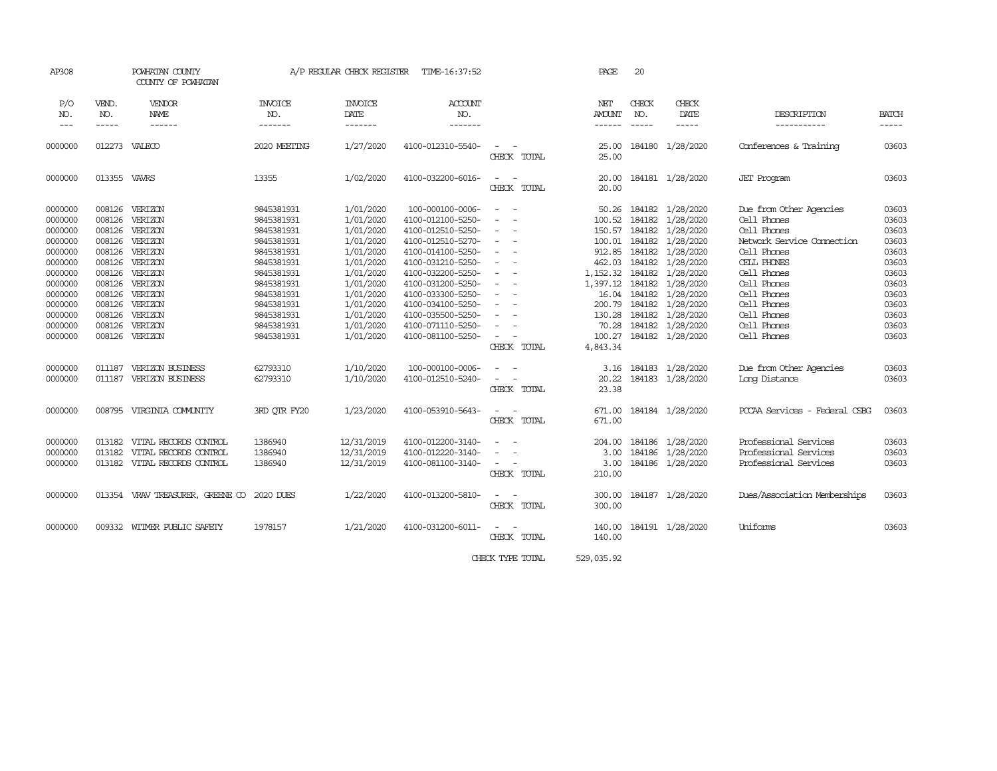| AP308                                    |                                      | POWHATAN COUNTY<br>COUNTY OF POWHATAN                                   |                                                      | A/P REGULAR CHECK REGISTER                       | TIME-16:37:52                                                                    |                                                                                                                             | PAGE                                  | 20               |                                                                                      |                                                                                     |                                  |
|------------------------------------------|--------------------------------------|-------------------------------------------------------------------------|------------------------------------------------------|--------------------------------------------------|----------------------------------------------------------------------------------|-----------------------------------------------------------------------------------------------------------------------------|---------------------------------------|------------------|--------------------------------------------------------------------------------------|-------------------------------------------------------------------------------------|----------------------------------|
| P/O<br>NO.<br>$\frac{1}{2}$              | VEND.<br>NO.<br>-----                | VENDOR<br><b>NAME</b><br>$- - - - - -$                                  | <b>INVOICE</b><br>NO.<br>-------                     | <b>INVOICE</b><br>DATE<br>-------                | <b>ACCOUNT</b><br>NO.<br>-------                                                 |                                                                                                                             | NET<br><b>AMOUNT</b><br>$- - - - - -$ | CHECK<br>NO.     | CHECK<br>DATE<br>$- - - - -$                                                         | DESCRIPTION<br>-----------                                                          | <b>BATCH</b><br>$- - - - -$      |
| 0000000                                  |                                      | 012273 VALECO                                                           | 2020 MEETING                                         | 1/27/2020                                        | 4100-012310-5540-                                                                | $\sim$<br>CHECK TOTAL                                                                                                       | 25.00<br>25.00                        |                  | 184180 1/28/2020                                                                     | Conferences & Training                                                              | 03603                            |
| 0000000                                  | 013355 VAVRS                         |                                                                         | 13355                                                | 1/02/2020                                        | 4100-032200-6016-                                                                | $\sim$<br>$\sim$ $\sim$<br>CHECK TOTAL                                                                                      | 20.00<br>20.00                        |                  | 184181 1/28/2020                                                                     | <b>JET</b> Program                                                                  | 03603                            |
| 0000000<br>0000000<br>0000000<br>0000000 | 008126<br>008126<br>008126<br>008126 | VERIZON<br>VERIZON<br>VERIZON<br>VERIZON                                | 9845381931<br>9845381931<br>9845381931<br>9845381931 | 1/01/2020<br>1/01/2020<br>1/01/2020<br>1/01/2020 | 100-000100-0006-<br>4100-012100-5250-<br>4100-012510-5250-<br>4100-012510-5270-  | $ -$<br>$\overline{\phantom{a}}$<br>$\sim$<br>$\equiv$<br>$\sim$ 100 $\sim$                                                 | 100.52<br>150.57<br>100.01            | 184182           | 50.26 184182 1/28/2020<br>184182 1/28/2020<br>184182 1/28/2020<br>1/28/2020          | Due from Other Agencies<br>Cell Phones<br>Cell Phones<br>Network Service Connection | 03603<br>03603<br>03603<br>03603 |
| 0000000<br>0000000<br>0000000            | 008126<br>008126<br>008126           | VERIZON<br>VERIZON<br>VERIZON                                           | 9845381931<br>9845381931<br>9845381931               | 1/01/2020<br>1/01/2020<br>1/01/2020              | 4100-014100-5250-<br>4100-031210-5250-<br>4100-032200-5250-                      | $\overline{\phantom{a}}$<br>$\sim$<br>$\sim$ 100 $\sim$                                                                     | 912.85<br>462.03<br>1,152.32          | 184182<br>184182 | 184182 1/28/2020<br>1/28/2020<br>1/28/2020                                           | Cell Phones<br>CELL PHONES<br>Cell Phones                                           | 03603<br>03603<br>03603          |
| 0000000<br>0000000<br>0000000<br>0000000 | 008126<br>008126<br>008126<br>008126 | VERIZON<br>VERIZON<br>VERIZON<br>VERIZON                                | 9845381931<br>9845381931<br>9845381931<br>9845381931 | 1/01/2020<br>1/01/2020<br>1/01/2020<br>1/01/2020 | 4100-031200-5250-<br>4100-033300-5250-<br>4100-034100-5250-<br>4100-035500-5250- | $\sim$<br>$\sim$<br>$\overline{\phantom{a}}$<br>$\sim$<br>$\sim$<br>$\sim$<br>$\sim$                                        | 200.79<br>130.28                      | 184182           | 1,397.12 184182 1/28/2020<br>16.04 184182 1/28/2020<br>1/28/2020<br>184182 1/28/2020 | Cell Phones<br>Cell Phones<br>Cell Phones<br>Cell Phones                            | 03603<br>03603<br>03603<br>03603 |
| 0000000<br>0000000                       | 008126<br>008126                     | VERIZON<br>VERIZON                                                      | 9845381931<br>9845381931                             | 1/01/2020<br>1/01/2020                           | 4100-071110-5250-<br>4100-081100-5250-                                           | $\sim$<br>CHECK TOTAL                                                                                                       | 70.28<br>100.27<br>4,843.34           |                  | 184182 1/28/2020<br>184182 1/28/2020                                                 | Cell Phones<br>Cell Phones                                                          | 03603<br>03603                   |
| 0000000<br>0000000                       | 011187<br>011187                     | VERIZON BUSINESS<br>VERIZON BUSINESS                                    | 62793310<br>62793310                                 | 1/10/2020<br>1/10/2020                           | 100-000100-0006-<br>4100-012510-5240-                                            | $\equiv$<br>$\sim$<br>CHECK TOTAL                                                                                           | 3.16<br>20.22<br>23.38                |                  | 184183 1/28/2020<br>184183 1/28/2020                                                 | Due from Other Agencies<br>Long Distance                                            | 03603<br>03603                   |
| 0000000                                  |                                      | 008795 VIRGINIA COMUNITY                                                | 3RD OTR FY20                                         | 1/23/2020                                        | 4100-053910-5643-                                                                | $\sim$<br>CHECK TOTAL                                                                                                       | 671.00<br>671.00                      |                  | 184184 1/28/2020                                                                     | PCCAA Services - Federal CSBG                                                       | 03603                            |
| 0000000<br>0000000<br>0000000            | 013182<br>013182<br>013182           | VITAL RECORDS CONTROL<br>VITAL RECORDS CONTROL<br>VITAL RECORDS CONTROL | 1386940<br>1386940<br>1386940                        | 12/31/2019<br>12/31/2019<br>12/31/2019           | 4100-012200-3140-<br>4100-012220-3140-<br>4100-081100-3140-                      | $\sim$<br>$\sim$<br>$\sim$<br>CHECK TOTAL                                                                                   | 204.00<br>3.00<br>3.00<br>210.00      |                  | 184186 1/28/2020<br>184186 1/28/2020<br>184186 1/28/2020                             | Professional Services<br>Professional Services<br>Professional Services             | 03603<br>03603<br>03603          |
| 0000000                                  |                                      | 013354 VRAV TREASURER, GREENE CO 2020 DUES                              |                                                      | 1/22/2020                                        | 4100-013200-5810-                                                                | $\frac{1}{2} \left( \frac{1}{2} \right) \left( \frac{1}{2} \right) = \frac{1}{2} \left( \frac{1}{2} \right)$<br>CHECK TOTAL | 300.00<br>300.00                      |                  | 184187 1/28/2020                                                                     | Dues/Association Memberships                                                        | 03603                            |
| 0000000                                  |                                      | 009332 WITMER PUBLIC SAFETY                                             | 1978157                                              | 1/21/2020                                        | 4100-031200-6011-                                                                | CHECK TOTAL                                                                                                                 | 140.00<br>140.00                      |                  | 184191 1/28/2020                                                                     | Uniforms                                                                            | 03603                            |

CHECK TYPE TOTAL 529,035.92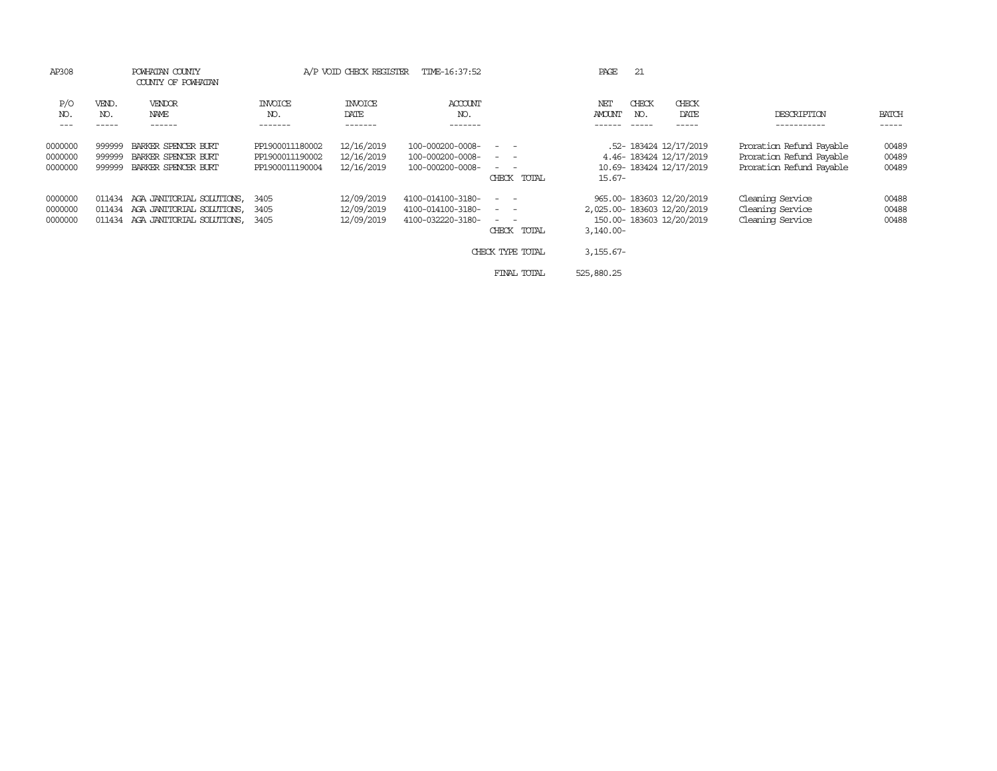| AP308                         | POWHATAN COUNTY<br>COUNTY OF POWHATAN |                                                                                            | A/P VOID CHECK REGISTER                               |                                        | TIME-16:37:52                                               |                                                                                                                                                                                                                                                                                                                                                                                                                                                        | PAGE                      | 21           |                                                                                    |                                                                                  |                         |
|-------------------------------|---------------------------------------|--------------------------------------------------------------------------------------------|-------------------------------------------------------|----------------------------------------|-------------------------------------------------------------|--------------------------------------------------------------------------------------------------------------------------------------------------------------------------------------------------------------------------------------------------------------------------------------------------------------------------------------------------------------------------------------------------------------------------------------------------------|---------------------------|--------------|------------------------------------------------------------------------------------|----------------------------------------------------------------------------------|-------------------------|
| P/O<br>NO.<br>$---$           | VEND.<br>NO.                          | VENDOR<br>NAME<br>------                                                                   | <b>INVOICE</b><br>NO.<br>-------                      | <b>INVOICE</b><br>DATE                 | ACCOUNT<br>NO.<br>-------                                   |                                                                                                                                                                                                                                                                                                                                                                                                                                                        | NET<br><b>AMOUNT</b>      | CHECK<br>NO. | CHECK<br>DATE                                                                      | DESCRIPTION                                                                      | <b>BATCH</b><br>-----   |
| 0000000<br>0000000<br>0000000 | 999999<br>999999<br>999999            | BARKER SPENCER BURT<br>BARKER SPENCER BURT<br>BARKER SPENCER BURT                          | PP1900011180002<br>PP1900011190002<br>PP1900011190004 | 12/16/2019<br>12/16/2019<br>12/16/2019 | 100-000200-0008-<br>100-000200-0008-<br>100-000200-0008-    | $\frac{1}{2} \left( \begin{array}{ccc} 1 & 0 & 0 \\ 0 & 1 & 0 \\ 0 & 0 & 0 \end{array} \right) = \frac{1}{2} \left( \begin{array}{ccc} 1 & 0 & 0 \\ 0 & 1 & 0 \\ 0 & 0 & 0 \\ 0 & 0 & 0 \end{array} \right)$<br>$ -$<br>$\frac{1}{2} \left( \begin{array}{ccc} 1 & 0 & 0 \\ 0 & 1 & 0 \\ 0 & 0 & 0 \end{array} \right) = \frac{1}{2} \left( \begin{array}{ccc} 1 & 0 & 0 \\ 0 & 1 & 0 \\ 0 & 0 & 0 \\ 0 & 0 & 0 \end{array} \right)$<br>CHECK<br>TOTAL | $15.67-$                  |              | .52- 183424 12/17/2019<br>4.46-183424 12/17/2019<br>10.69-183424 12/17/2019        | Proration Refund Payable<br>Proration Refund Payable<br>Proration Refund Payable | 00489<br>00489<br>00489 |
| 0000000<br>0000000<br>0000000 | 011434<br>011434                      | 011434 AGA JANITORIAL SOLUTIONS,<br>AGA JANITORIAL SOLUTIONS,<br>AGA JANITORIAL SOLUTIONS, | 3405<br>3405<br>3405                                  | 12/09/2019<br>12/09/2019<br>12/09/2019 | 4100-014100-3180-<br>4100-014100-3180-<br>4100-032220-3180- | $\sim$ $ -$<br>$\frac{1}{2} \left( \frac{1}{2} \right) \left( \frac{1}{2} \right) \left( \frac{1}{2} \right) \left( \frac{1}{2} \right)$<br>CHECK TOTAL                                                                                                                                                                                                                                                                                                | $3,140.00 -$              |              | 965.00-183603 12/20/2019<br>2,025.00-183603 12/20/2019<br>150.00-183603 12/20/2019 | Cleaning Service<br>Cleaning Service<br>Cleaning Service                         | 00488<br>00488<br>00488 |
|                               |                                       |                                                                                            |                                                       |                                        |                                                             | CHECK TYPE TOTAL<br>FINAL TOTAL                                                                                                                                                                                                                                                                                                                                                                                                                        | $3,155.67-$<br>525,880.25 |              |                                                                                    |                                                                                  |                         |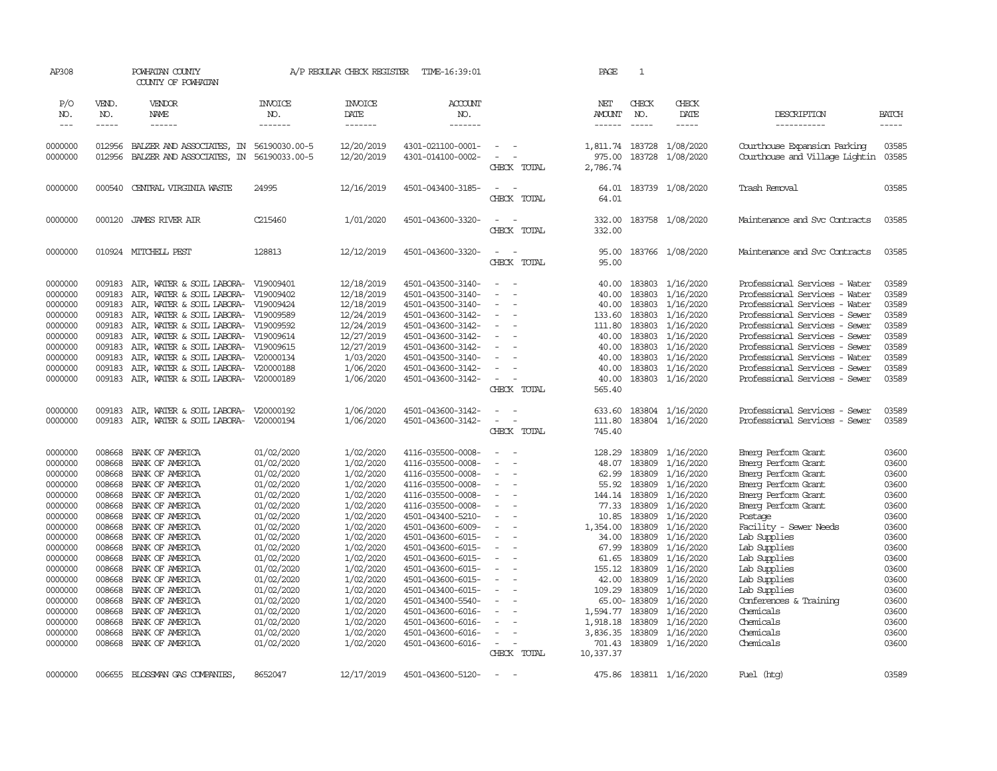| AP308                                                                                                                                                                                                         |                                                                                                                                                                                            | POWHATAN COUNTY<br>COUNTY OF POWHATAN                                                                                                                                                                                                                                                                                                                                                                            |                                                                                                                                                                                                                                                                        | A/P REGULAR CHECK REGISTER                                                                                                                                                                                                                          | TIME-16:39:01                                                                                                                                                                                                                                                                                                                                                                                               |                                                                                                                                                     | PAGE                                                                                                                                                                                         | $\mathbf{1}$                                                                                                                                                                           |                                                                                                                                                                                                                                                            |                                                                                                                                                                                                                                                                                                                                                           |                                                                                                                                                                         |
|---------------------------------------------------------------------------------------------------------------------------------------------------------------------------------------------------------------|--------------------------------------------------------------------------------------------------------------------------------------------------------------------------------------------|------------------------------------------------------------------------------------------------------------------------------------------------------------------------------------------------------------------------------------------------------------------------------------------------------------------------------------------------------------------------------------------------------------------|------------------------------------------------------------------------------------------------------------------------------------------------------------------------------------------------------------------------------------------------------------------------|-----------------------------------------------------------------------------------------------------------------------------------------------------------------------------------------------------------------------------------------------------|-------------------------------------------------------------------------------------------------------------------------------------------------------------------------------------------------------------------------------------------------------------------------------------------------------------------------------------------------------------------------------------------------------------|-----------------------------------------------------------------------------------------------------------------------------------------------------|----------------------------------------------------------------------------------------------------------------------------------------------------------------------------------------------|----------------------------------------------------------------------------------------------------------------------------------------------------------------------------------------|------------------------------------------------------------------------------------------------------------------------------------------------------------------------------------------------------------------------------------------------------------|-----------------------------------------------------------------------------------------------------------------------------------------------------------------------------------------------------------------------------------------------------------------------------------------------------------------------------------------------------------|-------------------------------------------------------------------------------------------------------------------------------------------------------------------------|
| P/O<br>NO.<br>$---$                                                                                                                                                                                           | VEND.<br>NO.<br>-----                                                                                                                                                                      | VENDOR<br><b>NAME</b>                                                                                                                                                                                                                                                                                                                                                                                            | <b>INVOICE</b><br>NO.<br>-------                                                                                                                                                                                                                                       | <b>INVOICE</b><br>DATE<br>-------                                                                                                                                                                                                                   | ACCOUNT<br>NO.<br>-------                                                                                                                                                                                                                                                                                                                                                                                   |                                                                                                                                                     | NET<br><b>AMOUNT</b><br>------                                                                                                                                                               | CHECK<br>NO.                                                                                                                                                                           | CHECK<br>DATE<br>$- - - - -$                                                                                                                                                                                                                               | DESCRIPTION<br>-----------                                                                                                                                                                                                                                                                                                                                | <b>BATCH</b>                                                                                                                                                            |
| 0000000<br>0000000                                                                                                                                                                                            | 012956                                                                                                                                                                                     | BALZER AND ASSOCIATES, IN 56190030.00-5<br>012956 BALZER AND ASSOCIATES, IN                                                                                                                                                                                                                                                                                                                                      | 56190033.00-5                                                                                                                                                                                                                                                          | 12/20/2019<br>12/20/2019                                                                                                                                                                                                                            | 4301-021100-0001-<br>4301-014100-0002-                                                                                                                                                                                                                                                                                                                                                                      | $\overline{\phantom{a}}$<br>$\overline{\phantom{0}}$<br>CHECK TOTAL                                                                                 | 1,811.74 183728<br>975.00<br>2,786.74                                                                                                                                                        | 183728                                                                                                                                                                                 | 1/08/2020<br>1/08/2020                                                                                                                                                                                                                                     | Courthouse Expansion Parking<br>Courthouse and Village Lightin 03585                                                                                                                                                                                                                                                                                      | 03585                                                                                                                                                                   |
| 0000000                                                                                                                                                                                                       | 000540                                                                                                                                                                                     | CENTRAL VIRGINIA WASTE                                                                                                                                                                                                                                                                                                                                                                                           | 24995                                                                                                                                                                                                                                                                  | 12/16/2019                                                                                                                                                                                                                                          | 4501-043400-3185-                                                                                                                                                                                                                                                                                                                                                                                           | $\equiv$<br>CHECK TOTAL                                                                                                                             | 64.01<br>64.01                                                                                                                                                                               |                                                                                                                                                                                        | 183739 1/08/2020                                                                                                                                                                                                                                           | Trash Removal                                                                                                                                                                                                                                                                                                                                             | 03585                                                                                                                                                                   |
| 0000000                                                                                                                                                                                                       | 000120                                                                                                                                                                                     | <b>JAMES RIVER AIR</b>                                                                                                                                                                                                                                                                                                                                                                                           | C215460                                                                                                                                                                                                                                                                | 1/01/2020                                                                                                                                                                                                                                           | 4501-043600-3320-                                                                                                                                                                                                                                                                                                                                                                                           | CHECK TOTAL                                                                                                                                         | 332.00<br>332.00                                                                                                                                                                             |                                                                                                                                                                                        | 183758 1/08/2020                                                                                                                                                                                                                                           | Maintenance and Svc Contracts                                                                                                                                                                                                                                                                                                                             | 03585                                                                                                                                                                   |
| 0000000                                                                                                                                                                                                       |                                                                                                                                                                                            | 010924 MITCHELL PEST                                                                                                                                                                                                                                                                                                                                                                                             | 128813                                                                                                                                                                                                                                                                 | 12/12/2019                                                                                                                                                                                                                                          | 4501-043600-3320-                                                                                                                                                                                                                                                                                                                                                                                           | CHECK TOTAL                                                                                                                                         | 95.00<br>95.00                                                                                                                                                                               |                                                                                                                                                                                        | 183766 1/08/2020                                                                                                                                                                                                                                           | Maintenance and Svc Contracts                                                                                                                                                                                                                                                                                                                             | 03585                                                                                                                                                                   |
| 0000000<br>0000000<br>0000000<br>0000000<br>0000000<br>0000000<br>0000000<br>0000000<br>0000000<br>0000000                                                                                                    | 009183<br>009183<br>009183<br>009183<br>009183<br>009183<br>009183<br>009183                                                                                                               | AIR, WATER & SOIL LABORA- V19009401<br>AIR, WATER & SOIL LABORA- V19009402<br>AIR, WATER & SOIL LABORA- V19009424<br>AIR, WATER & SOIL LABORA- V19009589<br>009183 AIR, WATER & SOIL LABORA- V19009592<br>AIR, WATER & SOIL LABORA- V19009614<br>AIR, WATER & SOIL LABORA- V19009615<br>AIR, WATER & SOIL LABORA- V20000134<br>AIR, WATER & SOIL LABORA- V20000188<br>009183 AIR, WATER & SOIL LABORA- V20000189 |                                                                                                                                                                                                                                                                        | 12/18/2019<br>12/18/2019<br>12/18/2019<br>12/24/2019<br>12/24/2019<br>12/27/2019<br>12/27/2019<br>1/03/2020<br>1/06/2020<br>1/06/2020                                                                                                               | 4501-043500-3140-<br>4501-043500-3140-<br>4501-043500-3140-<br>4501-043600-3142-<br>4501-043600-3142-<br>4501-043600-3142-<br>4501-043600-3142-<br>4501-043500-3140-<br>4501-043600-3142-<br>4501-043600-3142-                                                                                                                                                                                              | $\overline{\phantom{0}}$<br>$\sim$<br>$\sim$<br>$\equiv$<br>CHECK TOTAL                                                                             | 40.00<br>40.00<br>40.00<br>133.60<br>111.80<br>40.00<br>40.00<br>40.00<br>40.00<br>40.00<br>565.40                                                                                           | 183803<br>183803<br>183803<br>183803<br>183803<br>183803<br>183803<br>183803<br>183803                                                                                                 | 1/16/2020<br>1/16/2020<br>1/16/2020<br>1/16/2020<br>1/16/2020<br>1/16/2020<br>1/16/2020<br>1/16/2020<br>1/16/2020<br>183803 1/16/2020                                                                                                                      | Professional Services - Water<br>Professional Services - Water<br>Professional Services - Water<br>Professional Services - Sewer<br>Professional Services - Sewer<br>Professional Services - Sewer<br>Professional Services - Sewer<br>Professional Services - Water<br>Professional Services - Sewer<br>Professional Services - Sewer                    | 03589<br>03589<br>03589<br>03589<br>03589<br>03589<br>03589<br>03589<br>03589<br>03589                                                                                  |
| 0000000<br>0000000                                                                                                                                                                                            |                                                                                                                                                                                            | 009183 AIR, WATER & SOIL LABORA- V20000192<br>009183 AIR, WATER & SOIL LABORA- V20000194                                                                                                                                                                                                                                                                                                                         |                                                                                                                                                                                                                                                                        | 1/06/2020<br>1/06/2020                                                                                                                                                                                                                              | 4501-043600-3142-<br>4501-043600-3142-                                                                                                                                                                                                                                                                                                                                                                      | $\sim$<br>$\overline{\phantom{a}}$<br>CHECK TOTAL                                                                                                   | 633.60<br>111.80<br>745.40                                                                                                                                                                   | 183804                                                                                                                                                                                 | 1/16/2020<br>183804 1/16/2020                                                                                                                                                                                                                              | Professional Services - Sewer<br>Professional Services - Sewer                                                                                                                                                                                                                                                                                            | 03589<br>03589                                                                                                                                                          |
| 0000000<br>0000000<br>0000000<br>0000000<br>0000000<br>0000000<br>0000000<br>0000000<br>0000000<br>0000000<br>0000000<br>0000000<br>0000000<br>0000000<br>0000000<br>0000000<br>0000000<br>0000000<br>0000000 | 008668<br>008668<br>008668<br>008668<br>008668<br>008668<br>008668<br>008668<br>008668<br>008668<br>008668<br>008668<br>008668<br>008668<br>008668<br>008668<br>008668<br>008668<br>008668 | BANK OF AMERICA<br>BANK OF AMERICA<br>BANK OF AMERICA<br>BANK OF AMERICA<br>BANK OF AMERICA<br>BANK OF AMERICA<br>BANK OF AMERICA<br>BANK OF AMERICA<br>BANK OF AMERICA<br>BANK OF AMERICA<br>BANK OF AMERICA<br>BANK OF AMERICA<br>BANK OF AMERICA<br>BANK OF AMERICA<br>BANK OF AMERICA<br>BANK OF AMERICA<br>BANK OF AMERICA<br>BANK OF AMERICA<br>BANK OF AMERICA                                            | 01/02/2020<br>01/02/2020<br>01/02/2020<br>01/02/2020<br>01/02/2020<br>01/02/2020<br>01/02/2020<br>01/02/2020<br>01/02/2020<br>01/02/2020<br>01/02/2020<br>01/02/2020<br>01/02/2020<br>01/02/2020<br>01/02/2020<br>01/02/2020<br>01/02/2020<br>01/02/2020<br>01/02/2020 | 1/02/2020<br>1/02/2020<br>1/02/2020<br>1/02/2020<br>1/02/2020<br>1/02/2020<br>1/02/2020<br>1/02/2020<br>1/02/2020<br>1/02/2020<br>1/02/2020<br>1/02/2020<br>1/02/2020<br>1/02/2020<br>1/02/2020<br>1/02/2020<br>1/02/2020<br>1/02/2020<br>1/02/2020 | 4116-035500-0008-<br>4116-035500-0008-<br>4116-035500-0008-<br>4116-035500-0008-<br>4116-035500-0008-<br>4116-035500-0008-<br>4501-043400-5210-<br>4501-043600-6009-<br>4501-043600-6015-<br>4501-043600-6015-<br>4501-043600-6015-<br>4501-043600-6015-<br>4501-043600-6015-<br>4501-043400-6015-<br>4501-043400-5540-<br>4501-043600-6016-<br>4501-043600-6016-<br>4501-043600-6016-<br>4501-043600-6016- | $\sim$<br>$\overline{a}$<br>$\sim$<br>$\equiv$<br>$\overline{\phantom{0}}$<br>$\sim$<br>$\sim$<br>$\overline{\phantom{a}}$<br>$\sim$<br>CHECK TOTAL | 128.29<br>48.07<br>62.99<br>55.92<br>144.14<br>77.33<br>10.85<br>1,354.00<br>34.00<br>67.99<br>61.65<br>155.12<br>42.00<br>109.29<br>1,594.77<br>1,918.18<br>3,836.35<br>701.43<br>10,337.37 | 183809<br>183809<br>183809<br>183809<br>183809<br>183809<br>183809<br>183809<br>183809<br>183809<br>183809<br>183809<br>183809<br>183809<br>65.00-183809<br>183809<br>183809<br>183809 | 1/16/2020<br>1/16/2020<br>1/16/2020<br>1/16/2020<br>1/16/2020<br>1/16/2020<br>1/16/2020<br>1/16/2020<br>1/16/2020<br>1/16/2020<br>1/16/2020<br>1/16/2020<br>1/16/2020<br>1/16/2020<br>1/16/2020<br>1/16/2020<br>1/16/2020<br>1/16/2020<br>183809 1/16/2020 | Emerg Perform Grant<br>Emerg Perform Grant<br>Emerg Perform Grant<br>Emerg Perform Grant<br>Emerg Perform Grant<br>Emerg Perform Grant<br>Postage<br>Facility - Sewer Needs<br>Lab Supplies<br>Lab Supplies<br>Lab Supplies<br>Lab Supplies<br>Lab Supplies<br>Lab Supplies<br>Conferences & Training<br>Chemicals<br>Chemicals<br>Chemicals<br>Chemicals | 03600<br>03600<br>03600<br>03600<br>03600<br>03600<br>03600<br>03600<br>03600<br>03600<br>03600<br>03600<br>03600<br>03600<br>03600<br>03600<br>03600<br>03600<br>03600 |
| 0000000                                                                                                                                                                                                       |                                                                                                                                                                                            | 006655 BLOSSMAN GAS COMPANIES                                                                                                                                                                                                                                                                                                                                                                                    | 8652047                                                                                                                                                                                                                                                                | 12/17/2019                                                                                                                                                                                                                                          | 4501-043600-5120-                                                                                                                                                                                                                                                                                                                                                                                           | $\sim$                                                                                                                                              |                                                                                                                                                                                              |                                                                                                                                                                                        | 475.86 183811 1/16/2020                                                                                                                                                                                                                                    | Fuel (htg)                                                                                                                                                                                                                                                                                                                                                | 03589                                                                                                                                                                   |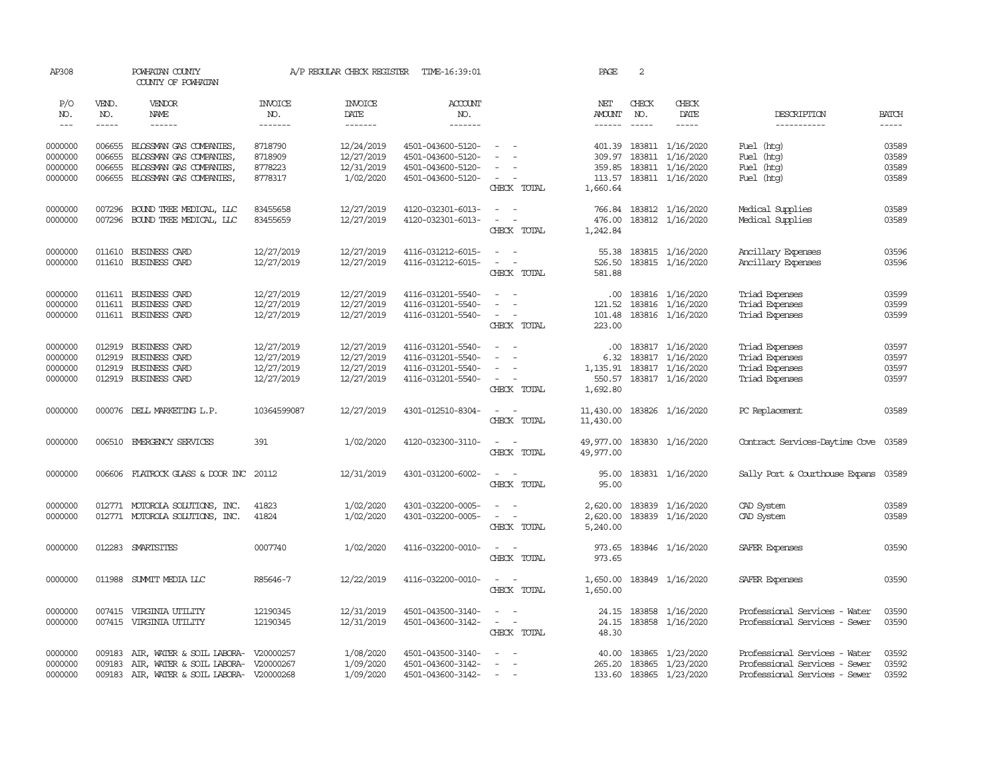| AP308                                    |                                      | POWHATAN COUNTY<br>COUNTY OF POWHATAN                                                                                    |                                                      | A/P REGULAR CHECK REGISTER                           | TIME-16:39:01                                                                    |                                                                               | PAGE                                               | 2             |                                                                                                   |                                                                                                 |                                  |
|------------------------------------------|--------------------------------------|--------------------------------------------------------------------------------------------------------------------------|------------------------------------------------------|------------------------------------------------------|----------------------------------------------------------------------------------|-------------------------------------------------------------------------------|----------------------------------------------------|---------------|---------------------------------------------------------------------------------------------------|-------------------------------------------------------------------------------------------------|----------------------------------|
| P/O<br>NO.                               | VEND.<br>NO.                         | VENDOR<br>NAME                                                                                                           | <b>INVOICE</b><br>NO.                                | <b>INVOICE</b><br>DATE                               | <b>ACCOUNT</b><br>NO.                                                            |                                                                               | NET<br><b>AMOUNT</b>                               | CHECK<br>NO.  | CHECK<br>DATE                                                                                     | DESCRIPTION                                                                                     | <b>BATCH</b>                     |
| $---$                                    | $- - - - -$                          | $- - - - - -$                                                                                                            | -------                                              | $- - - - - - -$                                      | --------                                                                         |                                                                               | $- - - - - -$                                      | $\frac{1}{2}$ | $- - - - -$                                                                                       | -----------                                                                                     | $- - - - -$                      |
| 0000000<br>0000000<br>0000000<br>0000000 | 006655<br>006655<br>006655           | BLOSSMAN GAS COMPANIES,<br>BLOSSMAN GAS COMPANIES,<br>BLOSSMAN GAS COMPANIES,<br>006655 BLOSSMAN GAS COMPANIES,          | 8718790<br>8718909<br>8778223<br>8778317             | 12/24/2019<br>12/27/2019<br>12/31/2019<br>1/02/2020  | 4501-043600-5120-<br>4501-043600-5120-<br>4501-043600-5120-<br>4501-043600-5120- | $\overline{\phantom{a}}$<br>CHECK TOTAL                                       | 309.97<br>1,660.64                                 |               | 401.39 183811 1/16/2020<br>183811 1/16/2020<br>359.85 183811 1/16/2020<br>113.57 183811 1/16/2020 | Fuel (htg)<br>Fuel (htg)<br>Fuel<br>(htg)<br>Fuel (htg)                                         | 03589<br>03589<br>03589<br>03589 |
| 0000000<br>0000000                       | 007296<br>007296                     | BOUND TREE MEDICAL, LLC<br>BOUND TREE MEDICAL, LLC                                                                       | 83455658<br>83455659                                 | 12/27/2019<br>12/27/2019                             | 4120-032301-6013-<br>4120-032301-6013-                                           | $\sim$ $\sim$<br>CHECK TOTAL                                                  | 476.00<br>1,242.84                                 |               | 766.84 183812 1/16/2020<br>183812 1/16/2020                                                       | Medical Supplies<br>Medical Supplies                                                            | 03589<br>03589                   |
| 0000000<br>0000000                       | 011610<br>011610                     | <b>BUSINESS CARD</b><br>BUSINESS CARD                                                                                    | 12/27/2019<br>12/27/2019                             | 12/27/2019<br>12/27/2019                             | 4116-031212-6015-<br>4116-031212-6015-                                           | $\sim$ $\sim$<br>$\sim$<br>CHECK TOTAL                                        | 55.38<br>526.50<br>581.88                          |               | 183815 1/16/2020<br>183815 1/16/2020                                                              | Ancillary Expenses<br>Ancillary Expenses                                                        | 03596<br>03596                   |
| 0000000<br>0000000<br>0000000            |                                      | 011611 BUSINESS CARD<br>011611 BUSINESS CARD<br>011611 BUSINESS CARD                                                     | 12/27/2019<br>12/27/2019<br>12/27/2019               | 12/27/2019<br>12/27/2019<br>12/27/2019               | 4116-031201-5540-<br>4116-031201-5540-<br>4116-031201-5540-                      | $\overline{\phantom{a}}$<br>CHECK TOTAL                                       | 101.48<br>223.00                                   |               | $.00$ 183816 $1/16/2020$<br>121.52 183816 1/16/2020<br>183816 1/16/2020                           | Triad Expenses<br>Triad Expenses<br>Triad Expenses                                              | 03599<br>03599<br>03599          |
| 0000000<br>0000000<br>0000000<br>0000000 | 012919<br>012919<br>012919<br>012919 | BUSINESS CARD<br>BUSINESS CARD<br>BUSINESS CARD<br><b>BUSINESS CARD</b>                                                  | 12/27/2019<br>12/27/2019<br>12/27/2019<br>12/27/2019 | 12/27/2019<br>12/27/2019<br>12/27/2019<br>12/27/2019 | 4116-031201-5540-<br>4116-031201-5540-<br>4116-031201-5540-<br>4116-031201-5540- | $\sim$<br>$\blacksquare$<br>$\sim$ $\sim$<br>CHECK TOTAL                      | $.00 \,$<br>6.32<br>1,135.91<br>550.57<br>1,692.80 |               | 183817 1/16/2020<br>183817 1/16/2020<br>183817 1/16/2020<br>183817 1/16/2020                      | Triad Expenses<br>Triad Expenses<br>Triad Expenses<br>Triad Expenses                            | 03597<br>03597<br>03597<br>03597 |
| 0000000                                  | 000076                               | DELL MARKETING L.P.                                                                                                      | 10364599087                                          | 12/27/2019                                           | 4301-012510-8304-                                                                | $\overline{\phantom{a}}$<br>CHECK TOTAL                                       | 11,430.00<br>11,430.00                             |               | 183826 1/16/2020                                                                                  | PC Replacement                                                                                  | 03589                            |
| 0000000                                  |                                      | 006510 EMERGENCY SERVICES                                                                                                | 391                                                  | 1/02/2020                                            | 4120-032300-3110-                                                                | $\sim$<br>CHECK TOTAL                                                         | 49,977.00<br>49,977.00                             |               | 183830 1/16/2020                                                                                  | Contract Services-Daytime Cove 03589                                                            |                                  |
| 0000000                                  |                                      | 006606 FLATROCK GLASS & DOOR INC 20112                                                                                   |                                                      | 12/31/2019                                           | 4301-031200-6002-                                                                | $\sim$<br>CHECK TOTAL                                                         | 95.00<br>95.00                                     |               | 183831 1/16/2020                                                                                  | Sally Port & Courthouse Expans 03589                                                            |                                  |
| 0000000<br>0000000                       |                                      | 012771 MOTOROLA SOLUTIONS, INC.<br>012771 MOTOROLA SOLUTIONS, INC.                                                       | 41823<br>41824                                       | 1/02/2020<br>1/02/2020                               | 4301-032200-0005-<br>4301-032200-0005-                                           | $\sim$<br>$\overline{\phantom{a}}$<br>$\overline{\phantom{a}}$<br>CHECK TOTAL | 2,620.00<br>2,620.00<br>5,240.00                   |               | 183839 1/16/2020<br>183839 1/16/2020                                                              | CAD System<br>CAD System                                                                        | 03589<br>03589                   |
| 0000000                                  |                                      | 012283 SMARTSITES                                                                                                        | 0007740                                              | 1/02/2020                                            | 4116-032200-0010-                                                                | $\sim$ $ \sim$<br>CHECK TOTAL                                                 | 973.65<br>973.65                                   |               | 183846 1/16/2020                                                                                  | SAFER Expenses                                                                                  | 03590                            |
| 0000000                                  |                                      | 011988 SUMMIT MEDIA LLC                                                                                                  | R85646-7                                             | 12/22/2019                                           | 4116-032200-0010-                                                                | $\sim$<br>$\sim$<br>CHECK TOTAL                                               | 1,650.00                                           |               | 1,650.00 183849 1/16/2020                                                                         | SAFER Expenses                                                                                  | 03590                            |
| 0000000<br>0000000                       | 007415                               | VIRGINIA UTILITY<br>007415 VIRGINIA UTILITY                                                                              | 12190345<br>12190345                                 | 12/31/2019<br>12/31/2019                             | 4501-043500-3140-<br>4501-043600-3142-                                           | $ -$<br>$\sim$ $ -$<br>CHECK TOTAL                                            | 24.15<br>24.15<br>48.30                            |               | 183858 1/16/2020<br>183858 1/16/2020                                                              | Professional Services - Water<br>Professional Services - Sewer                                  | 03590<br>03590                   |
| 0000000<br>0000000<br>0000000            | 009183<br>009183                     | AIR, WATER & SOIL LABORA- V20000257<br>AIR, WATER & SOIL LABORA- V20000267<br>009183 AIR, WATER & SOIL LABORA- V20000268 |                                                      | 1/08/2020<br>1/09/2020<br>1/09/2020                  | 4501-043500-3140-<br>4501-043600-3142-<br>4501-043600-3142-                      | $\equiv$<br>$\sim$                                                            | 265.20                                             |               | 40.00 183865 1/23/2020<br>183865 1/23/2020<br>133.60 183865 1/23/2020                             | Professional Services - Water<br>Professional Services - Sewer<br>Professional Services - Sewer | 03592<br>03592<br>03592          |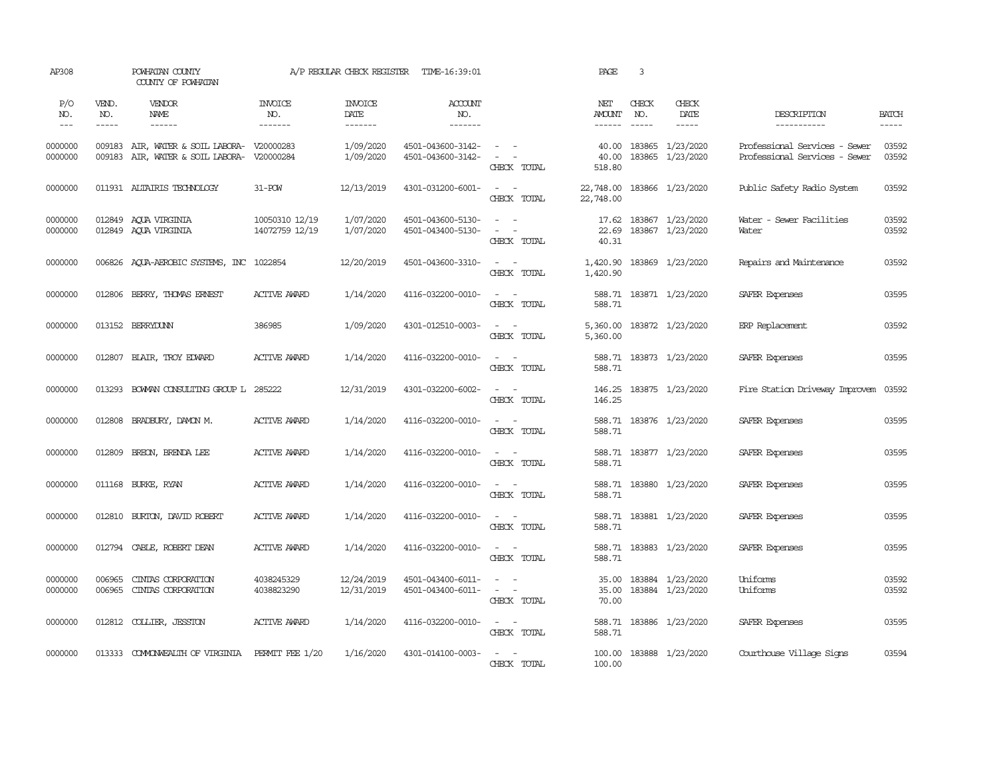| AP308                       |                             | POWHATAN COUNTY<br>COUNTY OF POWHATAN                                                    |                                  |                                   | A/P REGULAR CHECK REGISTER TIME-16:39:01 |                                                                                                                             | PAGE                                    | 3                        |                                            |                                                                |                                         |
|-----------------------------|-----------------------------|------------------------------------------------------------------------------------------|----------------------------------|-----------------------------------|------------------------------------------|-----------------------------------------------------------------------------------------------------------------------------|-----------------------------------------|--------------------------|--------------------------------------------|----------------------------------------------------------------|-----------------------------------------|
| P/O<br>NO.<br>$\frac{1}{2}$ | VEND.<br>NO.<br>$- - - - -$ | VENDOR<br>NAME<br>$- - - - - -$                                                          | <b>INVOICE</b><br>NO.<br>------- | <b>INVOICE</b><br>DATE<br>------- | <b>ACCOUNT</b><br>NO.<br>-------         |                                                                                                                             | NET<br>AMOUNT<br>------                 | CHECK<br>NO.<br>$\cdots$ | CHECK<br>DATE                              | DESCRIPTION<br>------------                                    | <b>BATCH</b><br>$\qquad \qquad - - - -$ |
| 0000000<br>0000000          |                             | 009183 AIR, WATER & SOIL LABORA- V20000283<br>009183 AIR, WATER & SOIL LABORA- V20000284 |                                  | 1/09/2020<br>1/09/2020            | 4501-043600-3142-<br>4501-043600-3142-   | $\sim$ $ \sim$<br>$\sim$ 100 $\sim$<br>CHECK TOTAL                                                                          | 40.00<br>40.00<br>518.80                |                          | 183865 1/23/2020<br>183865 1/23/2020       | Professional Services - Sewer<br>Professional Services - Sewer | 03592<br>03592                          |
| 0000000                     |                             | 011931 ALTAIRIS TECHNOLOGY                                                               | $31 - POW$                       | 12/13/2019                        | 4301-031200-6001-                        | $\sim$ $ \sim$<br>CHECK TOTAL                                                                                               | 22,748.00 183866 1/23/2020<br>22,748.00 |                          |                                            | Public Safety Radio System                                     | 03592                                   |
| 0000000<br>0000000          |                             | 012849 AQUA VIRGINIA<br>012849 AQUA VIRGINIA                                             | 10050310 12/19<br>14072759 12/19 | 1/07/2020<br>1/07/2020            | 4501-043600-5130-<br>4501-043400-5130-   | $\sim$ $ \sim$<br>$\sim$ $ \sim$<br>CHECK TOTAL                                                                             | 22.69<br>40.31                          |                          | 17.62 183867 1/23/2020<br>183867 1/23/2020 | Water - Sewer Facilities<br>Water                              | 03592<br>03592                          |
| 0000000                     |                             | 006826 AQUA-AEROBIC SYSTEMS, INC 1022854                                                 |                                  | 12/20/2019                        | 4501-043600-3310-                        | $\sim$ $ -$<br>CHECK TOTAL                                                                                                  | 1,420.90<br>1,420.90                    |                          | 183869 1/23/2020                           | Repairs and Maintenance                                        | 03592                                   |
| 0000000                     |                             | 012806 BERRY, THOMAS ERNEST                                                              | <b>ACTIVE AWARD</b>              | 1/14/2020                         | 4116-032200-0010-                        | $\sim$ $ -$<br>CHECK TOTAL                                                                                                  | 588.71                                  |                          | 588.71 183871 1/23/2020                    | SAFER Expenses                                                 | 03595                                   |
| 0000000                     |                             | 013152 BERRYDUNN                                                                         | 386985                           | 1/09/2020                         | 4301-012510-0003-                        | $\sim$ $ -$<br>CHECK TOTAL                                                                                                  | 5,360.00                                |                          | 5,360.00 183872 1/23/2020                  | ERP Replacement                                                | 03592                                   |
| 0000000                     |                             | 012807 BLAIR, TROY EDWARD                                                                | <b>ACTIVE AWARD</b>              | 1/14/2020                         | 4116-032200-0010-                        | $\sim$ $ -$<br>CHECK TOTAL                                                                                                  | 588.71                                  |                          | 588.71 183873 1/23/2020                    | SAFER Expenses                                                 | 03595                                   |
| 0000000                     | 013293                      | BOWAN CONSULTING GROUP L 285222                                                          |                                  | 12/31/2019                        | 4301-032200-6002-                        | $\omega_{\rm{max}}$ and $\omega_{\rm{max}}$<br>CHECK TOTAL                                                                  | 146.25                                  |                          | 146.25 183875 1/23/2020                    | Fire Station Driveway Improvem                                 | 03592                                   |
| 0000000                     |                             | 012808 BRADBURY, DAMON M.                                                                | <b>ACTIVE AWARD</b>              | 1/14/2020                         | 4116-032200-0010-                        | $\sim$ $ \sim$<br>CHECK TOTAL                                                                                               | 588.71                                  |                          | 588.71 183876 1/23/2020                    | SAFER Expenses                                                 | 03595                                   |
| 0000000                     | 012809                      | BREON, BRENDA LEE                                                                        | <b>ACTIVE AWARD</b>              | 1/14/2020                         | 4116-032200-0010-                        | $\sim$ $ \sim$<br>CHECK TOTAL                                                                                               | 588.71                                  |                          | 588.71 183877 1/23/2020                    | SAFER Expenses                                                 | 03595                                   |
| 0000000                     |                             | 011168 BURKE, RYAN                                                                       | <b>ACTIVE AWARD</b>              | 1/14/2020                         | 4116-032200-0010-                        | $\sim$ $ \sim$<br>CHECK TOTAL                                                                                               | 588.71                                  |                          | 588.71 183880 1/23/2020                    | SAFER Expenses                                                 | 03595                                   |
| 0000000                     |                             | 012810 BURTON, DAVID ROBERT                                                              | ACTIVE AWARD                     | 1/14/2020                         | 4116-032200-0010-                        | $\sim$ $ \sim$<br>CHECK TOTAL                                                                                               | 588.71                                  |                          | 588.71 183881 1/23/2020                    | SAFER Expenses                                                 | 03595                                   |
| 0000000                     |                             | 012794 CABLE, ROBERT DEAN                                                                | <b>ACTIVE AWARD</b>              | 1/14/2020                         | 4116-032200-0010-                        | $\frac{1}{2} \left( \frac{1}{2} \right) \left( \frac{1}{2} \right) = \frac{1}{2} \left( \frac{1}{2} \right)$<br>CHECK TOTAL | 588.71                                  |                          | 588.71 183883 1/23/2020                    | SAFER Expenses                                                 | 03595                                   |
| 0000000<br>0000000          | 006965<br>006965            | CINIAS CORPORATION<br>CINIAS CORPORATION                                                 | 4038245329<br>4038823290         | 12/24/2019<br>12/31/2019          | 4501-043400-6011-<br>4501-043400-6011-   | $\sim$ $ \sim$<br>$\sim$ $ -$<br>CHECK TOTAL                                                                                | 35.00<br>35.00<br>70.00                 |                          | 183884 1/23/2020<br>183884 1/23/2020       | Uniforms<br>Uniforms                                           | 03592<br>03592                          |
| 0000000                     |                             | 012812 COLLIER, JESSTON                                                                  | <b>ACTIVE AWARD</b>              | 1/14/2020                         | 4116-032200-0010-                        | $\sim$ $ \sim$<br>CHECK TOTAL                                                                                               | 588.71                                  |                          | 588.71 183886 1/23/2020                    | SAFER Expenses                                                 | 03595                                   |
| 0000000                     |                             | 013333 COMMONWEALTH OF VIRGINIA                                                          | PERMIT FEE 1/20                  | 1/16/2020                         | 4301-014100-0003-                        | $\sim$ $\sim$<br>CHECK TOTAL                                                                                                | 100.00                                  |                          | 100.00 183888 1/23/2020                    | Courthouse Village Signs                                       | 03594                                   |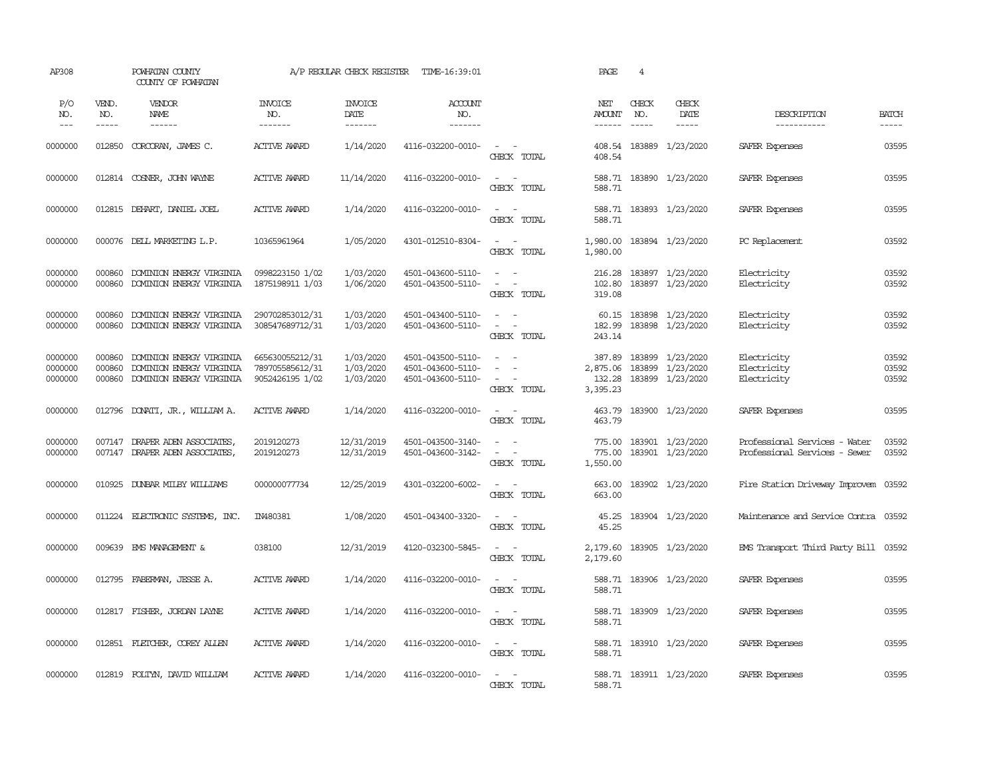| AP308                         |                             | POWHATAN COUNTY<br>COUNTY OF POWHATAN                                            |                                                       | A/P REGULAR CHECK REGISTER          | TIME-16:39:01                                               |                                                                                                                             | PAGE                                     | $\overline{4}$              |                                            |                                                                |                         |
|-------------------------------|-----------------------------|----------------------------------------------------------------------------------|-------------------------------------------------------|-------------------------------------|-------------------------------------------------------------|-----------------------------------------------------------------------------------------------------------------------------|------------------------------------------|-----------------------------|--------------------------------------------|----------------------------------------------------------------|-------------------------|
| P/O<br>NO.<br>$---$           | VEND.<br>NO.<br>$- - - - -$ | VENDOR<br>NAME<br>$- - - - - -$                                                  | <b>INVOICE</b><br>NO.<br>-------                      | <b>INVOICE</b><br>DATE<br>-------   | ACCOUNT<br>NO.<br>-------                                   |                                                                                                                             | NET<br><b>AMOUNT</b><br>$- - - - - -$    | CHECK<br>NO.<br>$- - - - -$ | CHECK<br>DATE<br>$- - - - -$               | DESCRIPTION<br>-----------                                     | <b>BATCH</b><br>-----   |
| 0000000                       | 012850                      | CORCORAN, JAMES C.                                                               | <b>ACTIVE AWARD</b>                                   | 1/14/2020                           | 4116-032200-0010-                                           | $\sim$ $ \sim$<br>CHECK TOTAL                                                                                               | 408.54                                   |                             | 408.54 183889 1/23/2020                    | SAFER Expenses                                                 | 03595                   |
| 0000000                       |                             | 012814 COSNER, JOHN WAYNE                                                        | <b>ACTIVE AWARD</b>                                   | 11/14/2020                          | 4116-032200-0010-                                           | $\sim$ $ \sim$<br>CHECK TOTAL                                                                                               | 588.71                                   |                             | 588.71 183890 1/23/2020                    | SAFER Expenses                                                 | 03595                   |
| 0000000                       | 012815                      | DEHART, DANIEL JOEL                                                              | <b>ACTIVE AWARD</b>                                   | 1/14/2020                           | 4116-032200-0010-                                           | $\sim$ $ -$<br>CHECK TOTAL                                                                                                  | 588.71                                   |                             | 588.71 183893 1/23/2020                    | SAFER Expenses                                                 | 03595                   |
| 0000000                       | 000076                      | DELL MARKETING L.P.                                                              | 10365961964                                           | 1/05/2020                           | 4301-012510-8304-                                           | $\sim$<br>$\sim$<br>CHECK TOTAL                                                                                             | 1,980.00<br>1,980.00                     |                             | 183894 1/23/2020                           | PC Replacement                                                 | 03592                   |
| 0000000<br>0000000            | 000860<br>000860            | DOMINION ENERGY VIRGINIA<br>DOMINION ENERGY VIRGINIA                             | 0998223150 1/02<br>1875198911 1/03                    | 1/03/2020<br>1/06/2020              | 4501-043600-5110-<br>4501-043500-5110-                      | $\sim$<br>$\sim$ $ \sim$<br>CHECK TOTAL                                                                                     | 216.28<br>102.80<br>319.08               |                             | 183897 1/23/2020<br>183897 1/23/2020       | Electricity<br>Electricity                                     | 03592<br>03592          |
| 0000000<br>0000000            | 000860<br>000860            | DOMINION ENERGY VIRGINIA<br>DOMINION ENERGY VIRGINIA                             | 290702853012/31<br>308547689712/31                    | 1/03/2020<br>1/03/2020              | 4501-043400-5110-<br>4501-043600-5110-                      | $\sim$ $ \sim$<br>$\sim$<br>$\sim$ $-$<br>CHECK TOTAL                                                                       | 60.15<br>182.99<br>243.14                |                             | 183898 1/23/2020<br>183898 1/23/2020       | Electricity<br>Electricity                                     | 03592<br>03592          |
| 0000000<br>0000000<br>0000000 | 000860<br>000860<br>000860  | DOMINION ENERGY VIRGINIA<br>DOMINION ENERGY VIRGINIA<br>DOMINION ENERGY VIRGINIA | 665630055212/31<br>789705585612/31<br>9052426195 1/02 | 1/03/2020<br>1/03/2020<br>1/03/2020 | 4501-043500-5110-<br>4501-043600-5110-<br>4501-043600-5110- | $\sim$<br>$\sim$<br>$\sim$ $ -$<br>CHECK TOTAL                                                                              | 387.89<br>2,875.06<br>132.28<br>3,395.23 | 183899<br>183899            | 1/23/2020<br>1/23/2020<br>183899 1/23/2020 | Electricity<br>Electricity<br>Electricity                      | 03592<br>03592<br>03592 |
| 0000000                       | 012796                      | DONATI, JR., WILLIAM A.                                                          | <b>ACTIVE AWARD</b>                                   | 1/14/2020                           | 4116-032200-0010-                                           | $\sim$ $ \sim$<br>CHECK TOTAL                                                                                               | 463.79<br>463.79                         |                             | 183900 1/23/2020                           | SAFER Expenses                                                 | 03595                   |
| 0000000<br>0000000            | 007147<br>007147            | DRAPER ADEN ASSOCIATES,<br>DRAPER ADEN ASSOCIATES,                               | 2019120273<br>2019120273                              | 12/31/2019<br>12/31/2019            | 4501-043500-3140-<br>4501-043600-3142-                      | $\sim$<br>$\sim$<br>$\sim$<br>$\sim$<br>CHECK TOTAL                                                                         | 775.00<br>775.00<br>1,550.00             |                             | 183901 1/23/2020<br>183901 1/23/2020       | Professional Services - Water<br>Professional Services - Sewer | 03592<br>03592          |
| 0000000                       | 010925                      | DUNBAR MILBY WILLIAMS                                                            | 000000077734                                          | 12/25/2019                          | 4301-032200-6002-                                           | $\sim$ 100 $\sim$<br>CHECK TOTAL                                                                                            | 663.00<br>663.00                         |                             | 183902 1/23/2020                           | Fire Station Driveway Improvem                                 | 03592                   |
| 0000000                       |                             | 011224 ELECTRONIC SYSTEMS, INC.                                                  | IN480381                                              | 1/08/2020                           | 4501-043400-3320-                                           | $\frac{1}{2} \left( \frac{1}{2} \right) \left( \frac{1}{2} \right) = \frac{1}{2} \left( \frac{1}{2} \right)$<br>CHECK TOTAL | 45.25<br>45.25                           |                             | 183904 1/23/2020                           | Maintenance and Service Contra 03592                           |                         |
| 0000000                       | 009639                      | EMS MANAGEMENT &                                                                 | 038100                                                | 12/31/2019                          | 4120-032300-5845-                                           | $\sim$<br>$\sim$<br>CHECK TOTAL                                                                                             | 2,179.60<br>2,179.60                     |                             | 183905 1/23/2020                           | EMS Transport Third Party Bill 03592                           |                         |
| 0000000                       | 012795                      | FABERMAN, JESSE A.                                                               | <b>ACTIVE AWARD</b>                                   | 1/14/2020                           | 4116-032200-0010-                                           | $\sim$<br>$\sim$<br>CHECK TOTAL                                                                                             | 588.71<br>588.71                         |                             | 183906 1/23/2020                           | SAFER Expenses                                                 | 03595                   |
| 0000000                       |                             | 012817 FISHER, JORDAN LAYNE                                                      | <b>ACTIVE AWARD</b>                                   | 1/14/2020                           | 4116-032200-0010-                                           | $\sim$ $ \sim$<br>CHECK TOTAL                                                                                               | 588.71                                   |                             | 588.71 183909 1/23/2020                    | SAFER Expenses                                                 | 03595                   |
| 0000000                       |                             | 012851 FLETCHER, COREY ALLEN                                                     | <b>ACTIVE AWARD</b>                                   | 1/14/2020                           | 4116-032200-0010-                                           | $\sim$ $ \sim$<br>CHECK TOTAL                                                                                               | 588.71                                   |                             | 588.71 183910 1/23/2020                    | SAFER Expenses                                                 | 03595                   |
| 0000000                       |                             | 012819 FOLTYN, DAVID WILLIAM                                                     | <b>ACTIVE AWARD</b>                                   | 1/14/2020                           | 4116-032200-0010-                                           | $\overline{\phantom{0}}$<br>$\sim$<br>CHECK TOTAL                                                                           | 588.71                                   |                             | 588.71 183911 1/23/2020                    | SAFER Expenses                                                 | 03595                   |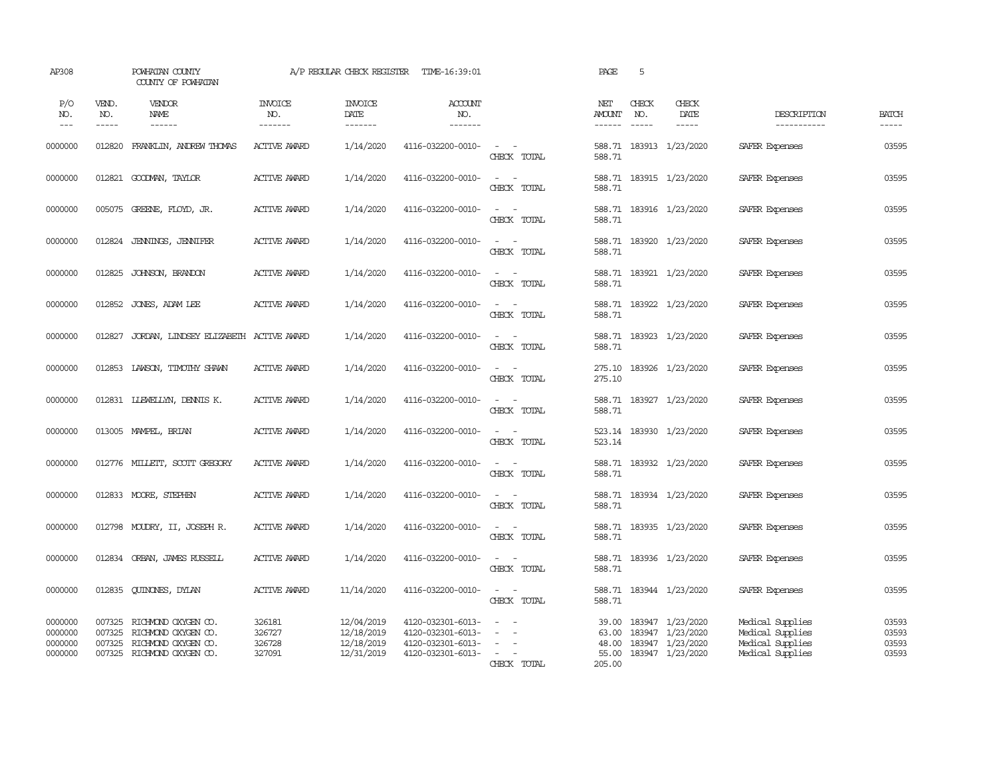| AP308                                    |                             | POWHATAN COUNTY<br>COUNTY OF POWHATAN                                                           |                                      | A/P REGULAR CHECK REGISTER                           | TIME-16:39:01                                                                    |                                                                                           | PAGE                                       | 5                                                                                                                                                                                                                                                                                                                                                                                                            |                                                                              |                                                                              |                                  |
|------------------------------------------|-----------------------------|-------------------------------------------------------------------------------------------------|--------------------------------------|------------------------------------------------------|----------------------------------------------------------------------------------|-------------------------------------------------------------------------------------------|--------------------------------------------|--------------------------------------------------------------------------------------------------------------------------------------------------------------------------------------------------------------------------------------------------------------------------------------------------------------------------------------------------------------------------------------------------------------|------------------------------------------------------------------------------|------------------------------------------------------------------------------|----------------------------------|
| P/O<br>NO.<br>$---$                      | VEND.<br>NO.<br>$- - - - -$ | VENDOR<br>NAME<br>$- - - - - -$                                                                 | <b>INVOICE</b><br>NO.<br>-------     | <b>INVOICE</b><br>DATE<br>-------                    | <b>ACCOUNT</b><br>NO.<br>-------                                                 |                                                                                           | NET<br><b>AMOUNT</b><br>$- - - - - -$      | CHECK<br>NO.<br>$\frac{1}{2} \frac{1}{2} \frac{1}{2} \frac{1}{2} \frac{1}{2} \frac{1}{2} \frac{1}{2} \frac{1}{2} \frac{1}{2} \frac{1}{2} \frac{1}{2} \frac{1}{2} \frac{1}{2} \frac{1}{2} \frac{1}{2} \frac{1}{2} \frac{1}{2} \frac{1}{2} \frac{1}{2} \frac{1}{2} \frac{1}{2} \frac{1}{2} \frac{1}{2} \frac{1}{2} \frac{1}{2} \frac{1}{2} \frac{1}{2} \frac{1}{2} \frac{1}{2} \frac{1}{2} \frac{1}{2} \frac{$ | CHECK<br>DATE<br>$- - - - -$                                                 | DESCRIPTION<br>-----------                                                   | <b>BATCH</b><br>-----            |
| 0000000                                  | 012820                      | FRANKLIN, ANDREW THOMAS                                                                         | <b>ACTIVE AWARD</b>                  | 1/14/2020                                            | 4116-032200-0010-                                                                | $\omega_{\rm{max}}$ and $\omega_{\rm{max}}$<br>CHECK TOTAL                                | 588.71                                     |                                                                                                                                                                                                                                                                                                                                                                                                              | 588.71 183913 1/23/2020                                                      | SAFER Expenses                                                               | 03595                            |
| 0000000                                  |                             | 012821 GOODMAN, TAYLOR                                                                          | <b>ACTIVE AWARD</b>                  | 1/14/2020                                            | 4116-032200-0010-                                                                | $\sim$<br>$\sim$ $-$<br>CHECK TOTAL                                                       | 588.71<br>588.71                           |                                                                                                                                                                                                                                                                                                                                                                                                              | 183915 1/23/2020                                                             | SAFER Expenses                                                               | 03595                            |
| 0000000                                  |                             | 005075 GREENE, FLOYD, JR.                                                                       | <b>ACTIVE AWARD</b>                  | 1/14/2020                                            | 4116-032200-0010-                                                                | $\sim$<br>$\sim$ $-$<br>CHECK TOTAL                                                       | 588.71<br>588.71                           |                                                                                                                                                                                                                                                                                                                                                                                                              | 183916 1/23/2020                                                             | SAFER Expenses                                                               | 03595                            |
| 0000000                                  | 012824                      | JENNINGS, JENNIFER                                                                              | <b>ACTIVE AWARD</b>                  | 1/14/2020                                            | 4116-032200-0010-                                                                | $\sim$<br>$\sim$ $-$<br>CHECK TOTAL                                                       | 588.71                                     |                                                                                                                                                                                                                                                                                                                                                                                                              | 588.71 183920 1/23/2020                                                      | SAFER Expenses                                                               | 03595                            |
| 0000000                                  | 012825                      | JOHNSON, BRANDON                                                                                | <b>ACTIVE AWARD</b>                  | 1/14/2020                                            | 4116-032200-0010-                                                                | $\sim$<br>$\sim$ $-$<br>CHECK TOTAL                                                       | 588.71                                     |                                                                                                                                                                                                                                                                                                                                                                                                              | 588.71 183921 1/23/2020                                                      | SAFER Expenses                                                               | 03595                            |
| 0000000                                  | 012852                      | JONES, ADAM LEE                                                                                 | <b>ACTIVE AWARD</b>                  | 1/14/2020                                            | 4116-032200-0010-                                                                | $\omega_{\rm{max}}$ and $\omega_{\rm{max}}$<br>CHECK TOTAL                                | 588.71                                     |                                                                                                                                                                                                                                                                                                                                                                                                              | 588.71 183922 1/23/2020                                                      | SAFER Expenses                                                               | 03595                            |
| 0000000                                  | 012827                      | JORDAN, LINDSEY ELIZABETH ACTIVE AWARD                                                          |                                      | 1/14/2020                                            | 4116-032200-0010-                                                                | $\omega_{\rm{max}}$ and $\omega_{\rm{max}}$<br>CHECK TOTAL                                | 588.71                                     |                                                                                                                                                                                                                                                                                                                                                                                                              | 588.71 183923 1/23/2020                                                      | SAFER Expenses                                                               | 03595                            |
| 0000000                                  |                             | 012853 LAWSON, TIMOTHY SHAWN                                                                    | <b>ACTIVE AWARD</b>                  | 1/14/2020                                            | 4116-032200-0010-                                                                | $\omega_{\rm{max}}$ and $\omega_{\rm{max}}$<br>CHECK TOTAL                                | 275.10                                     |                                                                                                                                                                                                                                                                                                                                                                                                              | 275.10 183926 1/23/2020                                                      | SAFER Expenses                                                               | 03595                            |
| 0000000                                  |                             | 012831 LIEWELLYN, DENNIS K.                                                                     | <b>ACTIVE AWARD</b>                  | 1/14/2020                                            | 4116-032200-0010-                                                                | $\sim$<br>$\sim$ $-$<br>CHECK TOTAL                                                       | 588.71                                     |                                                                                                                                                                                                                                                                                                                                                                                                              | 588.71 183927 1/23/2020                                                      | SAFER Expenses                                                               | 03595                            |
| 0000000                                  |                             | 013005 MAMPEL, BRIAN                                                                            | <b>ACTIVE AWARD</b>                  | 1/14/2020                                            | 4116-032200-0010-                                                                | $\sim$ $ -$<br>CHECK TOTAL                                                                | 523.14                                     |                                                                                                                                                                                                                                                                                                                                                                                                              | 523.14 183930 1/23/2020                                                      | SAFER Expenses                                                               | 03595                            |
| 0000000                                  |                             | 012776 MILLETT, SCOTT GREGORY                                                                   | <b>ACTIVE AWARD</b>                  | 1/14/2020                                            | 4116-032200-0010-                                                                | $\sim$ $ -$<br>CHECK TOTAL                                                                | 588.71                                     |                                                                                                                                                                                                                                                                                                                                                                                                              | 588.71 183932 1/23/2020                                                      | SAFER Expenses                                                               | 03595                            |
| 0000000                                  |                             | 012833 MOORE, STEPHEN                                                                           | <b>ACTIVE AWARD</b>                  | 1/14/2020                                            | 4116-032200-0010-                                                                | $\sim$ $ \sim$<br>CHECK TOTAL                                                             | 588.71                                     |                                                                                                                                                                                                                                                                                                                                                                                                              | 588.71 183934 1/23/2020                                                      | SAFER Expenses                                                               | 03595                            |
| 0000000                                  |                             | 012798 MOUDRY, II, JOSEPH R.                                                                    | <b>ACTIVE AWARD</b>                  | 1/14/2020                                            | 4116-032200-0010-                                                                | $\sim$ $ -$<br>CHECK TOTAL                                                                | 588.71                                     |                                                                                                                                                                                                                                                                                                                                                                                                              | 588.71 183935 1/23/2020                                                      | SAFER Expenses                                                               | 03595                            |
| 0000000                                  |                             | 012834 ORBAN, JAMES RUSSELL                                                                     | <b>ACTIVE AWARD</b>                  | 1/14/2020                                            | 4116-032200-0010-                                                                | $\sim$ $ -$<br>CHECK TOTAL                                                                | 588.71                                     |                                                                                                                                                                                                                                                                                                                                                                                                              | 588.71 183936 1/23/2020                                                      | SAFER Expenses                                                               | 03595                            |
| 0000000                                  | 012835                      | QUINONES, DYLAN                                                                                 | <b>ACTIVE AWARD</b>                  | 11/14/2020                                           | 4116-032200-0010-                                                                | $\sim$ $ -$<br>CHECK TOTAL                                                                | 588.71                                     |                                                                                                                                                                                                                                                                                                                                                                                                              | 588.71 183944 1/23/2020                                                      | SAFER Expenses                                                               | 03595                            |
| 0000000<br>0000000<br>0000000<br>0000000 | 007325<br>007325<br>007325  | RICHMOND OXYGEN CO.<br>RICHMOND OXYGEN CO.<br>RICHMOND OXYGEN CO.<br>007325 RICHMOND OXYGEN CO. | 326181<br>326727<br>326728<br>327091 | 12/04/2019<br>12/18/2019<br>12/18/2019<br>12/31/2019 | 4120-032301-6013-<br>4120-032301-6013-<br>4120-032301-6013-<br>4120-032301-6013- | $\equiv$<br>$\sim$<br>$\sim$<br>$\overline{\phantom{a}}$<br>$\sim$ $ \sim$<br>CHECK TOTAL | 39.00<br>63.00<br>48.00<br>55.00<br>205.00 |                                                                                                                                                                                                                                                                                                                                                                                                              | 183947 1/23/2020<br>183947 1/23/2020<br>183947 1/23/2020<br>183947 1/23/2020 | Medical Supplies<br>Medical Supplies<br>Medical Supplies<br>Medical Supplies | 03593<br>03593<br>03593<br>03593 |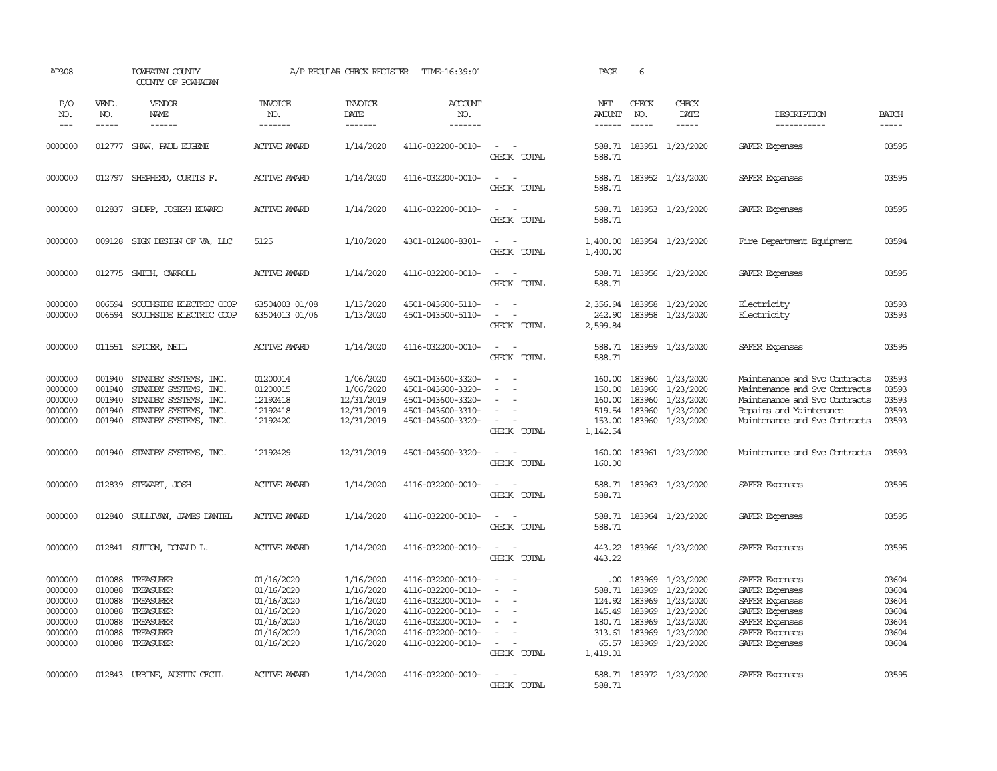| AP308                                                                     |                                                                    | POWHATAN COUNTY<br>COUNTY OF POWHATAN                                                                                     |                                                                                                | A/P REGULAR CHECK REGISTER                                                              | TIME-16:39:01                                                                                                                                   |                                                                                           | <b>PAGE</b>                                                                 | 6                                                        |                                                                                                |                                                                                                                                                             |                                                             |
|---------------------------------------------------------------------------|--------------------------------------------------------------------|---------------------------------------------------------------------------------------------------------------------------|------------------------------------------------------------------------------------------------|-----------------------------------------------------------------------------------------|-------------------------------------------------------------------------------------------------------------------------------------------------|-------------------------------------------------------------------------------------------|-----------------------------------------------------------------------------|----------------------------------------------------------|------------------------------------------------------------------------------------------------|-------------------------------------------------------------------------------------------------------------------------------------------------------------|-------------------------------------------------------------|
| P/O<br>NO.<br>$---$                                                       | VEND.<br>NO.<br>-----                                              | VENDOR<br>NAME<br>$- - - - - -$                                                                                           | <b>INVOICE</b><br>NO.<br>-------                                                               | <b>INVOICE</b><br>DATE<br>-------                                                       | ACCOUNT<br>NO.<br>-------                                                                                                                       |                                                                                           | NET<br><b>AMOUNT</b><br>------                                              | CHECK<br>NO.<br>$\frac{1}{2}$                            | CHECK<br>DATE<br>$\frac{1}{2}$                                                                 | DESCRIPTION<br>-----------                                                                                                                                  | <b>BATCH</b><br>-----                                       |
|                                                                           |                                                                    |                                                                                                                           |                                                                                                |                                                                                         |                                                                                                                                                 |                                                                                           |                                                                             |                                                          |                                                                                                |                                                                                                                                                             |                                                             |
| 0000000                                                                   |                                                                    | 012777 SHAW, PAUL EUGENE                                                                                                  | <b>ACTIVE AWARD</b>                                                                            | 1/14/2020                                                                               | 4116-032200-0010-                                                                                                                               | $\sim$ $ \sim$<br>CHECK TOTAL                                                             | 588.71                                                                      |                                                          | 588.71 183951 1/23/2020                                                                        | SAFER Expenses                                                                                                                                              | 03595                                                       |
| 0000000                                                                   | 012797                                                             | SHEPHERD, CURTIS F.                                                                                                       | <b>ACTIVE AWARD</b>                                                                            | 1/14/2020                                                                               | 4116-032200-0010-                                                                                                                               | $\sim$ $ \sim$<br>CHECK TOTAL                                                             | 588.71                                                                      |                                                          | 588.71 183952 1/23/2020                                                                        | SAFER Expenses                                                                                                                                              | 03595                                                       |
| 0000000                                                                   | 012837                                                             | SHUPP, JOSEPH EDWARD                                                                                                      | <b>ACTIVE AWARD</b>                                                                            | 1/14/2020                                                                               | 4116-032200-0010-                                                                                                                               | $\sim$<br>$\sim$<br>CHECK TOTAL                                                           | 588.71                                                                      |                                                          | 588.71 183953 1/23/2020                                                                        | SAFER Expenses                                                                                                                                              | 03595                                                       |
| 0000000                                                                   | 009128                                                             | SIGN DESIGN OF VA, LLC                                                                                                    | 5125                                                                                           | 1/10/2020                                                                               | 4301-012400-8301-                                                                                                                               | $\overline{\phantom{a}}$<br>$\sim$<br>CHECK TOTAL                                         | 1,400.00<br>1,400.00                                                        |                                                          | 183954 1/23/2020                                                                               | Fire Department Equipment                                                                                                                                   | 03594                                                       |
| 0000000                                                                   | 012775                                                             | SMITH, CARROLL                                                                                                            | <b>ACTIVE AWARD</b>                                                                            | 1/14/2020                                                                               | 4116-032200-0010-                                                                                                                               | $\overline{\phantom{a}}$<br>$\sim$<br>CHECK TOTAL                                         | 588.71<br>588.71                                                            |                                                          | 183956 1/23/2020                                                                               | SAFER Expenses                                                                                                                                              | 03595                                                       |
| 0000000<br>0000000                                                        | 006594<br>006594                                                   | SOUTHSIDE ELECTRIC COOP<br>SOUTHSIDE ELECTRIC COOP                                                                        | 63504003 01/08<br>63504013 01/06                                                               | 1/13/2020<br>1/13/2020                                                                  | 4501-043600-5110-<br>4501-043500-5110-                                                                                                          | $\equiv$<br>$\sim$<br>$\sim$<br>CHECK TOTAL                                               | 2,356.94<br>242.90<br>2,599.84                                              | 183958                                                   | 183958 1/23/2020<br>1/23/2020                                                                  | Electricity<br>Electricity                                                                                                                                  | 03593<br>03593                                              |
| 0000000                                                                   |                                                                    | 011551 SPICER, NEIL                                                                                                       | <b>ACTIVE AWARD</b>                                                                            | 1/14/2020                                                                               | 4116-032200-0010-                                                                                                                               | $\sim$<br>$\sim$ $-$<br>CHECK TOTAL                                                       | 588.71                                                                      |                                                          | 588.71 183959 1/23/2020                                                                        | SAFER Expenses                                                                                                                                              | 03595                                                       |
| 0000000<br>0000000<br>0000000<br>0000000<br>0000000                       | 001940<br>001940<br>001940<br>001940<br>001940                     | STANDBY SYSTEMS, INC.<br>STANDBY SYSTEMS, INC.<br>STANDBY SYSTEMS, INC.<br>STANDBY SYSTEMS, INC.<br>STANDBY SYSTEMS, INC. | 01200014<br>01200015<br>12192418<br>12192418<br>12192420                                       | 1/06/2020<br>1/06/2020<br>12/31/2019<br>12/31/2019<br>12/31/2019                        | 4501-043600-3320-<br>4501-043600-3320-<br>4501-043600-3320-<br>4501-043600-3310-<br>4501-043600-3320-                                           | $\equiv$<br>$\sim$<br>$\equiv$<br>$\sim$<br>$\overline{\phantom{a}}$<br>CHECK TOTAL       | 160.00<br>150.00<br>160.00<br>519.54<br>153.00<br>1,142.54                  | 183960<br>183960<br>183960<br>183960                     | 1/23/2020<br>1/23/2020<br>1/23/2020<br>1/23/2020<br>183960 1/23/2020                           | Maintenance and Svc Contracts<br>Maintenance and Svc Contracts<br>Maintenance and Svc Contracts<br>Repairs and Maintenance<br>Maintenance and Svc Contracts | 03593<br>03593<br>03593<br>03593<br>03593                   |
| 0000000                                                                   | 001940                                                             | STANDBY SYSTEMS, INC.                                                                                                     | 12192429                                                                                       | 12/31/2019                                                                              | 4501-043600-3320-                                                                                                                               | $\sim$<br>$\sim$<br>CHECK TOTAL                                                           | 160.00<br>160.00                                                            |                                                          | 183961 1/23/2020                                                                               | Maintenance and Svc Contracts                                                                                                                               | 03593                                                       |
| 0000000                                                                   | 012839                                                             | STEWART, JOSH                                                                                                             | <b>ACTIVE AWARD</b>                                                                            | 1/14/2020                                                                               | 4116-032200-0010-                                                                                                                               | $\sim$<br>. —<br>CHECK TOTAL                                                              | 588.71<br>588.71                                                            |                                                          | 183963 1/23/2020                                                                               | SAFER Expenses                                                                                                                                              | 03595                                                       |
| 0000000                                                                   | 012840                                                             | SULLIVAN, JAMES DANIEL                                                                                                    | <b>ACTIVE AWARD</b>                                                                            | 1/14/2020                                                                               | 4116-032200-0010-                                                                                                                               | $\overline{\phantom{a}}$<br>$\sim$<br>CHECK TOTAL                                         | 588.71<br>588.71                                                            |                                                          | 183964 1/23/2020                                                                               | SAFER Expenses                                                                                                                                              | 03595                                                       |
| 0000000                                                                   | 012841                                                             | SUITON, DONALD L.                                                                                                         | <b>ACTIVE AWARD</b>                                                                            | 1/14/2020                                                                               | 4116-032200-0010-                                                                                                                               | $\sim$<br>$\sim$<br>CHECK TOTAL                                                           | 443.22<br>443.22                                                            |                                                          | 183966 1/23/2020                                                                               | SAFER Expenses                                                                                                                                              | 03595                                                       |
| 0000000<br>0000000<br>0000000<br>0000000<br>0000000<br>0000000<br>0000000 | 010088<br>010088<br>010088<br>010088<br>010088<br>010088<br>010088 | TREASURER<br>TREASURER<br>TREASURER<br>TREASURER<br>TREASURER<br>TREASURER<br>TREASURER                                   | 01/16/2020<br>01/16/2020<br>01/16/2020<br>01/16/2020<br>01/16/2020<br>01/16/2020<br>01/16/2020 | 1/16/2020<br>1/16/2020<br>1/16/2020<br>1/16/2020<br>1/16/2020<br>1/16/2020<br>1/16/2020 | 4116-032200-0010-<br>4116-032200-0010-<br>4116-032200-0010-<br>4116-032200-0010-<br>4116-032200-0010-<br>4116-032200-0010-<br>4116-032200-0010- | $\equiv$<br>$\sim$<br>$\blacksquare$<br>$\overline{\phantom{a}}$<br>$\sim$<br>CHECK TOTAL | .00.<br>588.71<br>124.92<br>145.49<br>180.71<br>313.61<br>65.57<br>1,419.01 | 183969<br>183969<br>183969<br>183969<br>183969<br>183969 | 1/23/2020<br>1/23/2020<br>1/23/2020<br>1/23/2020<br>1/23/2020<br>1/23/2020<br>183969 1/23/2020 | SAFER Expenses<br>SAFER Expenses<br>SAFER Expenses<br>SAFER Expenses<br>SAFER Expenses<br>SAFER Expenses<br>SAFER Expenses                                  | 03604<br>03604<br>03604<br>03604<br>03604<br>03604<br>03604 |
| 0000000                                                                   |                                                                    | 012843 URBINE, AUSTIN CECIL                                                                                               | <b>ACTIVE AWARD</b>                                                                            | 1/14/2020                                                                               | 4116-032200-0010-                                                                                                                               | $\sim$<br>$\sim$<br>CHECK TOTAL                                                           | 588.71                                                                      |                                                          | 588.71 183972 1/23/2020                                                                        | SAFER Expenses                                                                                                                                              | 03595                                                       |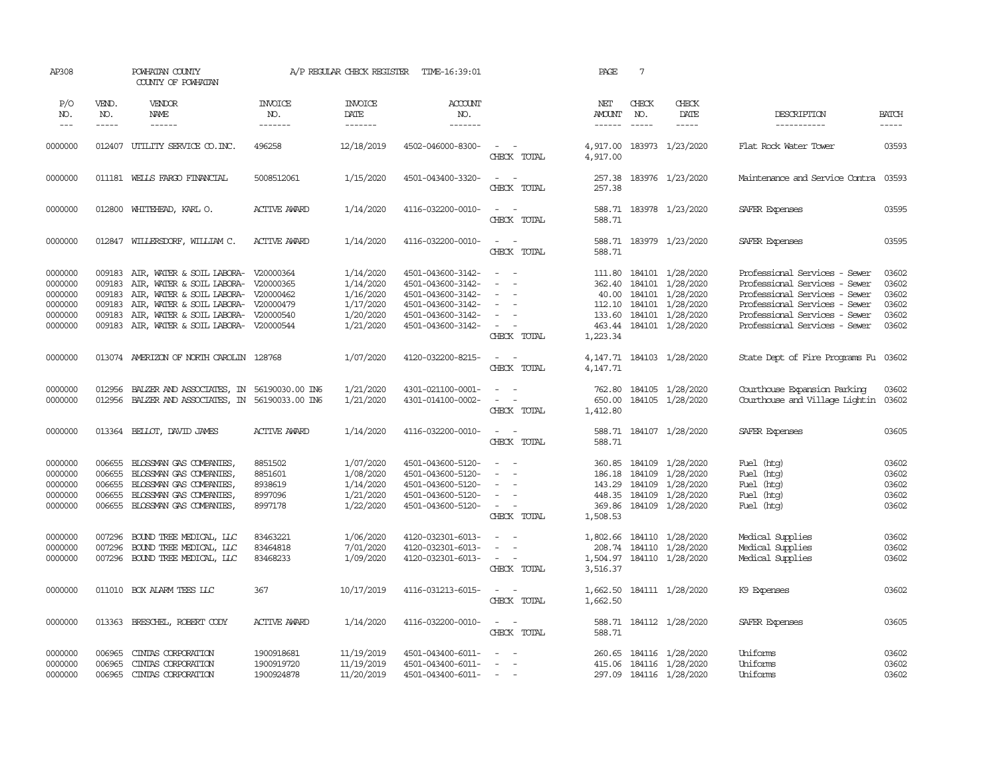| AP308                                                          |                                                | POWHATAN COUNTY<br>COUNTY OF POWHATAN                                                                                                                                                                                                         |                                                     | A/P REGULAR CHECK REGISTER                                                 | TIME-16:39:01                                                                                                              |                                                                                                                                 | PAGE                                                       | $7\phantom{.0}$                      |                                                                                                                             |                                                                                                                                                                                                    |                                                    |
|----------------------------------------------------------------|------------------------------------------------|-----------------------------------------------------------------------------------------------------------------------------------------------------------------------------------------------------------------------------------------------|-----------------------------------------------------|----------------------------------------------------------------------------|----------------------------------------------------------------------------------------------------------------------------|---------------------------------------------------------------------------------------------------------------------------------|------------------------------------------------------------|--------------------------------------|-----------------------------------------------------------------------------------------------------------------------------|----------------------------------------------------------------------------------------------------------------------------------------------------------------------------------------------------|----------------------------------------------------|
| P/O<br>NO.<br>$\frac{1}{2}$                                    | VEND.<br>NO.<br>$- - - - -$                    | VENDOR<br>NAME                                                                                                                                                                                                                                | <b>INVOICE</b><br>NO.<br>-------                    | <b>INVOICE</b><br>DATE                                                     | <b>ACCOUNT</b><br>NO.<br>-------                                                                                           |                                                                                                                                 | NET<br><b>AMOUNT</b><br>------                             | CHECK<br>NO.<br>$\frac{1}{2}$        | CHECK<br>DATE<br>-----                                                                                                      | DESCRIPTION<br>-----------                                                                                                                                                                         | <b>BATCH</b><br>-----                              |
| 0000000                                                        |                                                | 012407 UTILITY SERVICE CO. INC.                                                                                                                                                                                                               | 496258                                              | 12/18/2019                                                                 | 4502-046000-8300-                                                                                                          | $\sim$ $ \sim$<br>CHECK TOTAL                                                                                                   | 4,917.00<br>4,917.00                                       |                                      | 183973 1/23/2020                                                                                                            | Flat Rock Water Tower                                                                                                                                                                              | 03593                                              |
| 0000000                                                        |                                                | 011181 WELLS FARGO FINANCIAL                                                                                                                                                                                                                  | 5008512061                                          | 1/15/2020                                                                  | 4501-043400-3320-                                                                                                          | $\sim$<br>$\sim$<br>CHECK TOTAL                                                                                                 | 257.38<br>257.38                                           |                                      | 183976 1/23/2020                                                                                                            | Maintenance and Service Contra                                                                                                                                                                     | 03593                                              |
| 0000000                                                        |                                                | 012800 WHITEHEAD, KARL O.                                                                                                                                                                                                                     | <b>ACTIVE AWARD</b>                                 | 1/14/2020                                                                  | 4116-032200-0010-                                                                                                          | $\sim$<br>$\sim$ $-$<br>CHECK TOTAL                                                                                             | 588.71                                                     |                                      | 588.71 183978 1/23/2020                                                                                                     | SAFER Expenses                                                                                                                                                                                     | 03595                                              |
| 0000000                                                        |                                                | 012847 WILLERSDORF, WILLIAM C.                                                                                                                                                                                                                | <b>ACTIVE AWARD</b>                                 | 1/14/2020                                                                  | 4116-032200-0010-                                                                                                          | $\sim$ $ \sim$<br>CHECK TOTAL                                                                                                   | 588.71                                                     |                                      | 588.71 183979 1/23/2020                                                                                                     | SAFER Expenses                                                                                                                                                                                     | 03595                                              |
| 0000000<br>0000000<br>0000000<br>0000000<br>0000000<br>0000000 | 009183<br>009183<br>009183<br>009183<br>009183 | AIR, WATER & SOIL LABORA- V20000364<br>AIR, WATER & SOIL LABORA- V20000365<br>AIR, WATER & SOIL LABORA- V20000462<br>AIR, WATER & SOIL LABORA- V20000479<br>AIR, WATER & SOIL LABORA- V20000540<br>009183 AIR, WATER & SOIL LABORA- V20000544 |                                                     | 1/14/2020<br>1/14/2020<br>1/16/2020<br>1/17/2020<br>1/20/2020<br>1/21/2020 | 4501-043600-3142-<br>4501-043600-3142-<br>4501-043600-3142-<br>4501-043600-3142-<br>4501-043600-3142-<br>4501-043600-3142- | $\sim$<br>$\sim$<br>$\sim$<br>$\sim$<br>$\sim$<br>$\overline{\phantom{a}}$<br>$\overline{\phantom{a}}$<br>$\sim$<br>CHECK TOTAL | 362.40<br>40.00<br>112.10<br>1,223.34                      | 184101<br>184101                     | 111.80 184101 1/28/2020<br>184101 1/28/2020<br>1/28/2020<br>1/28/2020<br>133.60 184101 1/28/2020<br>463.44 184101 1/28/2020 | Professional Services - Sewer<br>Professional Services - Sewer<br>Professional Services - Sewer<br>Professional Services - Sewer<br>Professional Services - Sewer<br>Professional Services - Sewer | 03602<br>03602<br>03602<br>03602<br>03602<br>03602 |
| 0000000                                                        |                                                | 013074 AMERIZON OF NORTH CAROLIN 128768                                                                                                                                                                                                       |                                                     | 1/07/2020                                                                  | 4120-032200-8215-                                                                                                          | $\sim$ $ -$<br>CHECK TOTAL                                                                                                      | 4,147.71                                                   |                                      | 4, 147.71  184103  1/28/2020                                                                                                | State Dept of Fire Programs Fu 03602                                                                                                                                                               |                                                    |
| 0000000<br>0000000                                             | 012956<br>012956                               | BALZER AND ASSOCIATES, IN 56190030.00 IN6<br>BALZER AND ASSOCIATES, IN 56190033.00 IN6                                                                                                                                                        |                                                     | 1/21/2020<br>1/21/2020                                                     | 4301-021100-0001-<br>4301-014100-0002-                                                                                     | $\overline{\phantom{a}}$<br>$\sim$<br>$\sim$<br>$\sim$<br>CHECK TOTAL                                                           | 762.80<br>650.00<br>1,412.80                               |                                      | 184105 1/28/2020<br>184105 1/28/2020                                                                                        | Courthouse Expansion Parking<br>Courthouse and Village Lightin 03602                                                                                                                               | 03602                                              |
| 0000000                                                        |                                                | 013364 BELLOT, DAVID JAMES                                                                                                                                                                                                                    | <b>ACTIVE AWARD</b>                                 | 1/14/2020                                                                  | 4116-032200-0010-                                                                                                          | $\sim$ $ \sim$<br>CHECK TOTAL                                                                                                   | 588.71                                                     |                                      | 588.71 184107 1/28/2020                                                                                                     | SAFER Expenses                                                                                                                                                                                     | 03605                                              |
| 0000000<br>0000000<br>0000000<br>0000000<br>0000000            | 006655<br>006655<br>006655<br>006655<br>006655 | BLOSSMAN GAS COMPANIES<br>BLOSSMAN GAS COMPANIES,<br>BLOSSMAN GAS COMPANIES,<br>BLOSSMAN GAS COMPANIES,<br>BLOSSMAN GAS COMPANIES,                                                                                                            | 8851502<br>8851601<br>8938619<br>8997096<br>8997178 | 1/07/2020<br>1/08/2020<br>1/14/2020<br>1/21/2020<br>1/22/2020              | 4501-043600-5120-<br>4501-043600-5120-<br>4501-043600-5120-<br>4501-043600-5120-<br>4501-043600-5120-                      | $\equiv$<br>$\sim$<br>$\sim$<br>$\sim$<br>$\sim$<br>CHECK TOTAL                                                                 | 360.85<br>186.18<br>143.29<br>448.35<br>369.86<br>1,508.53 | 184109<br>184109<br>184109<br>184109 | 1/28/2020<br>1/28/2020<br>1/28/2020<br>1/28/2020<br>184109 1/28/2020                                                        | Fuel (htg)<br>Fuel (htg)<br>Fuel (htq)<br>Fuel (htg)<br>Fuel (htg)                                                                                                                                 | 03602<br>03602<br>03602<br>03602<br>03602          |
| 0000000<br>0000000<br>0000000                                  | 007296<br>007296<br>007296                     | BOUND TREE MEDICAL, LLC<br>BOUND TREE MEDICAL, LLC<br>BOUND TREE MEDICAL, LLC                                                                                                                                                                 | 83463221<br>83464818<br>83468233                    | 1/06/2020<br>7/01/2020<br>1/09/2020                                        | 4120-032301-6013-<br>4120-032301-6013-<br>4120-032301-6013-                                                                | $\sim$ $ \sim$<br>$\sim$<br>$\sim$ $ \sim$<br>CHECK TOTAL                                                                       | 208.74<br>1,504.97<br>3,516.37                             |                                      | 1,802.66 184110 1/28/2020<br>184110 1/28/2020<br>184110 1/28/2020                                                           | Medical Supplies<br>Medical Supplies<br>Medical Supplies                                                                                                                                           | 03602<br>03602<br>03602                            |
| 0000000                                                        |                                                | 011010 BOX ALARM TEES LLC                                                                                                                                                                                                                     | 367                                                 | 10/17/2019                                                                 | 4116-031213-6015-                                                                                                          | $\sim$<br>$\sim$<br>CHECK TOTAL                                                                                                 | 1,662.50<br>1,662.50                                       |                                      | 184111 1/28/2020                                                                                                            | K9 Expenses                                                                                                                                                                                        | 03602                                              |
| 0000000                                                        |                                                | 013363 BRESCHEL, ROBERT CODY                                                                                                                                                                                                                  | <b>ACTIVE AWARD</b>                                 | 1/14/2020                                                                  | 4116-032200-0010-                                                                                                          | $\sim$<br>$\sim$<br>CHECK TOTAL                                                                                                 | 588.71<br>588.71                                           |                                      | 184112 1/28/2020                                                                                                            | SAFER Expenses                                                                                                                                                                                     | 03605                                              |
| 0000000<br>0000000<br>0000000                                  | 006965<br>006965<br>006965                     | CINIAS CORPORATION<br>CINIAS CORPORATION<br>CINIAS CORPORATION                                                                                                                                                                                | 1900918681<br>1900919720<br>1900924878              | 11/19/2019<br>11/19/2019<br>11/20/2019                                     | 4501-043400-6011-<br>4501-043400-6011-<br>4501-043400-6011-                                                                | $\sim$<br>$\sim$                                                                                                                | 260.65                                                     |                                      | 184116 1/28/2020<br>415.06 184116 1/28/2020<br>297.09 184116 1/28/2020                                                      | Uniforms<br>Uniforms<br>Uniforms                                                                                                                                                                   | 03602<br>03602<br>03602                            |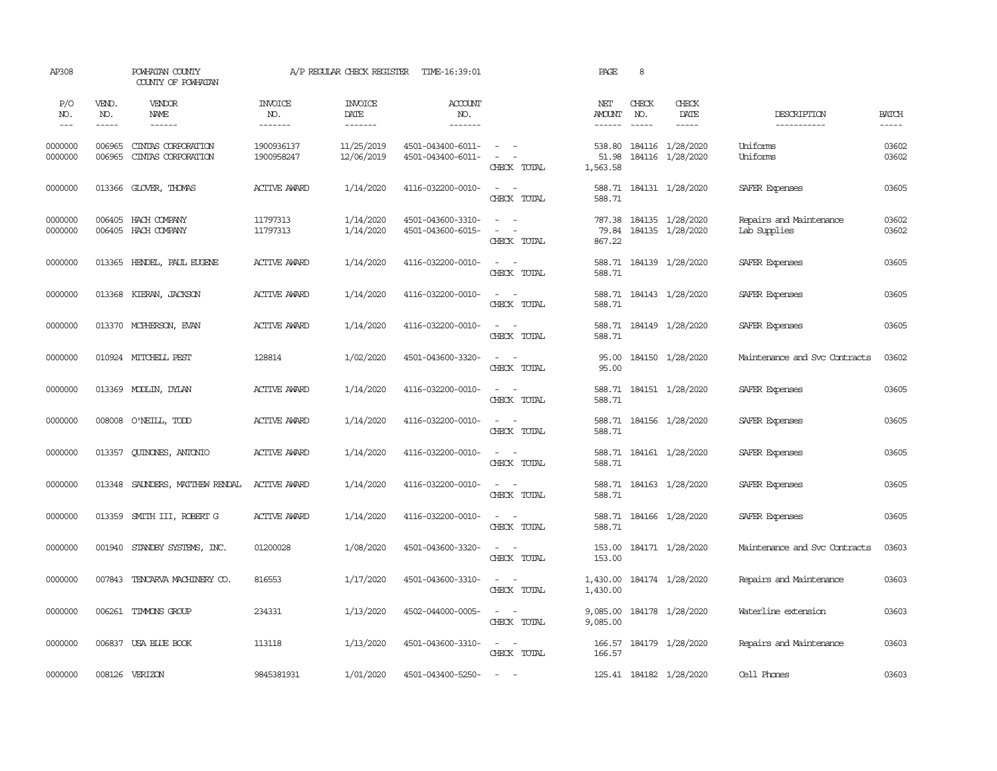| AP308               |                                      | POWHATAN COUNTY<br>COUNTY OF POWHATAN    | A/P REGULAR CHECK REGISTER       |                                    | TIME-16:39:01                          | PAGE                                                                                                                                                   |                             | 8                                                                                                                                                                                                                                                                                                                                                                                                                                                                                          |                                      |                                         |                             |
|---------------------|--------------------------------------|------------------------------------------|----------------------------------|------------------------------------|----------------------------------------|--------------------------------------------------------------------------------------------------------------------------------------------------------|-----------------------------|--------------------------------------------------------------------------------------------------------------------------------------------------------------------------------------------------------------------------------------------------------------------------------------------------------------------------------------------------------------------------------------------------------------------------------------------------------------------------------------------|--------------------------------------|-----------------------------------------|-----------------------------|
| P/O<br>NO.<br>$---$ | VEND.<br>NO.<br>$\cdots\cdots\cdots$ | VENDOR<br>NAME                           | <b>INVOICE</b><br>NO.<br>------- | <b>INVOICE</b><br>DATE<br>-------- | <b>ACCOUNT</b><br>NO.<br>-------       |                                                                                                                                                        | NET<br><b>AMOUNT</b>        | CHECK<br>NO.<br>$\frac{1}{2} \left( \frac{1}{2} \right) \left( \frac{1}{2} \right) \left( \frac{1}{2} \right) \left( \frac{1}{2} \right) \left( \frac{1}{2} \right) \left( \frac{1}{2} \right) \left( \frac{1}{2} \right) \left( \frac{1}{2} \right) \left( \frac{1}{2} \right) \left( \frac{1}{2} \right) \left( \frac{1}{2} \right) \left( \frac{1}{2} \right) \left( \frac{1}{2} \right) \left( \frac{1}{2} \right) \left( \frac{1}{2} \right) \left( \frac{1}{2} \right) \left( \frac$ | CHECK<br>DATE<br>-----               | DESCRIPTION<br>-----------              | <b>BATCH</b><br>$- - - - -$ |
| 0000000<br>0000000  | 006965<br>006965                     | CINIAS CORPORATION<br>CINIAS CORPORATION | 1900936137<br>1900958247         | 11/25/2019<br>12/06/2019           | 4501-043400-6011-<br>4501-043400-6011- | $\sim$ $ -$<br>$\omega_{\rm{max}}$ and $\omega_{\rm{max}}$<br>CHECK TOTAL                                                                              | 538.80<br>51.98<br>1,563.58 |                                                                                                                                                                                                                                                                                                                                                                                                                                                                                            | 184116 1/28/2020<br>184116 1/28/2020 | Uniforms<br>Uniforms                    | 03602<br>03602              |
| 0000000             |                                      | 013366 GLOVER, THOMAS                    | <b>ACTIVE AWARD</b>              | 1/14/2020                          | 4116-032200-0010-                      | $\sim$<br>$\sim$<br>CHECK TOTAL                                                                                                                        | 588.71<br>588.71            |                                                                                                                                                                                                                                                                                                                                                                                                                                                                                            | 184131 1/28/2020                     | SAFER Expenses                          | 03605                       |
| 0000000<br>0000000  | 006405<br>006405                     | HACH COMPANY<br>HACH COMPANY             | 11797313<br>11797313             | 1/14/2020<br>1/14/2020             | 4501-043600-3310-<br>4501-043600-6015- | $\sim$<br>$\sim$ $\sim$<br>$\frac{1}{2} \left( \frac{1}{2} \right) \left( \frac{1}{2} \right) = \frac{1}{2} \left( \frac{1}{2} \right)$<br>CHECK TOTAL | 787.38<br>79.84<br>867.22   |                                                                                                                                                                                                                                                                                                                                                                                                                                                                                            | 184135 1/28/2020<br>184135 1/28/2020 | Repairs and Maintenance<br>Lab Supplies | 03602<br>03602              |
| 0000000             | 013365                               | HENDEL, PAUL EUGENE                      | <b>ACTIVE AWARD</b>              | 1/14/2020                          | 4116-032200-0010-                      | $\sim$<br>$\sim$<br>CHECK TOTAL                                                                                                                        | 588.71<br>588.71            |                                                                                                                                                                                                                                                                                                                                                                                                                                                                                            | 184139 1/28/2020                     | SAFER Expenses                          | 03605                       |
| 0000000             | 013368                               | KIERAN, JACKSON                          | <b>ACTIVE AWARD</b>              | 1/14/2020                          | 4116-032200-0010-                      | $\sim$ $\sim$<br>CHECK TOTAL                                                                                                                           | 588.71                      |                                                                                                                                                                                                                                                                                                                                                                                                                                                                                            | 588.71 184143 1/28/2020              | SAFER Expenses                          | 03605                       |
| 0000000             |                                      | 013370 MCPHERSON, EVAN                   | <b>ACTIVE AWARD</b>              | 1/14/2020                          | 4116-032200-0010-                      | $\sim$<br>$\sim$<br>CHECK TOTAL                                                                                                                        | 588.71                      |                                                                                                                                                                                                                                                                                                                                                                                                                                                                                            | 588.71 184149 1/28/2020              | SAFER Expenses                          | 03605                       |
| 0000000             |                                      | 010924 MITCHELL PEST                     | 128814                           | 1/02/2020                          | 4501-043600-3320-                      | $\sim$ $ -$<br>CHECK TOTAL                                                                                                                             | 95.00<br>95.00              |                                                                                                                                                                                                                                                                                                                                                                                                                                                                                            | 184150 1/28/2020                     | Maintenance and Svc Contracts           | 03602                       |
| 0000000             |                                      | 013369 MODLIN, DYLAN                     | <b>ACTIVE AWARD</b>              | 1/14/2020                          | 4116-032200-0010-                      | $\sim$ $ \sim$<br>CHECK TOTAL                                                                                                                          | 588.71                      |                                                                                                                                                                                                                                                                                                                                                                                                                                                                                            | 588.71 184151 1/28/2020              | SAFER Expenses                          | 03605                       |
| 0000000             |                                      | 008008 O'NEILL, TODD                     | <b>ACTIVE AWARD</b>              | 1/14/2020                          | 4116-032200-0010-                      | $\sim$ $ \sim$<br>CHECK TOTAL                                                                                                                          | 588.71                      |                                                                                                                                                                                                                                                                                                                                                                                                                                                                                            | 588.71 184156 1/28/2020              | SAFER Expenses                          | 03605                       |
| 0000000             | 013357                               | QUINONES, ANTONIO                        | <b>ACTIVE AWARD</b>              | 1/14/2020                          | 4116-032200-0010-                      | $\sim$ $ -$<br>CHECK TOTAL                                                                                                                             | 588.71                      |                                                                                                                                                                                                                                                                                                                                                                                                                                                                                            | 588.71 184161 1/28/2020              | SAFER Expenses                          | 03605                       |
| 0000000             | 013348                               | SAUNDERS, MATTHEW RENDAL                 | ACTIVE AWARD                     | 1/14/2020                          | 4116-032200-0010-                      | $\sim$ $ -$<br>CHECK TOTAL                                                                                                                             | 588.71                      |                                                                                                                                                                                                                                                                                                                                                                                                                                                                                            | 588.71 184163 1/28/2020              | SAFER Expenses                          | 03605                       |
| 0000000             | 013359                               | SMITH III, ROBERT G                      | <b>ACTIVE AWARD</b>              | 1/14/2020                          | 4116-032200-0010-                      | $\sim$<br>$\sim$<br>CHECK TOTAL                                                                                                                        | 588.71                      |                                                                                                                                                                                                                                                                                                                                                                                                                                                                                            | 588.71 184166 1/28/2020              | SAFER Expenses                          | 03605                       |
| 0000000             | 001940                               | STANDBY SYSTEMS, INC.                    | 01200028                         | 1/08/2020                          | 4501-043600-3320-                      | $\sim$ $\sim$<br>CHECK TOTAL                                                                                                                           | 153.00<br>153.00            |                                                                                                                                                                                                                                                                                                                                                                                                                                                                                            | 184171 1/28/2020                     | Maintenance and Svc Contracts           | 03603                       |
| 0000000             | 007843                               | TENCARVA MACHINERY CO.                   | 816553                           | 1/17/2020                          | 4501-043600-3310-                      | $\sim$ $ \sim$<br>CHECK TOTAL                                                                                                                          | 1,430.00<br>1,430.00        |                                                                                                                                                                                                                                                                                                                                                                                                                                                                                            | 184174 1/28/2020                     | Repairs and Maintenance                 | 03603                       |
| 0000000             |                                      | 006261 TIMMONS GROUP                     | 234331                           | 1/13/2020                          | 4502-044000-0005-                      | $\sim$ $ -$<br>CHECK TOTAL                                                                                                                             | 9,085.00                    |                                                                                                                                                                                                                                                                                                                                                                                                                                                                                            | 9,085.00 184178 1/28/2020            | Waterline extension                     | 03603                       |
| 0000000             |                                      | 006837 USA BLUE BOOK                     | 113118                           | 1/13/2020                          | 4501-043600-3310-                      | CHECK TOTAL                                                                                                                                            | 166.57                      |                                                                                                                                                                                                                                                                                                                                                                                                                                                                                            | 166.57 184179 1/28/2020              | Repairs and Maintenance                 | 03603                       |
| 0000000             |                                      | 008126 VERIZON                           | 9845381931                       | 1/01/2020                          | 4501-043400-5250-                      | $\sim$<br>$\sim$                                                                                                                                       |                             |                                                                                                                                                                                                                                                                                                                                                                                                                                                                                            | 125.41 184182 1/28/2020              | Cell Phones                             | 03603                       |